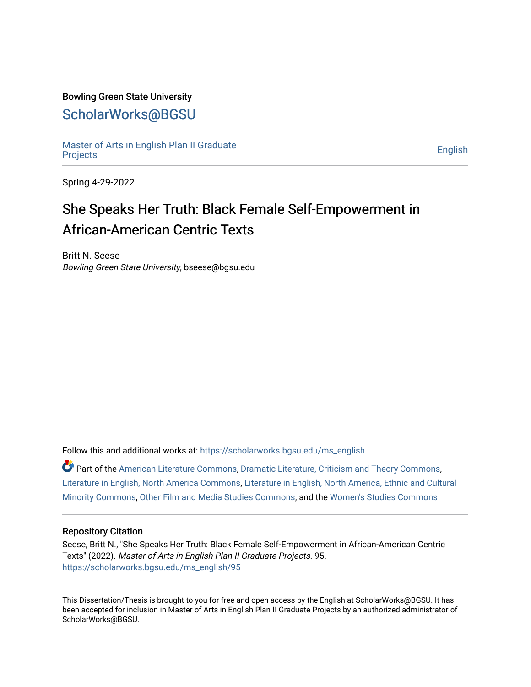### Bowling Green State University

## [ScholarWorks@BGSU](https://scholarworks.bgsu.edu/)

[Master of Arts in English Plan II Graduate](https://scholarworks.bgsu.edu/ms_english)  [Projects](https://scholarworks.bgsu.edu/ms_english) [English](https://scholarworks.bgsu.edu/english) 

Spring 4-29-2022

# She Speaks Her Truth: Black Female Self-Empowerment in African-American Centric Texts

Britt N. Seese Bowling Green State University, bseese@bgsu.edu

Follow this and additional works at: [https://scholarworks.bgsu.edu/ms\\_english](https://scholarworks.bgsu.edu/ms_english?utm_source=scholarworks.bgsu.edu%2Fms_english%2F95&utm_medium=PDF&utm_campaign=PDFCoverPages)

Part of the [American Literature Commons](http://network.bepress.com/hgg/discipline/441?utm_source=scholarworks.bgsu.edu%2Fms_english%2F95&utm_medium=PDF&utm_campaign=PDFCoverPages), [Dramatic Literature, Criticism and Theory Commons,](http://network.bepress.com/hgg/discipline/555?utm_source=scholarworks.bgsu.edu%2Fms_english%2F95&utm_medium=PDF&utm_campaign=PDFCoverPages) [Literature in English, North America Commons](http://network.bepress.com/hgg/discipline/458?utm_source=scholarworks.bgsu.edu%2Fms_english%2F95&utm_medium=PDF&utm_campaign=PDFCoverPages), [Literature in English, North America, Ethnic and Cultural](http://network.bepress.com/hgg/discipline/459?utm_source=scholarworks.bgsu.edu%2Fms_english%2F95&utm_medium=PDF&utm_campaign=PDFCoverPages)  [Minority Commons,](http://network.bepress.com/hgg/discipline/459?utm_source=scholarworks.bgsu.edu%2Fms_english%2F95&utm_medium=PDF&utm_campaign=PDFCoverPages) [Other Film and Media Studies Commons,](http://network.bepress.com/hgg/discipline/565?utm_source=scholarworks.bgsu.edu%2Fms_english%2F95&utm_medium=PDF&utm_campaign=PDFCoverPages) and the [Women's Studies Commons](http://network.bepress.com/hgg/discipline/561?utm_source=scholarworks.bgsu.edu%2Fms_english%2F95&utm_medium=PDF&utm_campaign=PDFCoverPages) 

### Repository Citation

Seese, Britt N., "She Speaks Her Truth: Black Female Self-Empowerment in African-American Centric Texts" (2022). Master of Arts in English Plan II Graduate Projects. 95. [https://scholarworks.bgsu.edu/ms\\_english/95](https://scholarworks.bgsu.edu/ms_english/95?utm_source=scholarworks.bgsu.edu%2Fms_english%2F95&utm_medium=PDF&utm_campaign=PDFCoverPages) 

This Dissertation/Thesis is brought to you for free and open access by the English at ScholarWorks@BGSU. It has been accepted for inclusion in Master of Arts in English Plan II Graduate Projects by an authorized administrator of ScholarWorks@BGSU.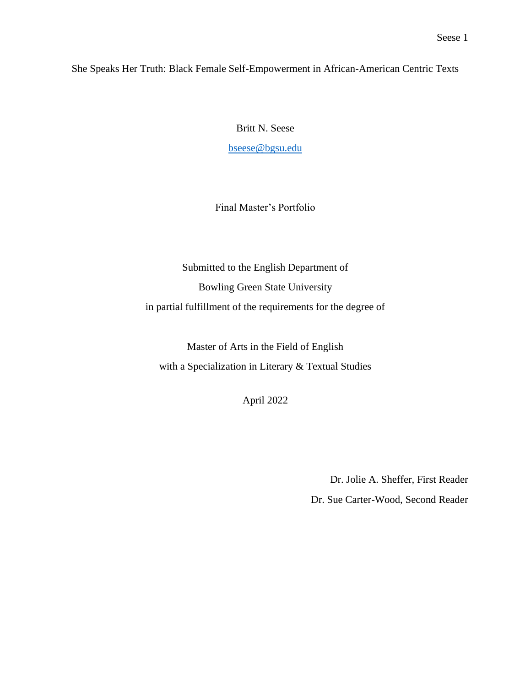She Speaks Her Truth: Black Female Self-Empowerment in African-American Centric Texts

Britt N. Seese

[bseese@bgsu.edu](mailto:bseese@bgsu.edu)

Final Master's Portfolio

Submitted to the English Department of Bowling Green State University in partial fulfillment of the requirements for the degree of

Master of Arts in the Field of English with a Specialization in Literary & Textual Studies

April 2022

Dr. Jolie A. Sheffer, First Reader

Dr. Sue Carter-Wood, Second Reader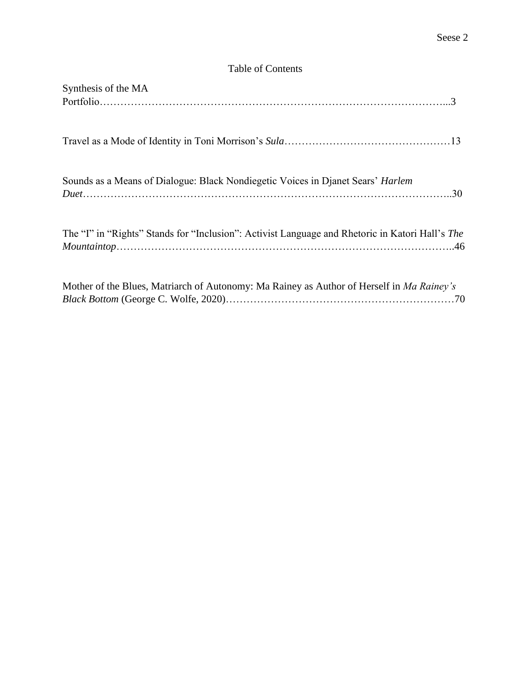### Table of Contents

| Synthesis of the MA                                                                             |  |
|-------------------------------------------------------------------------------------------------|--|
|                                                                                                 |  |
| Sounds as a Means of Dialogue: Black Nondiegetic Voices in Djanet Sears' Harlem                 |  |
| The "I" in "Rights" Stands for "Inclusion": Activist Language and Rhetoric in Katori Hall's The |  |
| Mother of the Blues, Matriarch of Autonomy: Ma Rainey as Author of Herself in Ma Rainey's       |  |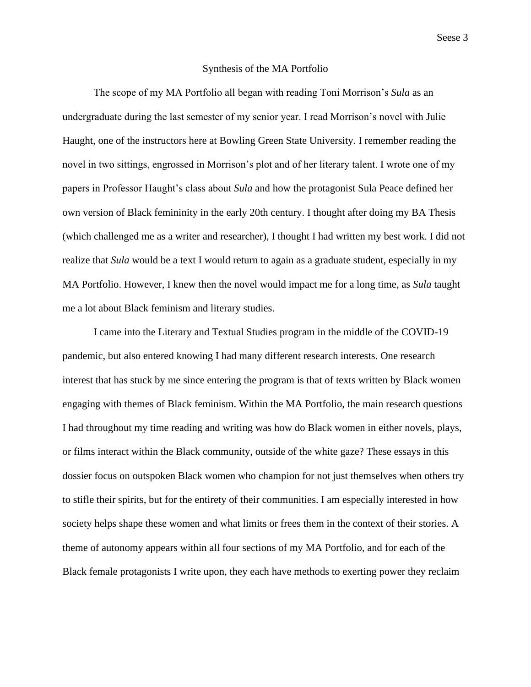#### Synthesis of the MA Portfolio

The scope of my MA Portfolio all began with reading Toni Morrison's *Sula* as an undergraduate during the last semester of my senior year. I read Morrison's novel with Julie Haught, one of the instructors here at Bowling Green State University. I remember reading the novel in two sittings, engrossed in Morrison's plot and of her literary talent. I wrote one of my papers in Professor Haught's class about *Sula* and how the protagonist Sula Peace defined her own version of Black femininity in the early 20th century. I thought after doing my BA Thesis (which challenged me as a writer and researcher), I thought I had written my best work. I did not realize that *Sula* would be a text I would return to again as a graduate student, especially in my MA Portfolio. However, I knew then the novel would impact me for a long time, as *Sula* taught me a lot about Black feminism and literary studies.

I came into the Literary and Textual Studies program in the middle of the COVID-19 pandemic, but also entered knowing I had many different research interests. One research interest that has stuck by me since entering the program is that of texts written by Black women engaging with themes of Black feminism. Within the MA Portfolio, the main research questions I had throughout my time reading and writing was how do Black women in either novels, plays, or films interact within the Black community, outside of the white gaze? These essays in this dossier focus on outspoken Black women who champion for not just themselves when others try to stifle their spirits, but for the entirety of their communities. I am especially interested in how society helps shape these women and what limits or frees them in the context of their stories. A theme of autonomy appears within all four sections of my MA Portfolio, and for each of the Black female protagonists I write upon, they each have methods to exerting power they reclaim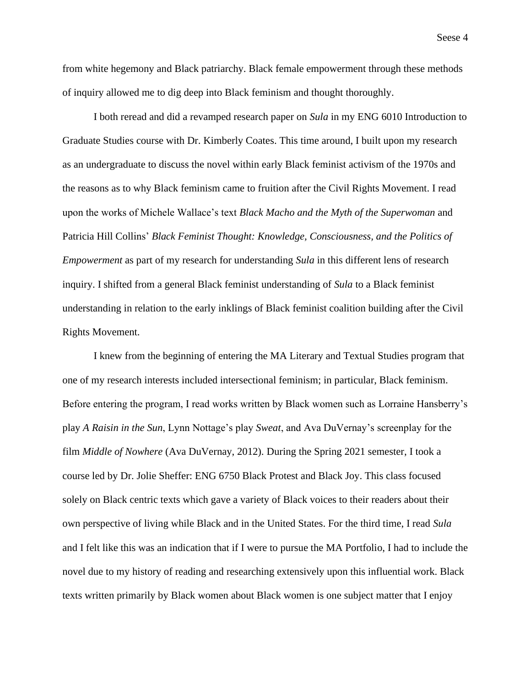from white hegemony and Black patriarchy. Black female empowerment through these methods of inquiry allowed me to dig deep into Black feminism and thought thoroughly.

I both reread and did a revamped research paper on *Sula* in my ENG 6010 Introduction to Graduate Studies course with Dr. Kimberly Coates. This time around, I built upon my research as an undergraduate to discuss the novel within early Black feminist activism of the 1970s and the reasons as to why Black feminism came to fruition after the Civil Rights Movement. I read upon the works of Michele Wallace's text *Black Macho and the Myth of the Superwoman* and Patricia Hill Collins' *Black Feminist Thought: Knowledge, Consciousness, and the Politics of Empowerment* as part of my research for understanding *Sula* in this different lens of research inquiry. I shifted from a general Black feminist understanding of *Sula* to a Black feminist understanding in relation to the early inklings of Black feminist coalition building after the Civil Rights Movement.

I knew from the beginning of entering the MA Literary and Textual Studies program that one of my research interests included intersectional feminism; in particular, Black feminism. Before entering the program, I read works written by Black women such as Lorraine Hansberry's play *A Raisin in the Sun*, Lynn Nottage's play *Sweat*, and Ava DuVernay's screenplay for the film *Middle of Nowhere* (Ava DuVernay, 2012). During the Spring 2021 semester, I took a course led by Dr. Jolie Sheffer: ENG 6750 Black Protest and Black Joy. This class focused solely on Black centric texts which gave a variety of Black voices to their readers about their own perspective of living while Black and in the United States. For the third time, I read *Sula*  and I felt like this was an indication that if I were to pursue the MA Portfolio, I had to include the novel due to my history of reading and researching extensively upon this influential work. Black texts written primarily by Black women about Black women is one subject matter that I enjoy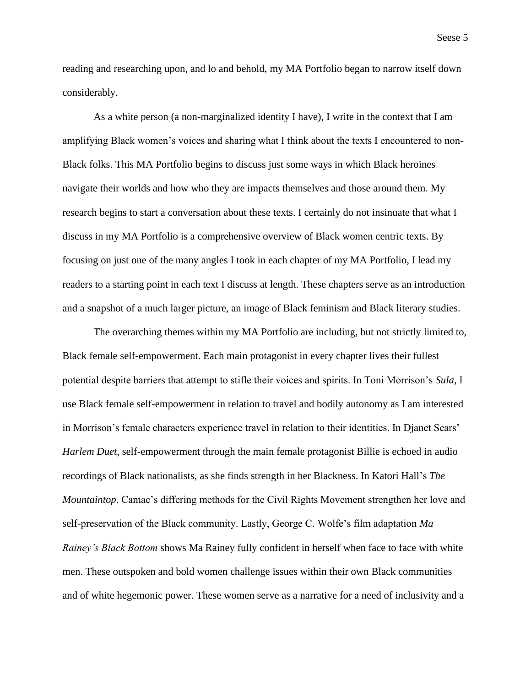reading and researching upon, and lo and behold, my MA Portfolio began to narrow itself down considerably.

As a white person (a non-marginalized identity I have), I write in the context that I am amplifying Black women's voices and sharing what I think about the texts I encountered to non-Black folks. This MA Portfolio begins to discuss just some ways in which Black heroines navigate their worlds and how who they are impacts themselves and those around them. My research begins to start a conversation about these texts. I certainly do not insinuate that what I discuss in my MA Portfolio is a comprehensive overview of Black women centric texts. By focusing on just one of the many angles I took in each chapter of my MA Portfolio, I lead my readers to a starting point in each text I discuss at length. These chapters serve as an introduction and a snapshot of a much larger picture, an image of Black feminism and Black literary studies.

The overarching themes within my MA Portfolio are including, but not strictly limited to, Black female self-empowerment. Each main protagonist in every chapter lives their fullest potential despite barriers that attempt to stifle their voices and spirits. In Toni Morrison's *Sula*, I use Black female self-empowerment in relation to travel and bodily autonomy as I am interested in Morrison's female characters experience travel in relation to their identities. In Djanet Sears' *Harlem Duet*, self-empowerment through the main female protagonist Billie is echoed in audio recordings of Black nationalists, as she finds strength in her Blackness. In Katori Hall's *The Mountaintop*, Camae's differing methods for the Civil Rights Movement strengthen her love and self-preservation of the Black community. Lastly, George C. Wolfe's film adaptation *Ma Rainey's Black Bottom* shows Ma Rainey fully confident in herself when face to face with white men. These outspoken and bold women challenge issues within their own Black communities and of white hegemonic power. These women serve as a narrative for a need of inclusivity and a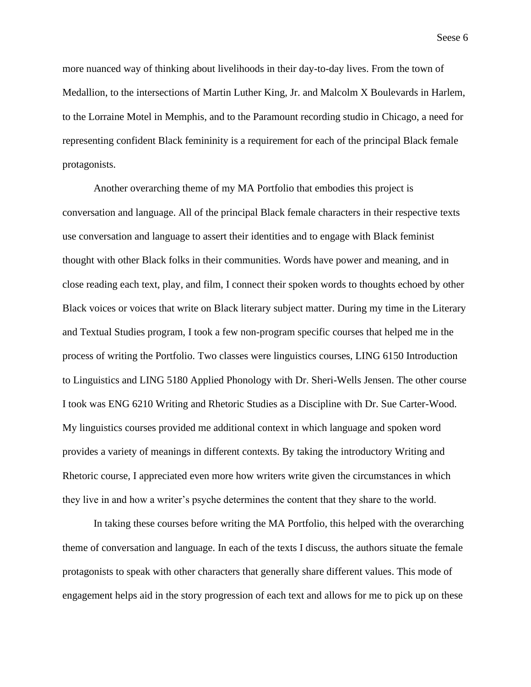more nuanced way of thinking about livelihoods in their day-to-day lives. From the town of Medallion, to the intersections of Martin Luther King, Jr. and Malcolm X Boulevards in Harlem, to the Lorraine Motel in Memphis, and to the Paramount recording studio in Chicago, a need for representing confident Black femininity is a requirement for each of the principal Black female protagonists.

Another overarching theme of my MA Portfolio that embodies this project is conversation and language. All of the principal Black female characters in their respective texts use conversation and language to assert their identities and to engage with Black feminist thought with other Black folks in their communities. Words have power and meaning, and in close reading each text, play, and film, I connect their spoken words to thoughts echoed by other Black voices or voices that write on Black literary subject matter. During my time in the Literary and Textual Studies program, I took a few non-program specific courses that helped me in the process of writing the Portfolio. Two classes were linguistics courses, LING 6150 Introduction to Linguistics and LING 5180 Applied Phonology with Dr. Sheri-Wells Jensen. The other course I took was ENG 6210 Writing and Rhetoric Studies as a Discipline with Dr. Sue Carter-Wood. My linguistics courses provided me additional context in which language and spoken word provides a variety of meanings in different contexts. By taking the introductory Writing and Rhetoric course, I appreciated even more how writers write given the circumstances in which they live in and how a writer's psyche determines the content that they share to the world.

In taking these courses before writing the MA Portfolio, this helped with the overarching theme of conversation and language. In each of the texts I discuss, the authors situate the female protagonists to speak with other characters that generally share different values. This mode of engagement helps aid in the story progression of each text and allows for me to pick up on these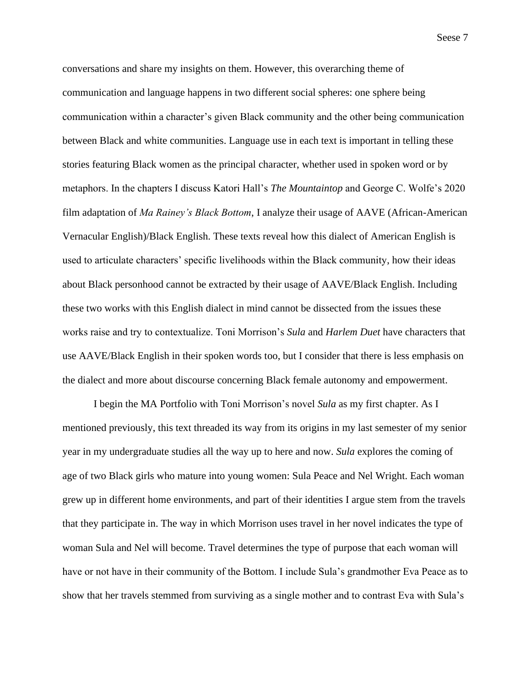conversations and share my insights on them. However, this overarching theme of communication and language happens in two different social spheres: one sphere being communication within a character's given Black community and the other being communication between Black and white communities. Language use in each text is important in telling these stories featuring Black women as the principal character, whether used in spoken word or by metaphors. In the chapters I discuss Katori Hall's *The Mountaintop* and George C. Wolfe's 2020 film adaptation of *Ma Rainey's Black Bottom*, I analyze their usage of AAVE (African-American Vernacular English)/Black English. These texts reveal how this dialect of American English is used to articulate characters' specific livelihoods within the Black community, how their ideas about Black personhood cannot be extracted by their usage of AAVE/Black English. Including these two works with this English dialect in mind cannot be dissected from the issues these works raise and try to contextualize. Toni Morrison's *Sula* and *Harlem Duet* have characters that use AAVE/Black English in their spoken words too, but I consider that there is less emphasis on the dialect and more about discourse concerning Black female autonomy and empowerment.

I begin the MA Portfolio with Toni Morrison's novel *Sula* as my first chapter. As I mentioned previously, this text threaded its way from its origins in my last semester of my senior year in my undergraduate studies all the way up to here and now. *Sula* explores the coming of age of two Black girls who mature into young women: Sula Peace and Nel Wright. Each woman grew up in different home environments, and part of their identities I argue stem from the travels that they participate in. The way in which Morrison uses travel in her novel indicates the type of woman Sula and Nel will become. Travel determines the type of purpose that each woman will have or not have in their community of the Bottom. I include Sula's grandmother Eva Peace as to show that her travels stemmed from surviving as a single mother and to contrast Eva with Sula's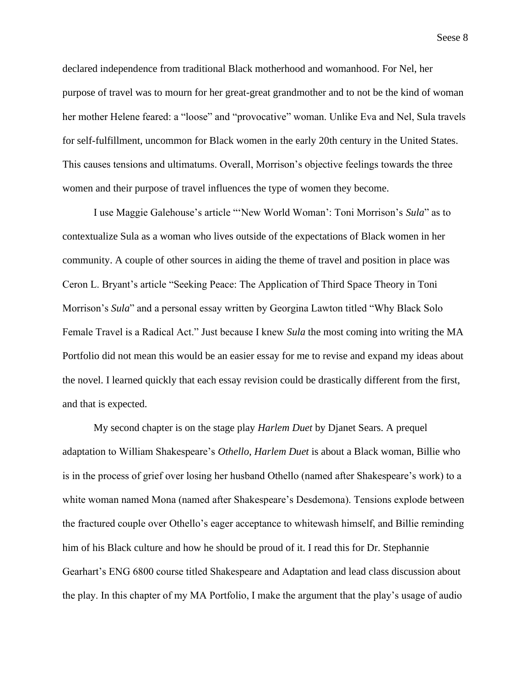declared independence from traditional Black motherhood and womanhood. For Nel, her purpose of travel was to mourn for her great-great grandmother and to not be the kind of woman her mother Helene feared: a "loose" and "provocative" woman. Unlike Eva and Nel, Sula travels for self-fulfillment, uncommon for Black women in the early 20th century in the United States. This causes tensions and ultimatums. Overall, Morrison's objective feelings towards the three women and their purpose of travel influences the type of women they become.

I use Maggie Galehouse's article "'New World Woman': Toni Morrison's *Sula*" as to contextualize Sula as a woman who lives outside of the expectations of Black women in her community. A couple of other sources in aiding the theme of travel and position in place was Ceron L. Bryant's article "Seeking Peace: The Application of Third Space Theory in Toni Morrison's *Sula*" and a personal essay written by Georgina Lawton titled "Why Black Solo Female Travel is a Radical Act." Just because I knew *Sula* the most coming into writing the MA Portfolio did not mean this would be an easier essay for me to revise and expand my ideas about the novel. I learned quickly that each essay revision could be drastically different from the first, and that is expected.

My second chapter is on the stage play *Harlem Duet* by Djanet Sears. A prequel adaptation to William Shakespeare's *Othello*, *Harlem Duet* is about a Black woman, Billie who is in the process of grief over losing her husband Othello (named after Shakespeare's work) to a white woman named Mona (named after Shakespeare's Desdemona). Tensions explode between the fractured couple over Othello's eager acceptance to whitewash himself, and Billie reminding him of his Black culture and how he should be proud of it. I read this for Dr. Stephannie Gearhart's ENG 6800 course titled Shakespeare and Adaptation and lead class discussion about the play. In this chapter of my MA Portfolio, I make the argument that the play's usage of audio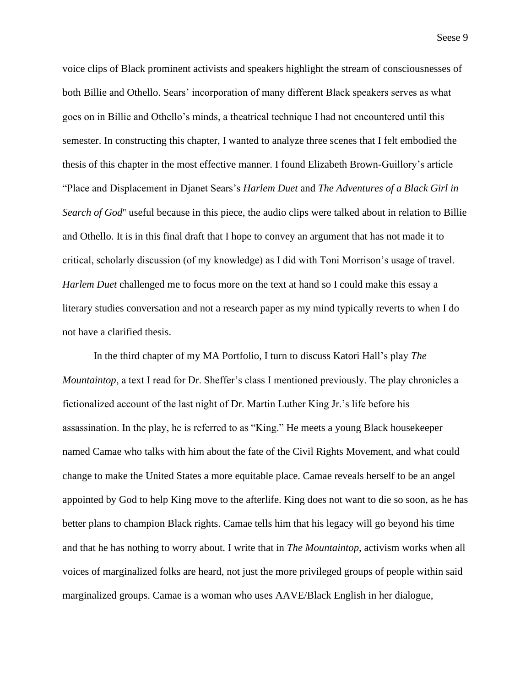voice clips of Black prominent activists and speakers highlight the stream of consciousnesses of both Billie and Othello. Sears' incorporation of many different Black speakers serves as what goes on in Billie and Othello's minds, a theatrical technique I had not encountered until this semester. In constructing this chapter, I wanted to analyze three scenes that I felt embodied the thesis of this chapter in the most effective manner. I found Elizabeth Brown-Guillory's article "Place and Displacement in Djanet Sears's *Harlem Duet* and *The Adventures of a Black Girl in Search of God*'' useful because in this piece, the audio clips were talked about in relation to Billie and Othello. It is in this final draft that I hope to convey an argument that has not made it to critical, scholarly discussion (of my knowledge) as I did with Toni Morrison's usage of travel. *Harlem Duet* challenged me to focus more on the text at hand so I could make this essay a literary studies conversation and not a research paper as my mind typically reverts to when I do not have a clarified thesis.

In the third chapter of my MA Portfolio, I turn to discuss Katori Hall's play *The Mountaintop*, a text I read for Dr. Sheffer's class I mentioned previously. The play chronicles a fictionalized account of the last night of Dr. Martin Luther King Jr.'s life before his assassination. In the play, he is referred to as "King." He meets a young Black housekeeper named Camae who talks with him about the fate of the Civil Rights Movement, and what could change to make the United States a more equitable place. Camae reveals herself to be an angel appointed by God to help King move to the afterlife. King does not want to die so soon, as he has better plans to champion Black rights. Camae tells him that his legacy will go beyond his time and that he has nothing to worry about. I write that in *The Mountaintop*, activism works when all voices of marginalized folks are heard, not just the more privileged groups of people within said marginalized groups. Camae is a woman who uses AAVE/Black English in her dialogue,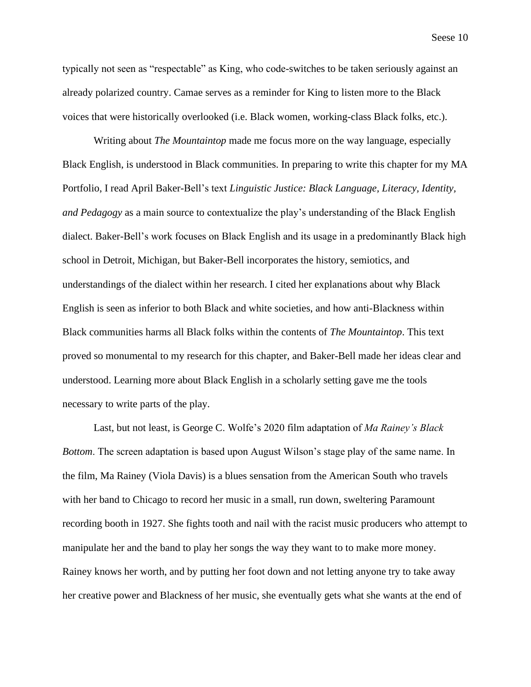typically not seen as "respectable" as King, who code-switches to be taken seriously against an already polarized country. Camae serves as a reminder for King to listen more to the Black voices that were historically overlooked (i.e. Black women, working-class Black folks, etc.).

Writing about *The Mountaintop* made me focus more on the way language, especially Black English, is understood in Black communities. In preparing to write this chapter for my MA Portfolio, I read April Baker-Bell's text *Linguistic Justice: Black Language, Literacy, Identity, and Pedagogy* as a main source to contextualize the play's understanding of the Black English dialect. Baker-Bell's work focuses on Black English and its usage in a predominantly Black high school in Detroit, Michigan, but Baker-Bell incorporates the history, semiotics, and understandings of the dialect within her research. I cited her explanations about why Black English is seen as inferior to both Black and white societies, and how anti-Blackness within Black communities harms all Black folks within the contents of *The Mountaintop*. This text proved so monumental to my research for this chapter, and Baker-Bell made her ideas clear and understood. Learning more about Black English in a scholarly setting gave me the tools necessary to write parts of the play.

Last, but not least, is George C. Wolfe's 2020 film adaptation of *Ma Rainey's Black Bottom*. The screen adaptation is based upon August Wilson's stage play of the same name. In the film, Ma Rainey (Viola Davis) is a blues sensation from the American South who travels with her band to Chicago to record her music in a small, run down, sweltering Paramount recording booth in 1927. She fights tooth and nail with the racist music producers who attempt to manipulate her and the band to play her songs the way they want to to make more money. Rainey knows her worth, and by putting her foot down and not letting anyone try to take away her creative power and Blackness of her music, she eventually gets what she wants at the end of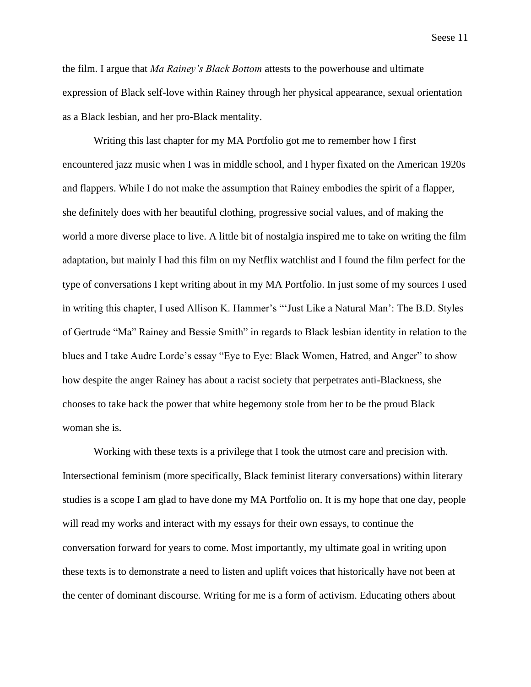the film. I argue that *Ma Rainey's Black Bottom* attests to the powerhouse and ultimate expression of Black self-love within Rainey through her physical appearance, sexual orientation as a Black lesbian, and her pro-Black mentality.

Writing this last chapter for my MA Portfolio got me to remember how I first encountered jazz music when I was in middle school, and I hyper fixated on the American 1920s and flappers. While I do not make the assumption that Rainey embodies the spirit of a flapper, she definitely does with her beautiful clothing, progressive social values, and of making the world a more diverse place to live. A little bit of nostalgia inspired me to take on writing the film adaptation, but mainly I had this film on my Netflix watchlist and I found the film perfect for the type of conversations I kept writing about in my MA Portfolio. In just some of my sources I used in writing this chapter, I used Allison K. Hammer's "'Just Like a Natural Man': The B.D. Styles of Gertrude "Ma" Rainey and Bessie Smith" in regards to Black lesbian identity in relation to the blues and I take Audre Lorde's essay "Eye to Eye: Black Women, Hatred, and Anger" to show how despite the anger Rainey has about a racist society that perpetrates anti-Blackness, she chooses to take back the power that white hegemony stole from her to be the proud Black woman she is.

Working with these texts is a privilege that I took the utmost care and precision with. Intersectional feminism (more specifically, Black feminist literary conversations) within literary studies is a scope I am glad to have done my MA Portfolio on. It is my hope that one day, people will read my works and interact with my essays for their own essays, to continue the conversation forward for years to come. Most importantly, my ultimate goal in writing upon these texts is to demonstrate a need to listen and uplift voices that historically have not been at the center of dominant discourse. Writing for me is a form of activism. Educating others about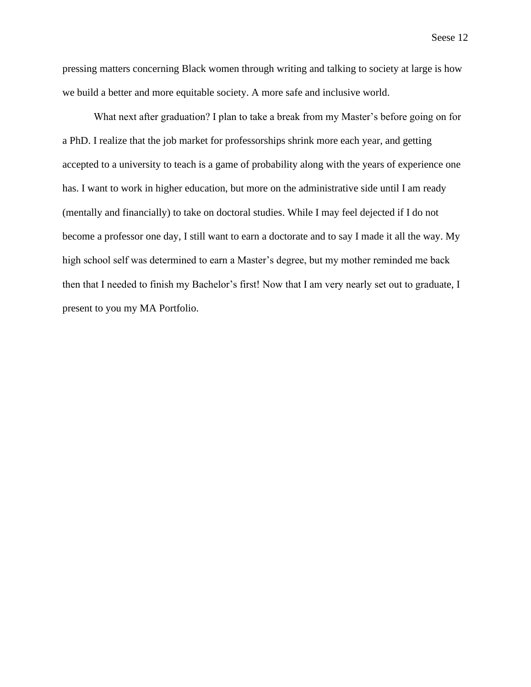pressing matters concerning Black women through writing and talking to society at large is how we build a better and more equitable society. A more safe and inclusive world.

What next after graduation? I plan to take a break from my Master's before going on for a PhD. I realize that the job market for professorships shrink more each year, and getting accepted to a university to teach is a game of probability along with the years of experience one has. I want to work in higher education, but more on the administrative side until I am ready (mentally and financially) to take on doctoral studies. While I may feel dejected if I do not become a professor one day, I still want to earn a doctorate and to say I made it all the way. My high school self was determined to earn a Master's degree, but my mother reminded me back then that I needed to finish my Bachelor's first! Now that I am very nearly set out to graduate, I present to you my MA Portfolio.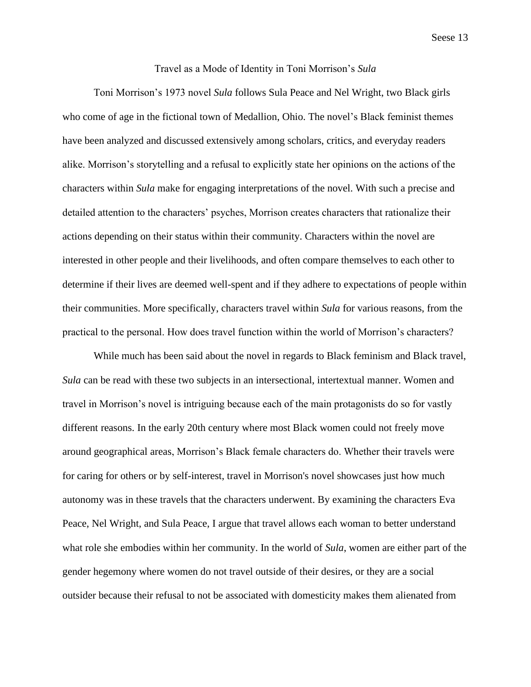### Travel as a Mode of Identity in Toni Morrison's *Sula*

Toni Morrison's 1973 novel *Sula* follows Sula Peace and Nel Wright, two Black girls who come of age in the fictional town of Medallion, Ohio. The novel's Black feminist themes have been analyzed and discussed extensively among scholars, critics, and everyday readers alike. Morrison's storytelling and a refusal to explicitly state her opinions on the actions of the characters within *Sula* make for engaging interpretations of the novel. With such a precise and detailed attention to the characters' psyches, Morrison creates characters that rationalize their actions depending on their status within their community. Characters within the novel are interested in other people and their livelihoods, and often compare themselves to each other to determine if their lives are deemed well-spent and if they adhere to expectations of people within their communities. More specifically, characters travel within *Sula* for various reasons, from the practical to the personal. How does travel function within the world of Morrison's characters?

While much has been said about the novel in regards to Black feminism and Black travel, *Sula* can be read with these two subjects in an intersectional, intertextual manner. Women and travel in Morrison's novel is intriguing because each of the main protagonists do so for vastly different reasons. In the early 20th century where most Black women could not freely move around geographical areas, Morrison's Black female characters do. Whether their travels were for caring for others or by self-interest, travel in Morrison's novel showcases just how much autonomy was in these travels that the characters underwent. By examining the characters Eva Peace, Nel Wright, and Sula Peace, I argue that travel allows each woman to better understand what role she embodies within her community. In the world of *Sula*, women are either part of the gender hegemony where women do not travel outside of their desires, or they are a social outsider because their refusal to not be associated with domesticity makes them alienated from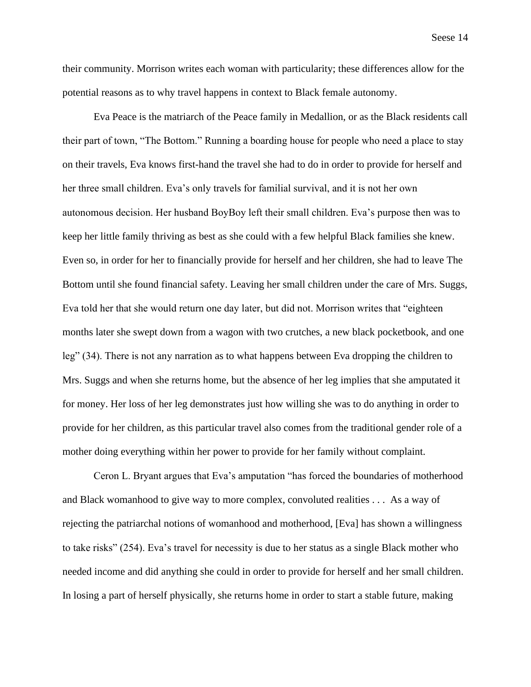their community. Morrison writes each woman with particularity; these differences allow for the potential reasons as to why travel happens in context to Black female autonomy.

Eva Peace is the matriarch of the Peace family in Medallion, or as the Black residents call their part of town, "The Bottom." Running a boarding house for people who need a place to stay on their travels, Eva knows first-hand the travel she had to do in order to provide for herself and her three small children. Eva's only travels for familial survival, and it is not her own autonomous decision. Her husband BoyBoy left their small children. Eva's purpose then was to keep her little family thriving as best as she could with a few helpful Black families she knew. Even so, in order for her to financially provide for herself and her children, she had to leave The Bottom until she found financial safety. Leaving her small children under the care of Mrs. Suggs, Eva told her that she would return one day later, but did not. Morrison writes that "eighteen months later she swept down from a wagon with two crutches, a new black pocketbook, and one leg" (34). There is not any narration as to what happens between Eva dropping the children to Mrs. Suggs and when she returns home, but the absence of her leg implies that she amputated it for money. Her loss of her leg demonstrates just how willing she was to do anything in order to provide for her children, as this particular travel also comes from the traditional gender role of a mother doing everything within her power to provide for her family without complaint.

Ceron L. Bryant argues that Eva's amputation "has forced the boundaries of motherhood and Black womanhood to give way to more complex, convoluted realities . . . As a way of rejecting the patriarchal notions of womanhood and motherhood, [Eva] has shown a willingness to take risks" (254). Eva's travel for necessity is due to her status as a single Black mother who needed income and did anything she could in order to provide for herself and her small children. In losing a part of herself physically, she returns home in order to start a stable future, making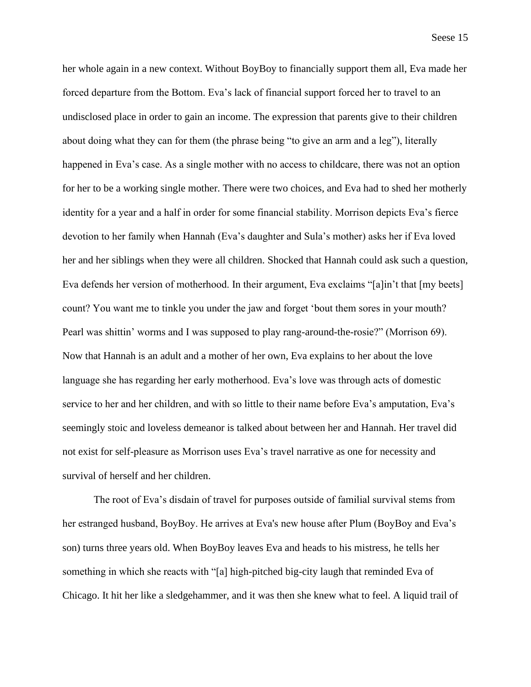her whole again in a new context. Without BoyBoy to financially support them all, Eva made her forced departure from the Bottom. Eva's lack of financial support forced her to travel to an undisclosed place in order to gain an income. The expression that parents give to their children about doing what they can for them (the phrase being "to give an arm and a leg"), literally happened in Eva's case. As a single mother with no access to childcare, there was not an option for her to be a working single mother. There were two choices, and Eva had to shed her motherly identity for a year and a half in order for some financial stability. Morrison depicts Eva's fierce devotion to her family when Hannah (Eva's daughter and Sula's mother) asks her if Eva loved her and her siblings when they were all children. Shocked that Hannah could ask such a question, Eva defends her version of motherhood. In their argument, Eva exclaims "[a]in't that [my beets] count? You want me to tinkle you under the jaw and forget 'bout them sores in your mouth? Pearl was shittin' worms and I was supposed to play rang-around-the-rosie?" (Morrison 69). Now that Hannah is an adult and a mother of her own, Eva explains to her about the love language she has regarding her early motherhood. Eva's love was through acts of domestic service to her and her children, and with so little to their name before Eva's amputation, Eva's seemingly stoic and loveless demeanor is talked about between her and Hannah. Her travel did not exist for self-pleasure as Morrison uses Eva's travel narrative as one for necessity and survival of herself and her children.

The root of Eva's disdain of travel for purposes outside of familial survival stems from her estranged husband, BoyBoy. He arrives at Eva's new house after Plum (BoyBoy and Eva's son) turns three years old. When BoyBoy leaves Eva and heads to his mistress, he tells her something in which she reacts with "[a] high-pitched big-city laugh that reminded Eva of Chicago. It hit her like a sledgehammer, and it was then she knew what to feel. A liquid trail of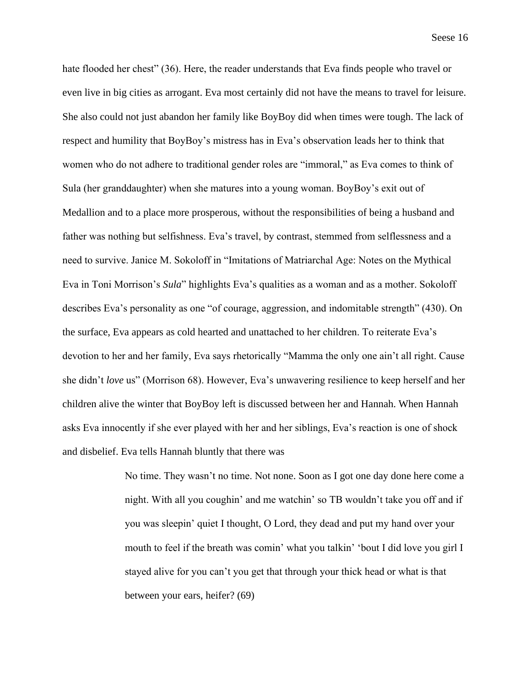hate flooded her chest" (36). Here, the reader understands that Eva finds people who travel or even live in big cities as arrogant. Eva most certainly did not have the means to travel for leisure. She also could not just abandon her family like BoyBoy did when times were tough. The lack of respect and humility that BoyBoy's mistress has in Eva's observation leads her to think that women who do not adhere to traditional gender roles are "immoral," as Eva comes to think of Sula (her granddaughter) when she matures into a young woman. BoyBoy's exit out of Medallion and to a place more prosperous, without the responsibilities of being a husband and father was nothing but selfishness. Eva's travel, by contrast, stemmed from selflessness and a need to survive. Janice M. Sokoloff in "Imitations of Matriarchal Age: Notes on the Mythical Eva in Toni Morrison's *Sula*" highlights Eva's qualities as a woman and as a mother. Sokoloff describes Eva's personality as one "of courage, aggression, and indomitable strength" (430). On the surface, Eva appears as cold hearted and unattached to her children. To reiterate Eva's devotion to her and her family, Eva says rhetorically "Mamma the only one ain't all right. Cause she didn't *love* us" (Morrison 68). However, Eva's unwavering resilience to keep herself and her children alive the winter that BoyBoy left is discussed between her and Hannah. When Hannah asks Eva innocently if she ever played with her and her siblings, Eva's reaction is one of shock and disbelief. Eva tells Hannah bluntly that there was

> No time. They wasn't no time. Not none. Soon as I got one day done here come a night. With all you coughin' and me watchin' so TB wouldn't take you off and if you was sleepin' quiet I thought, O Lord, they dead and put my hand over your mouth to feel if the breath was comin' what you talkin' 'bout I did love you girl I stayed alive for you can't you get that through your thick head or what is that between your ears, heifer? (69)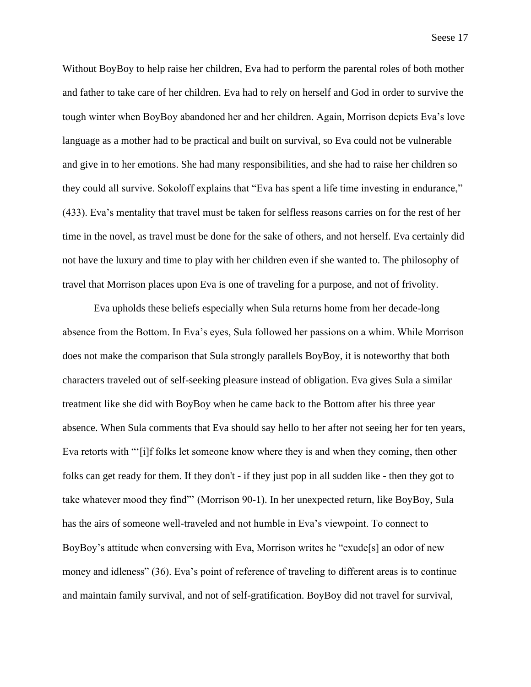Without BoyBoy to help raise her children, Eva had to perform the parental roles of both mother and father to take care of her children. Eva had to rely on herself and God in order to survive the tough winter when BoyBoy abandoned her and her children. Again, Morrison depicts Eva's love language as a mother had to be practical and built on survival, so Eva could not be vulnerable and give in to her emotions. She had many responsibilities, and she had to raise her children so they could all survive. Sokoloff explains that "Eva has spent a life time investing in endurance," (433). Eva's mentality that travel must be taken for selfless reasons carries on for the rest of her time in the novel, as travel must be done for the sake of others, and not herself. Eva certainly did not have the luxury and time to play with her children even if she wanted to. The philosophy of travel that Morrison places upon Eva is one of traveling for a purpose, and not of frivolity.

Eva upholds these beliefs especially when Sula returns home from her decade-long absence from the Bottom. In Eva's eyes, Sula followed her passions on a whim. While Morrison does not make the comparison that Sula strongly parallels BoyBoy, it is noteworthy that both characters traveled out of self-seeking pleasure instead of obligation. Eva gives Sula a similar treatment like she did with BoyBoy when he came back to the Bottom after his three year absence. When Sula comments that Eva should say hello to her after not seeing her for ten years, Eva retorts with "'[i]f folks let someone know where they is and when they coming, then other folks can get ready for them. If they don't - if they just pop in all sudden like - then they got to take whatever mood they find"' (Morrison 90-1). In her unexpected return, like BoyBoy, Sula has the airs of someone well-traveled and not humble in Eva's viewpoint. To connect to BoyBoy's attitude when conversing with Eva, Morrison writes he "exude[s] an odor of new money and idleness" (36). Eva's point of reference of traveling to different areas is to continue and maintain family survival, and not of self-gratification. BoyBoy did not travel for survival,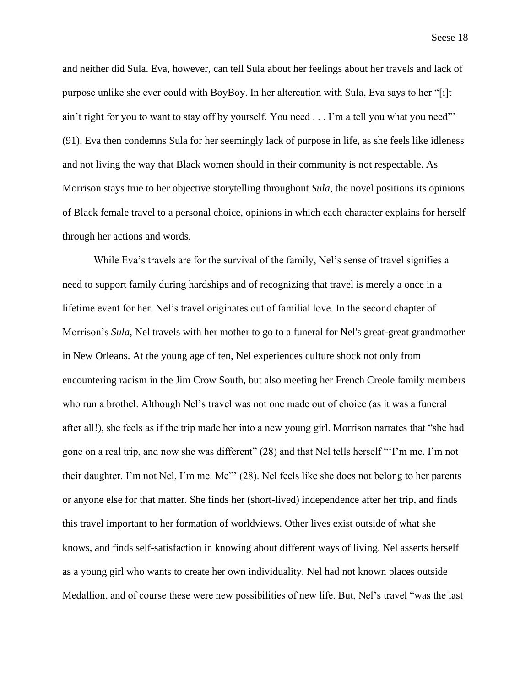and neither did Sula. Eva, however, can tell Sula about her feelings about her travels and lack of purpose unlike she ever could with BoyBoy. In her altercation with Sula, Eva says to her "[i]t ain't right for you to want to stay off by yourself. You need . . . I'm a tell you what you need" (91). Eva then condemns Sula for her seemingly lack of purpose in life, as she feels like idleness and not living the way that Black women should in their community is not respectable. As Morrison stays true to her objective storytelling throughout *Sula*, the novel positions its opinions of Black female travel to a personal choice, opinions in which each character explains for herself through her actions and words.

While Eva's travels are for the survival of the family, Nel's sense of travel signifies a need to support family during hardships and of recognizing that travel is merely a once in a lifetime event for her. Nel's travel originates out of familial love. In the second chapter of Morrison's *Sula*, Nel travels with her mother to go to a funeral for Nel's great-great grandmother in New Orleans. At the young age of ten, Nel experiences culture shock not only from encountering racism in the Jim Crow South, but also meeting her French Creole family members who run a brothel. Although Nel's travel was not one made out of choice (as it was a funeral after all!), she feels as if the trip made her into a new young girl. Morrison narrates that "she had gone on a real trip, and now she was different" (28) and that Nel tells herself "'I'm me. I'm not their daughter. I'm not Nel, I'm me. Me"' (28). Nel feels like she does not belong to her parents or anyone else for that matter. She finds her (short-lived) independence after her trip, and finds this travel important to her formation of worldviews. Other lives exist outside of what she knows, and finds self-satisfaction in knowing about different ways of living. Nel asserts herself as a young girl who wants to create her own individuality. Nel had not known places outside Medallion, and of course these were new possibilities of new life. But, Nel's travel "was the last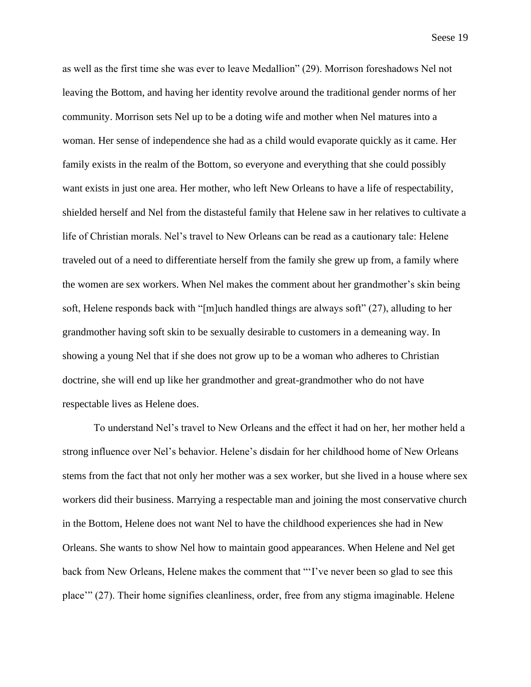as well as the first time she was ever to leave Medallion" (29). Morrison foreshadows Nel not leaving the Bottom, and having her identity revolve around the traditional gender norms of her community. Morrison sets Nel up to be a doting wife and mother when Nel matures into a woman. Her sense of independence she had as a child would evaporate quickly as it came. Her family exists in the realm of the Bottom, so everyone and everything that she could possibly want exists in just one area. Her mother, who left New Orleans to have a life of respectability, shielded herself and Nel from the distasteful family that Helene saw in her relatives to cultivate a life of Christian morals. Nel's travel to New Orleans can be read as a cautionary tale: Helene traveled out of a need to differentiate herself from the family she grew up from, a family where the women are sex workers. When Nel makes the comment about her grandmother's skin being soft, Helene responds back with "[m]uch handled things are always soft" (27), alluding to her grandmother having soft skin to be sexually desirable to customers in a demeaning way. In showing a young Nel that if she does not grow up to be a woman who adheres to Christian doctrine, she will end up like her grandmother and great-grandmother who do not have respectable lives as Helene does.

To understand Nel's travel to New Orleans and the effect it had on her, her mother held a strong influence over Nel's behavior. Helene's disdain for her childhood home of New Orleans stems from the fact that not only her mother was a sex worker, but she lived in a house where sex workers did their business. Marrying a respectable man and joining the most conservative church in the Bottom, Helene does not want Nel to have the childhood experiences she had in New Orleans. She wants to show Nel how to maintain good appearances. When Helene and Nel get back from New Orleans, Helene makes the comment that "'I've never been so glad to see this place'" (27). Their home signifies cleanliness, order, free from any stigma imaginable. Helene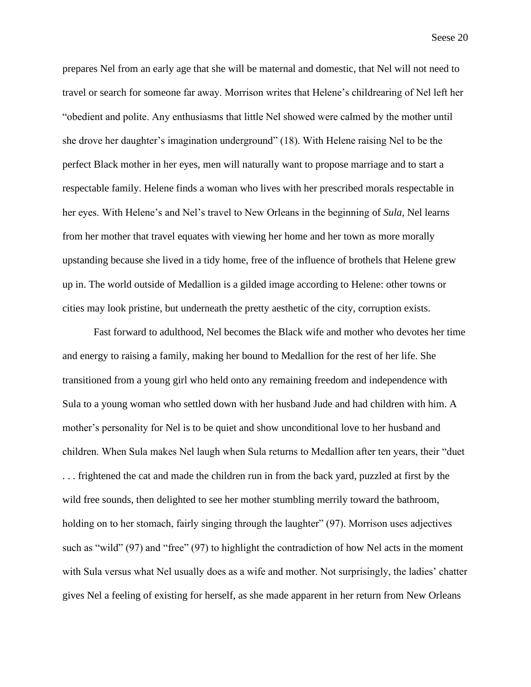prepares Nel from an early age that she will be maternal and domestic, that Nel will not need to travel or search for someone far away. Morrison writes that Helene's childrearing of Nel left her "obedient and polite. Any enthusiasms that little Nel showed were calmed by the mother until she drove her daughter's imagination underground" (18). With Helene raising Nel to be the perfect Black mother in her eyes, men will naturally want to propose marriage and to start a respectable family. Helene finds a woman who lives with her prescribed morals respectable in her eyes. With Helene's and Nel's travel to New Orleans in the beginning of *Sula*, Nel learns from her mother that travel equates with viewing her home and her town as more morally upstanding because she lived in a tidy home, free of the influence of brothels that Helene grew up in. The world outside of Medallion is a gilded image according to Helene: other towns or cities may look pristine, but underneath the pretty aesthetic of the city, corruption exists.

Fast forward to adulthood, Nel becomes the Black wife and mother who devotes her time and energy to raising a family, making her bound to Medallion for the rest of her life. She transitioned from a young girl who held onto any remaining freedom and independence with Sula to a young woman who settled down with her husband Jude and had children with him. A mother's personality for Nel is to be quiet and show unconditional love to her husband and children. When Sula makes Nel laugh when Sula returns to Medallion after ten years, their "duet . . . frightened the cat and made the children run in from the back yard, puzzled at first by the wild free sounds, then delighted to see her mother stumbling merrily toward the bathroom, holding on to her stomach, fairly singing through the laughter" (97). Morrison uses adjectives such as "wild" (97) and "free" (97) to highlight the contradiction of how Nel acts in the moment with Sula versus what Nel usually does as a wife and mother. Not surprisingly, the ladies' chatter gives Nel a feeling of existing for herself, as she made apparent in her return from New Orleans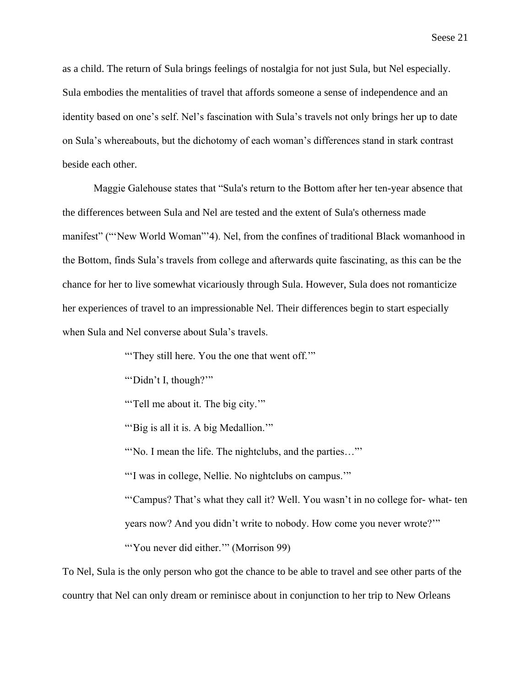as a child. The return of Sula brings feelings of nostalgia for not just Sula, but Nel especially. Sula embodies the mentalities of travel that affords someone a sense of independence and an identity based on one's self. Nel's fascination with Sula's travels not only brings her up to date on Sula's whereabouts, but the dichotomy of each woman's differences stand in stark contrast beside each other.

Maggie Galehouse states that "Sula's return to the Bottom after her ten-year absence that the differences between Sula and Nel are tested and the extent of Sula's otherness made manifest" ("'New World Woman"'4). Nel, from the confines of traditional Black womanhood in the Bottom, finds Sula's travels from college and afterwards quite fascinating, as this can be the chance for her to live somewhat vicariously through Sula. However, Sula does not romanticize her experiences of travel to an impressionable Nel. Their differences begin to start especially when Sula and Nel converse about Sula's travels.

"They still here. You the one that went off.""

"'Didn't I, though?'"

"Tell me about it. The big city.""

"Big is all it is. A big Medallion."

"'No. I mean the life. The nightclubs, and the parties…"'

"'I was in college, Nellie. No nightclubs on campus.'"

"'Campus? That's what they call it? Well. You wasn't in no college for-what-ten years now? And you didn't write to nobody. How come you never wrote?'"

"You never did either."" (Morrison 99)

To Nel, Sula is the only person who got the chance to be able to travel and see other parts of the country that Nel can only dream or reminisce about in conjunction to her trip to New Orleans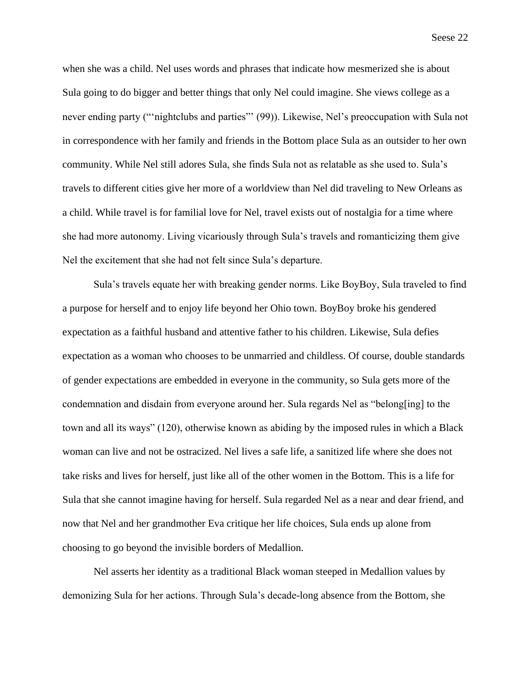when she was a child. Nel uses words and phrases that indicate how mesmerized she is about Sula going to do bigger and better things that only Nel could imagine. She views college as a never ending party ("'nightclubs and parties"' (99)). Likewise, Nel's preoccupation with Sula not in correspondence with her family and friends in the Bottom place Sula as an outsider to her own community. While Nel still adores Sula, she finds Sula not as relatable as she used to. Sula's travels to different cities give her more of a worldview than Nel did traveling to New Orleans as a child. While travel is for familial love for Nel, travel exists out of nostalgia for a time where she had more autonomy. Living vicariously through Sula's travels and romanticizing them give Nel the excitement that she had not felt since Sula's departure.

Sula's travels equate her with breaking gender norms. Like BoyBoy, Sula traveled to find a purpose for herself and to enjoy life beyond her Ohio town. BoyBoy broke his gendered expectation as a faithful husband and attentive father to his children. Likewise, Sula defies expectation as a woman who chooses to be unmarried and childless. Of course, double standards of gender expectations are embedded in everyone in the community, so Sula gets more of the condemnation and disdain from everyone around her. Sula regards Nel as "belong[ing] to the town and all its ways" (120), otherwise known as abiding by the imposed rules in which a Black woman can live and not be ostracized. Nel lives a safe life, a sanitized life where she does not take risks and lives for herself, just like all of the other women in the Bottom. This is a life for Sula that she cannot imagine having for herself. Sula regarded Nel as a near and dear friend, and now that Nel and her grandmother Eva critique her life choices, Sula ends up alone from choosing to go beyond the invisible borders of Medallion.

Nel asserts her identity as a traditional Black woman steeped in Medallion values by demonizing Sula for her actions. Through Sula's decade-long absence from the Bottom, she

Seese 22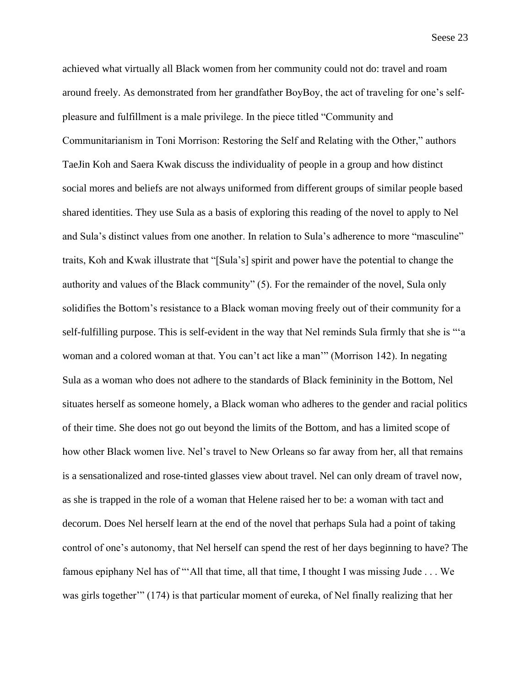achieved what virtually all Black women from her community could not do: travel and roam around freely. As demonstrated from her grandfather BoyBoy, the act of traveling for one's selfpleasure and fulfillment is a male privilege. In the piece titled "Community and Communitarianism in Toni Morrison: Restoring the Self and Relating with the Other," authors TaeJin Koh and Saera Kwak discuss the individuality of people in a group and how distinct social mores and beliefs are not always uniformed from different groups of similar people based shared identities. They use Sula as a basis of exploring this reading of the novel to apply to Nel and Sula's distinct values from one another. In relation to Sula's adherence to more "masculine" traits, Koh and Kwak illustrate that "[Sula's] spirit and power have the potential to change the authority and values of the Black community" (5). For the remainder of the novel, Sula only solidifies the Bottom's resistance to a Black woman moving freely out of their community for a self-fulfilling purpose. This is self-evident in the way that Nel reminds Sula firmly that she is "'a woman and a colored woman at that. You can't act like a man'" (Morrison 142). In negating Sula as a woman who does not adhere to the standards of Black femininity in the Bottom, Nel situates herself as someone homely, a Black woman who adheres to the gender and racial politics of their time. She does not go out beyond the limits of the Bottom, and has a limited scope of how other Black women live. Nel's travel to New Orleans so far away from her, all that remains is a sensationalized and rose-tinted glasses view about travel. Nel can only dream of travel now, as she is trapped in the role of a woman that Helene raised her to be: a woman with tact and decorum. Does Nel herself learn at the end of the novel that perhaps Sula had a point of taking control of one's autonomy, that Nel herself can spend the rest of her days beginning to have? The famous epiphany Nel has of "'All that time, all that time, I thought I was missing Jude . . . We was girls together'" (174) is that particular moment of eureka, of Nel finally realizing that her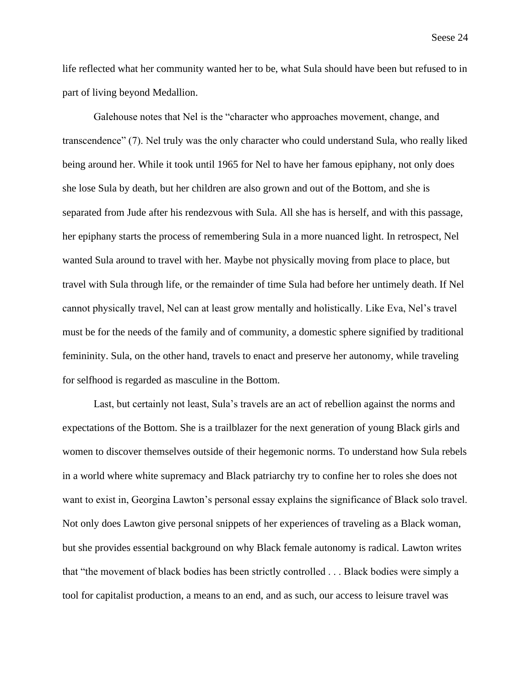life reflected what her community wanted her to be, what Sula should have been but refused to in part of living beyond Medallion.

Galehouse notes that Nel is the "character who approaches movement, change, and transcendence" (7). Nel truly was the only character who could understand Sula, who really liked being around her. While it took until 1965 for Nel to have her famous epiphany, not only does she lose Sula by death, but her children are also grown and out of the Bottom, and she is separated from Jude after his rendezvous with Sula. All she has is herself, and with this passage, her epiphany starts the process of remembering Sula in a more nuanced light. In retrospect, Nel wanted Sula around to travel with her. Maybe not physically moving from place to place, but travel with Sula through life, or the remainder of time Sula had before her untimely death. If Nel cannot physically travel, Nel can at least grow mentally and holistically. Like Eva, Nel's travel must be for the needs of the family and of community, a domestic sphere signified by traditional femininity. Sula, on the other hand, travels to enact and preserve her autonomy, while traveling for selfhood is regarded as masculine in the Bottom.

Last, but certainly not least, Sula's travels are an act of rebellion against the norms and expectations of the Bottom. She is a trailblazer for the next generation of young Black girls and women to discover themselves outside of their hegemonic norms. To understand how Sula rebels in a world where white supremacy and Black patriarchy try to confine her to roles she does not want to exist in, Georgina Lawton's personal essay explains the significance of Black solo travel. Not only does Lawton give personal snippets of her experiences of traveling as a Black woman, but she provides essential background on why Black female autonomy is radical. Lawton writes that "the movement of black bodies has been strictly controlled . . . Black bodies were simply a tool for capitalist production, a means to an end, and as such, our access to leisure travel was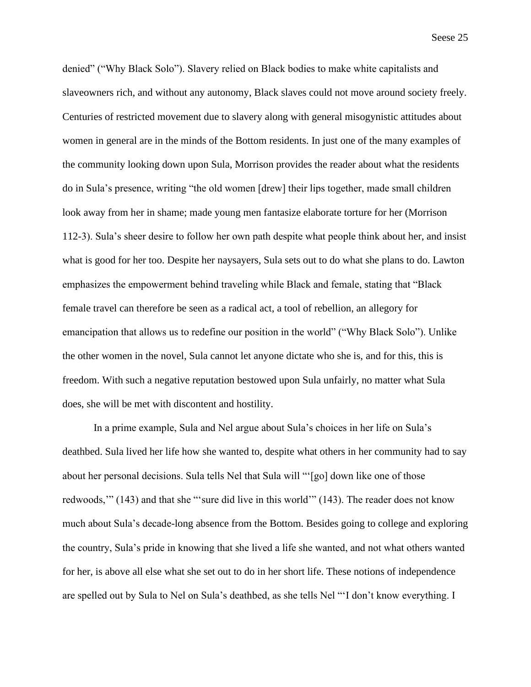denied" ("Why Black Solo"). Slavery relied on Black bodies to make white capitalists and slaveowners rich, and without any autonomy, Black slaves could not move around society freely. Centuries of restricted movement due to slavery along with general misogynistic attitudes about women in general are in the minds of the Bottom residents. In just one of the many examples of the community looking down upon Sula, Morrison provides the reader about what the residents do in Sula's presence, writing "the old women [drew] their lips together, made small children look away from her in shame; made young men fantasize elaborate torture for her (Morrison 112-3). Sula's sheer desire to follow her own path despite what people think about her, and insist what is good for her too. Despite her naysayers, Sula sets out to do what she plans to do. Lawton emphasizes the empowerment behind traveling while Black and female, stating that "Black female travel can therefore be seen as a radical act, a tool of rebellion, an allegory for emancipation that allows us to redefine our position in the world" ("Why Black Solo"). Unlike the other women in the novel, Sula cannot let anyone dictate who she is, and for this, this is freedom. With such a negative reputation bestowed upon Sula unfairly, no matter what Sula does, she will be met with discontent and hostility.

In a prime example, Sula and Nel argue about Sula's choices in her life on Sula's deathbed. Sula lived her life how she wanted to, despite what others in her community had to say about her personal decisions. Sula tells Nel that Sula will "'[go] down like one of those redwoods,'" (143) and that she "'sure did live in this world'" (143). The reader does not know much about Sula's decade-long absence from the Bottom. Besides going to college and exploring the country, Sula's pride in knowing that she lived a life she wanted, and not what others wanted for her, is above all else what she set out to do in her short life. These notions of independence are spelled out by Sula to Nel on Sula's deathbed, as she tells Nel "'I don't know everything. I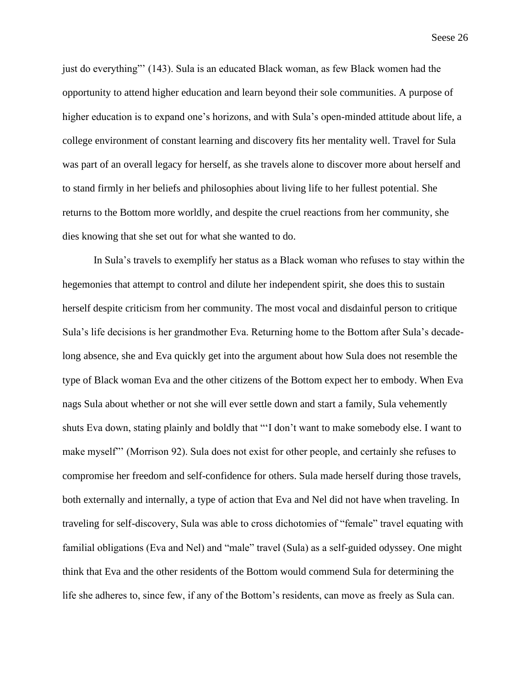just do everything"' (143). Sula is an educated Black woman, as few Black women had the opportunity to attend higher education and learn beyond their sole communities. A purpose of higher education is to expand one's horizons, and with Sula's open-minded attitude about life, a college environment of constant learning and discovery fits her mentality well. Travel for Sula was part of an overall legacy for herself, as she travels alone to discover more about herself and to stand firmly in her beliefs and philosophies about living life to her fullest potential. She returns to the Bottom more worldly, and despite the cruel reactions from her community, she dies knowing that she set out for what she wanted to do.

In Sula's travels to exemplify her status as a Black woman who refuses to stay within the hegemonies that attempt to control and dilute her independent spirit, she does this to sustain herself despite criticism from her community. The most vocal and disdainful person to critique Sula's life decisions is her grandmother Eva. Returning home to the Bottom after Sula's decadelong absence, she and Eva quickly get into the argument about how Sula does not resemble the type of Black woman Eva and the other citizens of the Bottom expect her to embody. When Eva nags Sula about whether or not she will ever settle down and start a family, Sula vehemently shuts Eva down, stating plainly and boldly that "'I don't want to make somebody else. I want to make myself"' (Morrison 92). Sula does not exist for other people, and certainly she refuses to compromise her freedom and self-confidence for others. Sula made herself during those travels, both externally and internally, a type of action that Eva and Nel did not have when traveling. In traveling for self-discovery, Sula was able to cross dichotomies of "female" travel equating with familial obligations (Eva and Nel) and "male" travel (Sula) as a self-guided odyssey. One might think that Eva and the other residents of the Bottom would commend Sula for determining the life she adheres to, since few, if any of the Bottom's residents, can move as freely as Sula can.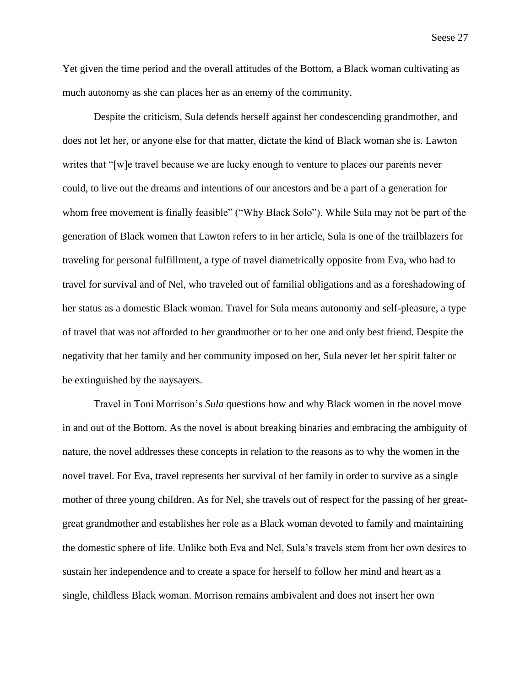Yet given the time period and the overall attitudes of the Bottom, a Black woman cultivating as much autonomy as she can places her as an enemy of the community.

Despite the criticism, Sula defends herself against her condescending grandmother, and does not let her, or anyone else for that matter, dictate the kind of Black woman she is. Lawton writes that "[w]e travel because we are lucky enough to venture to places our parents never could, to live out the dreams and intentions of our ancestors and be a part of a generation for whom free movement is finally feasible" ("Why Black Solo"). While Sula may not be part of the generation of Black women that Lawton refers to in her article, Sula is one of the trailblazers for traveling for personal fulfillment, a type of travel diametrically opposite from Eva, who had to travel for survival and of Nel, who traveled out of familial obligations and as a foreshadowing of her status as a domestic Black woman. Travel for Sula means autonomy and self-pleasure, a type of travel that was not afforded to her grandmother or to her one and only best friend. Despite the negativity that her family and her community imposed on her, Sula never let her spirit falter or be extinguished by the naysayers.

Travel in Toni Morrison's *Sula* questions how and why Black women in the novel move in and out of the Bottom. As the novel is about breaking binaries and embracing the ambiguity of nature, the novel addresses these concepts in relation to the reasons as to why the women in the novel travel. For Eva, travel represents her survival of her family in order to survive as a single mother of three young children. As for Nel, she travels out of respect for the passing of her greatgreat grandmother and establishes her role as a Black woman devoted to family and maintaining the domestic sphere of life. Unlike both Eva and Nel, Sula's travels stem from her own desires to sustain her independence and to create a space for herself to follow her mind and heart as a single, childless Black woman. Morrison remains ambivalent and does not insert her own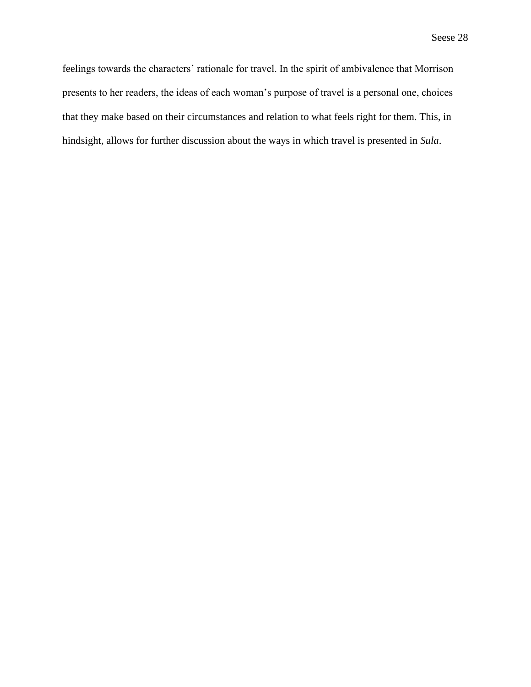feelings towards the characters' rationale for travel. In the spirit of ambivalence that Morrison presents to her readers, the ideas of each woman's purpose of travel is a personal one, choices that they make based on their circumstances and relation to what feels right for them. This, in hindsight, allows for further discussion about the ways in which travel is presented in *Sula*.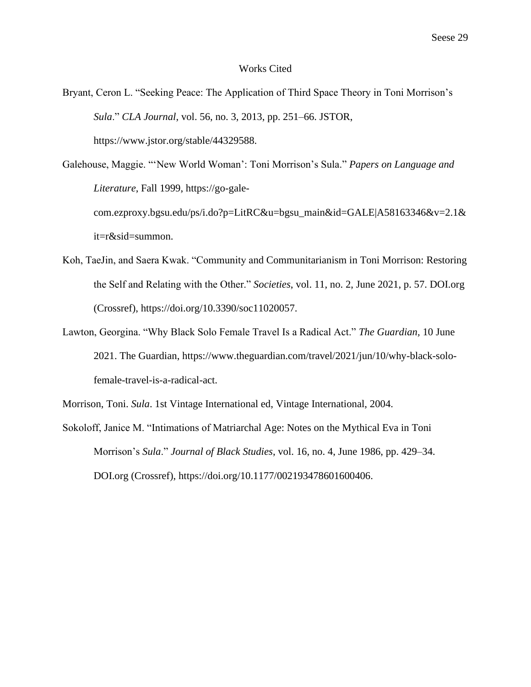### Works Cited

- Bryant, Ceron L. "Seeking Peace: The Application of Third Space Theory in Toni Morrison's *Sula*." *CLA Journal*, vol. 56, no. 3, 2013, pp. 251–66. JSTOR, https://www.jstor.org/stable/44329588.
- Galehouse, Maggie. "'New World Woman': Toni Morrison's Sula." *Papers on Language and Literature*, Fall 1999, https://go-gale-

com.ezproxy.bgsu.edu/ps/i.do?p=LitRC&u=bgsu\_main&id=GALE|A58163346&v=2.1& it=r&sid=summon.

- Koh, TaeJin, and Saera Kwak. "Community and Communitarianism in Toni Morrison: Restoring the Self and Relating with the Other." *Societies*, vol. 11, no. 2, June 2021, p. 57. DOI.org (Crossref), https://doi.org/10.3390/soc11020057.
- Lawton, Georgina. "Why Black Solo Female Travel Is a Radical Act." *The Guardian,* 10 June 2021. The Guardian, https://www.theguardian.com/travel/2021/jun/10/why-black-solofemale-travel-is-a-radical-act.

Morrison, Toni. *Sula*. 1st Vintage International ed, Vintage International, 2004.

Sokoloff, Janice M. "Intimations of Matriarchal Age: Notes on the Mythical Eva in Toni Morrison's *Sula*." *Journal of Black Studies*, vol. 16, no. 4, June 1986, pp. 429–34. DOI.org (Crossref), https://doi.org/10.1177/002193478601600406.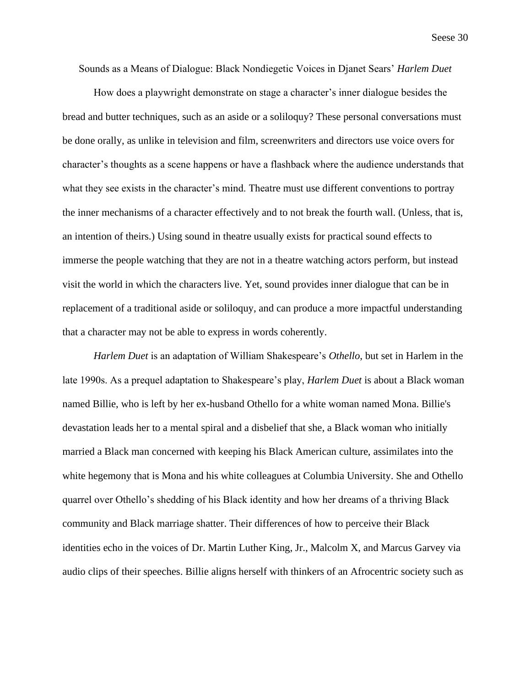Sounds as a Means of Dialogue: Black Nondiegetic Voices in Djanet Sears' *Harlem Duet*

How does a playwright demonstrate on stage a character's inner dialogue besides the bread and butter techniques, such as an aside or a soliloquy? These personal conversations must be done orally, as unlike in television and film, screenwriters and directors use voice overs for character's thoughts as a scene happens or have a flashback where the audience understands that what they see exists in the character's mind. Theatre must use different conventions to portray the inner mechanisms of a character effectively and to not break the fourth wall. (Unless, that is, an intention of theirs.) Using sound in theatre usually exists for practical sound effects to immerse the people watching that they are not in a theatre watching actors perform, but instead visit the world in which the characters live. Yet, sound provides inner dialogue that can be in replacement of a traditional aside or soliloquy, and can produce a more impactful understanding that a character may not be able to express in words coherently.

*Harlem Duet* is an adaptation of William Shakespeare's *Othello*, but set in Harlem in the late 1990s. As a prequel adaptation to Shakespeare's play, *Harlem Duet* is about a Black woman named Billie, who is left by her ex-husband Othello for a white woman named Mona. Billie's devastation leads her to a mental spiral and a disbelief that she, a Black woman who initially married a Black man concerned with keeping his Black American culture, assimilates into the white hegemony that is Mona and his white colleagues at Columbia University. She and Othello quarrel over Othello's shedding of his Black identity and how her dreams of a thriving Black community and Black marriage shatter. Their differences of how to perceive their Black identities echo in the voices of Dr. Martin Luther King, Jr., Malcolm X, and Marcus Garvey via audio clips of their speeches. Billie aligns herself with thinkers of an Afrocentric society such as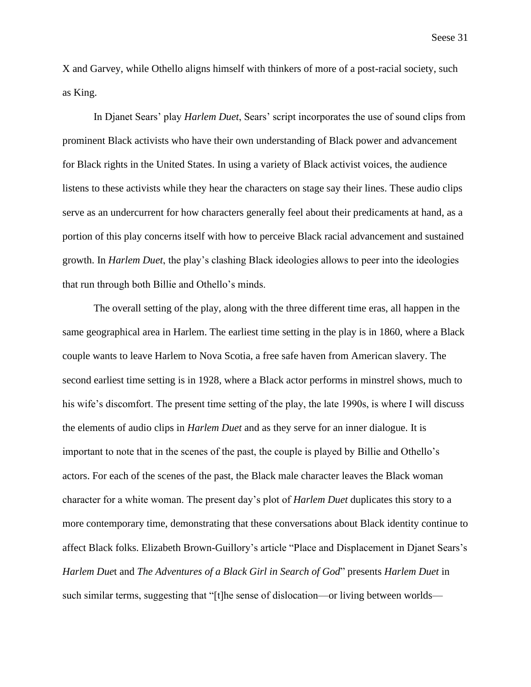X and Garvey, while Othello aligns himself with thinkers of more of a post-racial society, such as King.

In Djanet Sears' play *Harlem Duet*, Sears' script incorporates the use of sound clips from prominent Black activists who have their own understanding of Black power and advancement for Black rights in the United States. In using a variety of Black activist voices, the audience listens to these activists while they hear the characters on stage say their lines. These audio clips serve as an undercurrent for how characters generally feel about their predicaments at hand, as a portion of this play concerns itself with how to perceive Black racial advancement and sustained growth. In *Harlem Duet*, the play's clashing Black ideologies allows to peer into the ideologies that run through both Billie and Othello's minds.

The overall setting of the play, along with the three different time eras, all happen in the same geographical area in Harlem. The earliest time setting in the play is in 1860, where a Black couple wants to leave Harlem to Nova Scotia, a free safe haven from American slavery. The second earliest time setting is in 1928, where a Black actor performs in minstrel shows, much to his wife's discomfort. The present time setting of the play, the late 1990s, is where I will discuss the elements of audio clips in *Harlem Duet* and as they serve for an inner dialogue. It is important to note that in the scenes of the past, the couple is played by Billie and Othello's actors. For each of the scenes of the past, the Black male character leaves the Black woman character for a white woman. The present day's plot of *Harlem Duet* duplicates this story to a more contemporary time, demonstrating that these conversations about Black identity continue to affect Black folks. Elizabeth Brown-Guillory's article "Place and Displacement in Djanet Sears's *Harlem Due*t and *The Adventures of a Black Girl in Search of God*" presents *Harlem Duet* in such similar terms, suggesting that "[t]he sense of dislocation—or living between worlds—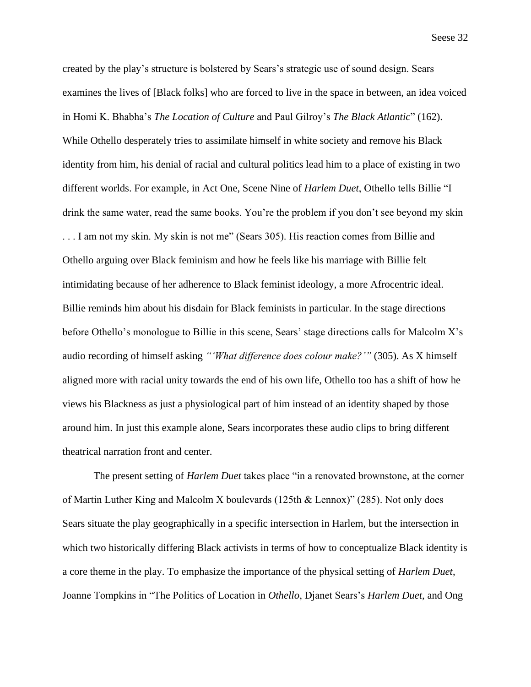created by the play's structure is bolstered by Sears's strategic use of sound design. Sears examines the lives of [Black folks] who are forced to live in the space in between, an idea voiced in Homi K. Bhabha's *The Location of Culture* and Paul Gilroy's *The Black Atlantic*" (162). While Othello desperately tries to assimilate himself in white society and remove his Black identity from him, his denial of racial and cultural politics lead him to a place of existing in two different worlds. For example, in Act One, Scene Nine of *Harlem Duet*, Othello tells Billie "I drink the same water, read the same books. You're the problem if you don't see beyond my skin . . . I am not my skin. My skin is not me" (Sears 305). His reaction comes from Billie and Othello arguing over Black feminism and how he feels like his marriage with Billie felt intimidating because of her adherence to Black feminist ideology, a more Afrocentric ideal. Billie reminds him about his disdain for Black feminists in particular. In the stage directions before Othello's monologue to Billie in this scene, Sears' stage directions calls for Malcolm X's audio recording of himself asking *"'What difference does colour make?'"* (305). As X himself aligned more with racial unity towards the end of his own life, Othello too has a shift of how he views his Blackness as just a physiological part of him instead of an identity shaped by those around him. In just this example alone, Sears incorporates these audio clips to bring different theatrical narration front and center.

The present setting of *Harlem Duet* takes place "in a renovated brownstone, at the corner of Martin Luther King and Malcolm X boulevards (125th & Lennox)" (285). Not only does Sears situate the play geographically in a specific intersection in Harlem, but the intersection in which two historically differing Black activists in terms of how to conceptualize Black identity is a core theme in the play. To emphasize the importance of the physical setting of *Harlem Duet*, Joanne Tompkins in "The Politics of Location in *Othello*, Djanet Sears's *Harlem Duet*, and Ong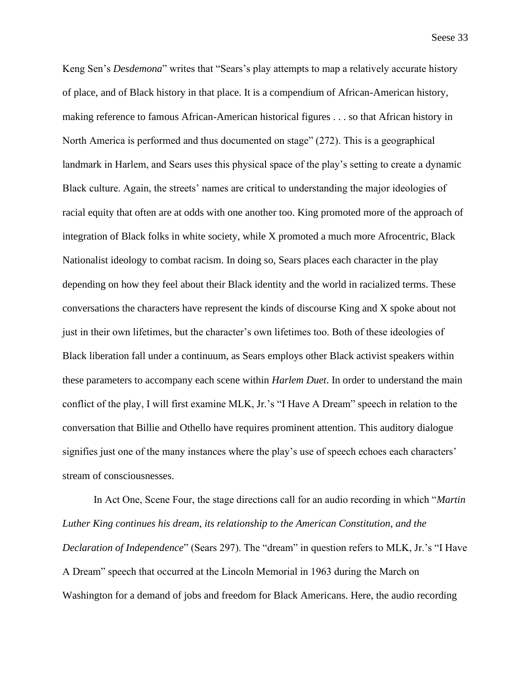Keng Sen's *Desdemona*" writes that "Sears's play attempts to map a relatively accurate history of place, and of Black history in that place. It is a compendium of African-American history, making reference to famous African-American historical figures . . . so that African history in North America is performed and thus documented on stage" (272). This is a geographical landmark in Harlem, and Sears uses this physical space of the play's setting to create a dynamic Black culture. Again, the streets' names are critical to understanding the major ideologies of racial equity that often are at odds with one another too. King promoted more of the approach of integration of Black folks in white society, while X promoted a much more Afrocentric, Black Nationalist ideology to combat racism. In doing so, Sears places each character in the play depending on how they feel about their Black identity and the world in racialized terms. These conversations the characters have represent the kinds of discourse King and X spoke about not just in their own lifetimes, but the character's own lifetimes too. Both of these ideologies of Black liberation fall under a continuum, as Sears employs other Black activist speakers within these parameters to accompany each scene within *Harlem Duet*. In order to understand the main conflict of the play, I will first examine MLK, Jr.'s "I Have A Dream" speech in relation to the conversation that Billie and Othello have requires prominent attention. This auditory dialogue signifies just one of the many instances where the play's use of speech echoes each characters' stream of consciousnesses.

In Act One, Scene Four, the stage directions call for an audio recording in which "*Martin Luther King continues his dream, its relationship to the American Constitution, and the Declaration of Independence*" (Sears 297). The "dream" in question refers to MLK, Jr.'s "I Have A Dream" speech that occurred at the Lincoln Memorial in 1963 during the March on Washington for a demand of jobs and freedom for Black Americans. Here, the audio recording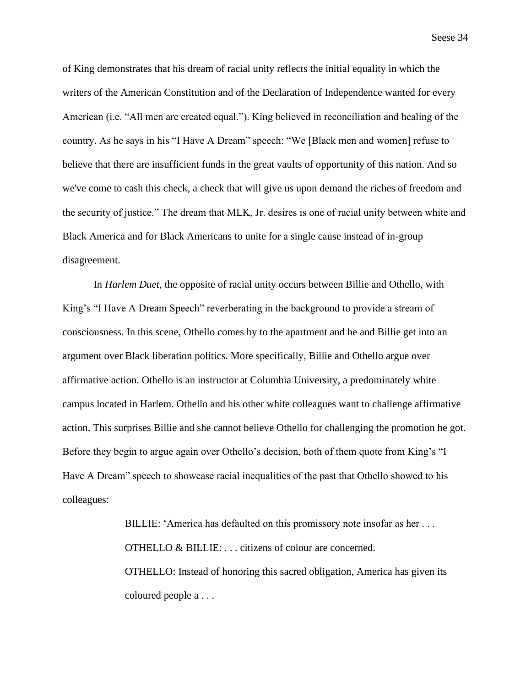of King demonstrates that his dream of racial unity reflects the initial equality in which the writers of the American Constitution and of the Declaration of Independence wanted for every American (i.e. "All men are created equal."). King believed in reconciliation and healing of the country. As he says in his "I Have A Dream" speech: "We [Black men and women] refuse to believe that there are insufficient funds in the great vaults of opportunity of this nation. And so we've come to cash this check, a check that will give us upon demand the riches of freedom and the security of justice." The dream that MLK, Jr. desires is one of racial unity between white and Black America and for Black Americans to unite for a single cause instead of in-group disagreement.

In *Harlem Duet*, the opposite of racial unity occurs between Billie and Othello, with King's "I Have A Dream Speech" reverberating in the background to provide a stream of consciousness. In this scene, Othello comes by to the apartment and he and Billie get into an argument over Black liberation politics. More specifically, Billie and Othello argue over affirmative action. Othello is an instructor at Columbia University, a predominately white campus located in Harlem. Othello and his other white colleagues want to challenge affirmative action. This surprises Billie and she cannot believe Othello for challenging the promotion he got. Before they begin to argue again over Othello's decision, both of them quote from King's "I Have A Dream" speech to showcase racial inequalities of the past that Othello showed to his colleagues:

> BILLIE: 'America has defaulted on this promissory note insofar as her ... OTHELLO & BILLIE: . . . citizens of colour are concerned. OTHELLO: Instead of honoring this sacred obligation, America has given its coloured people a . . .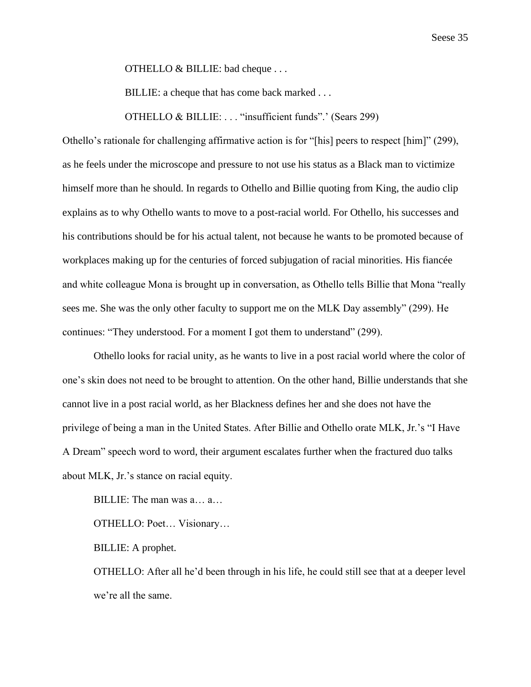OTHELLO & BILLIE: bad cheque . . .

BILLIE: a cheque that has come back marked . . .

OTHELLO & BILLIE: . . . "insufficient funds".' (Sears 299)

Othello's rationale for challenging affirmative action is for "[his] peers to respect [him]" (299), as he feels under the microscope and pressure to not use his status as a Black man to victimize himself more than he should. In regards to Othello and Billie quoting from King, the audio clip explains as to why Othello wants to move to a post-racial world. For Othello, his successes and his contributions should be for his actual talent, not because he wants to be promoted because of workplaces making up for the centuries of forced subjugation of racial minorities. His fiancée and white colleague Mona is brought up in conversation, as Othello tells Billie that Mona "really sees me. She was the only other faculty to support me on the MLK Day assembly" (299). He continues: "They understood. For a moment I got them to understand" (299).

Othello looks for racial unity, as he wants to live in a post racial world where the color of one's skin does not need to be brought to attention. On the other hand, Billie understands that she cannot live in a post racial world, as her Blackness defines her and she does not have the privilege of being a man in the United States. After Billie and Othello orate MLK, Jr.'s "I Have A Dream" speech word to word, their argument escalates further when the fractured duo talks about MLK, Jr.'s stance on racial equity.

BILLIE: The man was a… a…

OTHELLO: Poet… Visionary…

BILLIE: A prophet.

OTHELLO: After all he'd been through in his life, he could still see that at a deeper level we're all the same.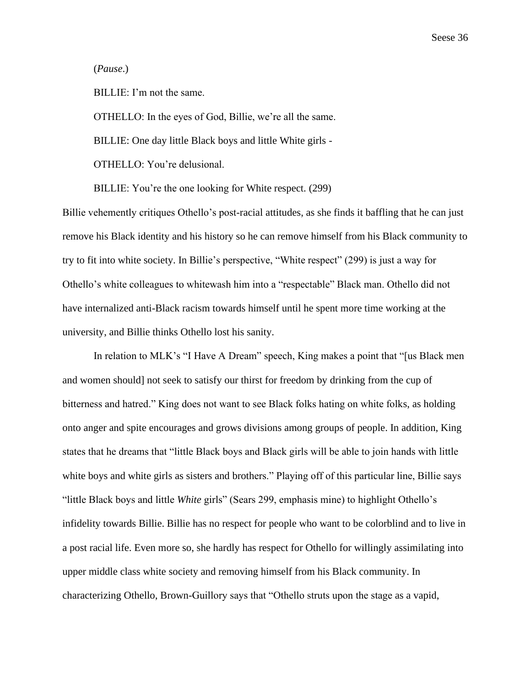(*Pause*.)

BILLIE: I'm not the same.

OTHELLO: In the eyes of God, Billie, we're all the same.

BILLIE: One day little Black boys and little White girls -

OTHELLO: You're delusional.

BILLIE: You're the one looking for White respect. (299)

Billie vehemently critiques Othello's post-racial attitudes, as she finds it baffling that he can just remove his Black identity and his history so he can remove himself from his Black community to try to fit into white society. In Billie's perspective, "White respect" (299) is just a way for Othello's white colleagues to whitewash him into a "respectable" Black man. Othello did not have internalized anti-Black racism towards himself until he spent more time working at the university, and Billie thinks Othello lost his sanity.

In relation to MLK's "I Have A Dream" speech, King makes a point that "[us Black men and women should] not seek to satisfy our thirst for freedom by drinking from the cup of bitterness and hatred." King does not want to see Black folks hating on white folks, as holding onto anger and spite encourages and grows divisions among groups of people. In addition, King states that he dreams that "little Black boys and Black girls will be able to join hands with little white boys and white girls as sisters and brothers." Playing off of this particular line, Billie says "little Black boys and little *White* girls" (Sears 299, emphasis mine) to highlight Othello's infidelity towards Billie. Billie has no respect for people who want to be colorblind and to live in a post racial life. Even more so, she hardly has respect for Othello for willingly assimilating into upper middle class white society and removing himself from his Black community. In characterizing Othello, Brown-Guillory says that "Othello struts upon the stage as a vapid,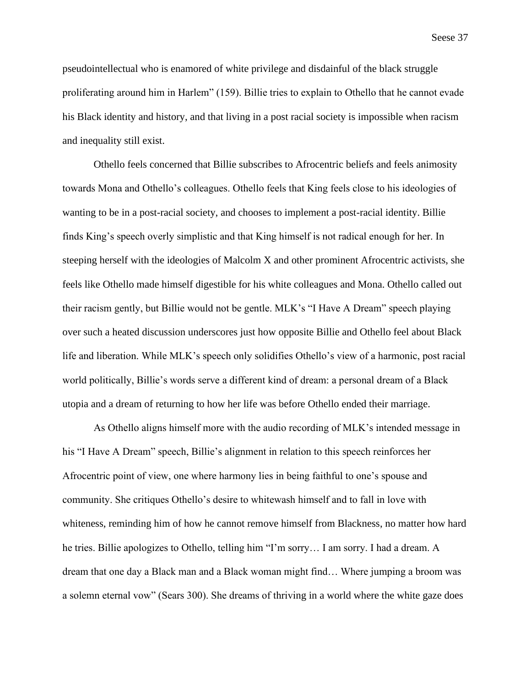pseudointellectual who is enamored of white privilege and disdainful of the black struggle proliferating around him in Harlem" (159). Billie tries to explain to Othello that he cannot evade his Black identity and history, and that living in a post racial society is impossible when racism and inequality still exist.

Othello feels concerned that Billie subscribes to Afrocentric beliefs and feels animosity towards Mona and Othello's colleagues. Othello feels that King feels close to his ideologies of wanting to be in a post-racial society, and chooses to implement a post-racial identity. Billie finds King's speech overly simplistic and that King himself is not radical enough for her. In steeping herself with the ideologies of Malcolm X and other prominent Afrocentric activists, she feels like Othello made himself digestible for his white colleagues and Mona. Othello called out their racism gently, but Billie would not be gentle. MLK's "I Have A Dream" speech playing over such a heated discussion underscores just how opposite Billie and Othello feel about Black life and liberation. While MLK's speech only solidifies Othello's view of a harmonic, post racial world politically, Billie's words serve a different kind of dream: a personal dream of a Black utopia and a dream of returning to how her life was before Othello ended their marriage.

As Othello aligns himself more with the audio recording of MLK's intended message in his "I Have A Dream" speech, Billie's alignment in relation to this speech reinforces her Afrocentric point of view, one where harmony lies in being faithful to one's spouse and community. She critiques Othello's desire to whitewash himself and to fall in love with whiteness, reminding him of how he cannot remove himself from Blackness, no matter how hard he tries. Billie apologizes to Othello, telling him "I'm sorry… I am sorry. I had a dream. A dream that one day a Black man and a Black woman might find… Where jumping a broom was a solemn eternal vow" (Sears 300). She dreams of thriving in a world where the white gaze does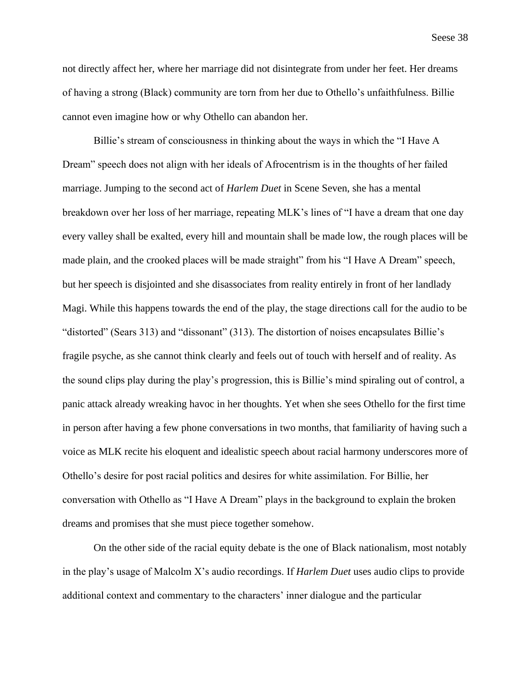not directly affect her, where her marriage did not disintegrate from under her feet. Her dreams of having a strong (Black) community are torn from her due to Othello's unfaithfulness. Billie cannot even imagine how or why Othello can abandon her.

Billie's stream of consciousness in thinking about the ways in which the "I Have A Dream" speech does not align with her ideals of Afrocentrism is in the thoughts of her failed marriage. Jumping to the second act of *Harlem Duet* in Scene Seven, she has a mental breakdown over her loss of her marriage, repeating MLK's lines of "I have a dream that one day every valley shall be exalted, every hill and mountain shall be made low, the rough places will be made plain, and the crooked places will be made straight" from his "I Have A Dream" speech, but her speech is disjointed and she disassociates from reality entirely in front of her landlady Magi. While this happens towards the end of the play, the stage directions call for the audio to be "distorted" (Sears 313) and "dissonant" (313). The distortion of noises encapsulates Billie's fragile psyche, as she cannot think clearly and feels out of touch with herself and of reality. As the sound clips play during the play's progression, this is Billie's mind spiraling out of control, a panic attack already wreaking havoc in her thoughts. Yet when she sees Othello for the first time in person after having a few phone conversations in two months, that familiarity of having such a voice as MLK recite his eloquent and idealistic speech about racial harmony underscores more of Othello's desire for post racial politics and desires for white assimilation. For Billie, her conversation with Othello as "I Have A Dream" plays in the background to explain the broken dreams and promises that she must piece together somehow.

On the other side of the racial equity debate is the one of Black nationalism, most notably in the play's usage of Malcolm X's audio recordings. If *Harlem Duet* uses audio clips to provide additional context and commentary to the characters' inner dialogue and the particular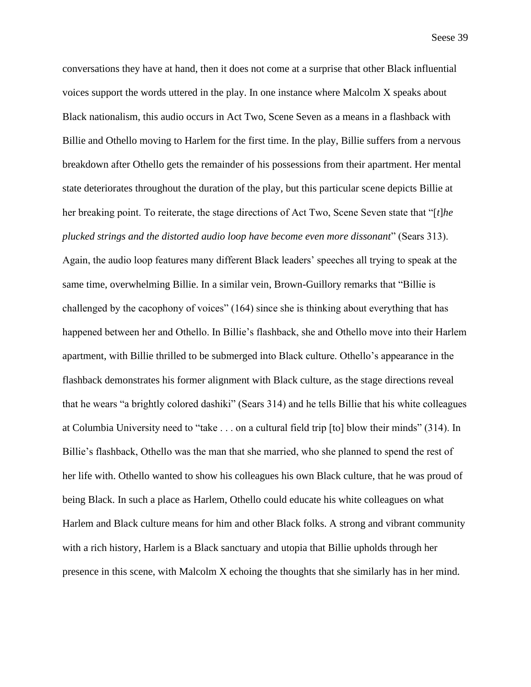conversations they have at hand, then it does not come at a surprise that other Black influential voices support the words uttered in the play. In one instance where Malcolm X speaks about Black nationalism, this audio occurs in Act Two, Scene Seven as a means in a flashback with Billie and Othello moving to Harlem for the first time. In the play, Billie suffers from a nervous breakdown after Othello gets the remainder of his possessions from their apartment. Her mental state deteriorates throughout the duration of the play, but this particular scene depicts Billie at her breaking point. To reiterate, the stage directions of Act Two, Scene Seven state that "[*t*]*he plucked strings and the distorted audio loop have become even more dissonant*" (Sears 313). Again, the audio loop features many different Black leaders' speeches all trying to speak at the same time, overwhelming Billie. In a similar vein, Brown-Guillory remarks that "Billie is challenged by the cacophony of voices" (164) since she is thinking about everything that has happened between her and Othello. In Billie's flashback, she and Othello move into their Harlem apartment, with Billie thrilled to be submerged into Black culture. Othello's appearance in the flashback demonstrates his former alignment with Black culture, as the stage directions reveal that he wears "a brightly colored dashiki" (Sears 314) and he tells Billie that his white colleagues at Columbia University need to "take . . . on a cultural field trip [to] blow their minds" (314). In Billie's flashback, Othello was the man that she married, who she planned to spend the rest of her life with. Othello wanted to show his colleagues his own Black culture, that he was proud of being Black. In such a place as Harlem, Othello could educate his white colleagues on what Harlem and Black culture means for him and other Black folks. A strong and vibrant community with a rich history, Harlem is a Black sanctuary and utopia that Billie upholds through her presence in this scene, with Malcolm X echoing the thoughts that she similarly has in her mind.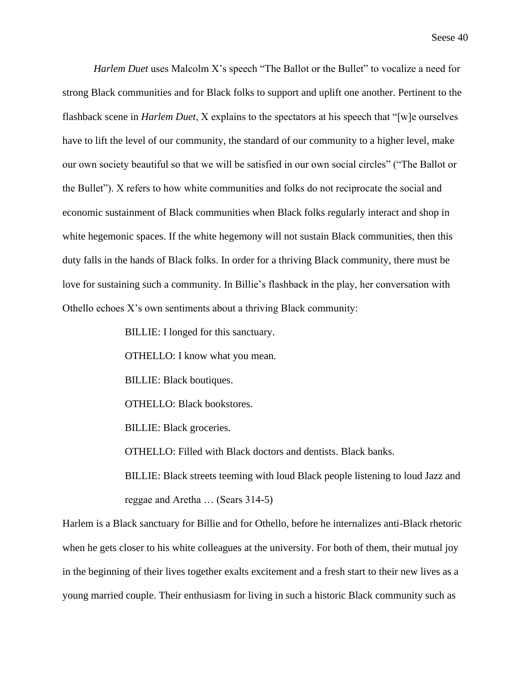*Harlem Duet* uses Malcolm X's speech "The Ballot or the Bullet" to vocalize a need for strong Black communities and for Black folks to support and uplift one another. Pertinent to the flashback scene in *Harlem Duet*, X explains to the spectators at his speech that "[w]e ourselves have to lift the level of our community, the standard of our community to a higher level, make our own society beautiful so that we will be satisfied in our own social circles" ("The Ballot or the Bullet"). X refers to how white communities and folks do not reciprocate the social and economic sustainment of Black communities when Black folks regularly interact and shop in white hegemonic spaces. If the white hegemony will not sustain Black communities, then this duty falls in the hands of Black folks. In order for a thriving Black community, there must be love for sustaining such a community. In Billie's flashback in the play, her conversation with Othello echoes X's own sentiments about a thriving Black community:

BILLIE: I longed for this sanctuary.

OTHELLO: I know what you mean.

BILLIE: Black boutiques.

OTHELLO: Black bookstores.

BILLIE: Black groceries.

OTHELLO: Filled with Black doctors and dentists. Black banks.

BILLIE: Black streets teeming with loud Black people listening to loud Jazz and reggae and Aretha … (Sears 314-5)

Harlem is a Black sanctuary for Billie and for Othello, before he internalizes anti-Black rhetoric when he gets closer to his white colleagues at the university. For both of them, their mutual joy in the beginning of their lives together exalts excitement and a fresh start to their new lives as a young married couple. Their enthusiasm for living in such a historic Black community such as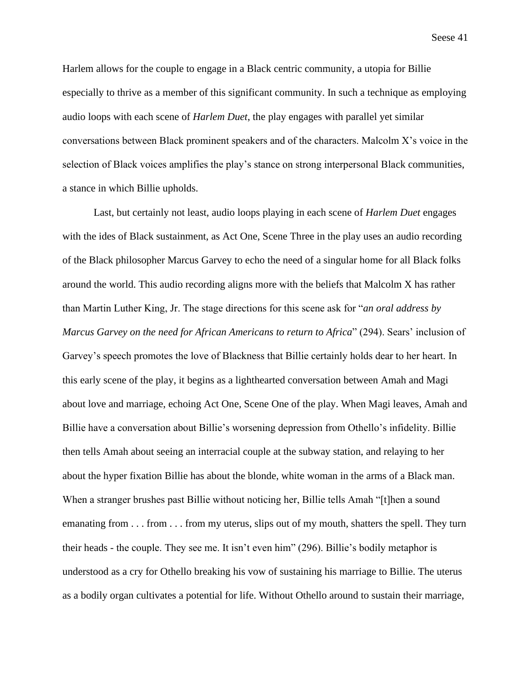Harlem allows for the couple to engage in a Black centric community, a utopia for Billie especially to thrive as a member of this significant community. In such a technique as employing audio loops with each scene of *Harlem Duet*, the play engages with parallel yet similar conversations between Black prominent speakers and of the characters. Malcolm X's voice in the selection of Black voices amplifies the play's stance on strong interpersonal Black communities, a stance in which Billie upholds.

Last, but certainly not least, audio loops playing in each scene of *Harlem Duet* engages with the ides of Black sustainment, as Act One, Scene Three in the play uses an audio recording of the Black philosopher Marcus Garvey to echo the need of a singular home for all Black folks around the world. This audio recording aligns more with the beliefs that Malcolm X has rather than Martin Luther King, Jr. The stage directions for this scene ask for "*an oral address by Marcus Garvey on the need for African Americans to return to Africa*" (294). Sears' inclusion of Garvey's speech promotes the love of Blackness that Billie certainly holds dear to her heart. In this early scene of the play, it begins as a lighthearted conversation between Amah and Magi about love and marriage, echoing Act One, Scene One of the play. When Magi leaves, Amah and Billie have a conversation about Billie's worsening depression from Othello's infidelity. Billie then tells Amah about seeing an interracial couple at the subway station, and relaying to her about the hyper fixation Billie has about the blonde, white woman in the arms of a Black man. When a stranger brushes past Billie without noticing her, Billie tells Amah "[t]hen a sound emanating from . . . from . . . from my uterus, slips out of my mouth, shatters the spell. They turn their heads - the couple. They see me. It isn't even him" (296). Billie's bodily metaphor is understood as a cry for Othello breaking his vow of sustaining his marriage to Billie. The uterus as a bodily organ cultivates a potential for life. Without Othello around to sustain their marriage,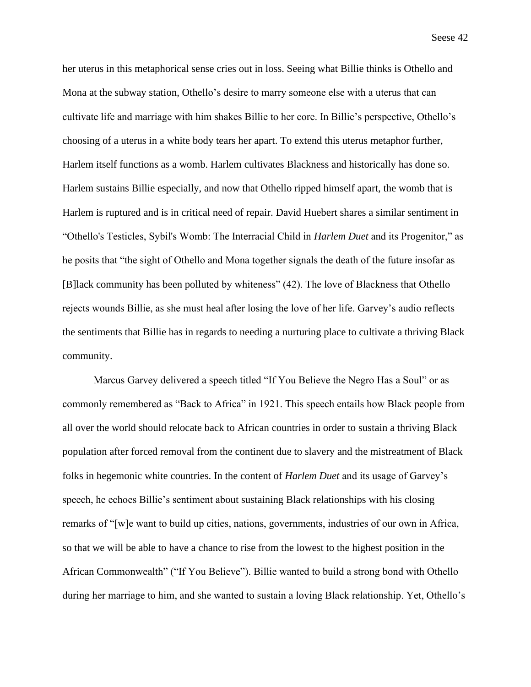her uterus in this metaphorical sense cries out in loss. Seeing what Billie thinks is Othello and Mona at the subway station, Othello's desire to marry someone else with a uterus that can cultivate life and marriage with him shakes Billie to her core. In Billie's perspective, Othello's choosing of a uterus in a white body tears her apart. To extend this uterus metaphor further, Harlem itself functions as a womb. Harlem cultivates Blackness and historically has done so. Harlem sustains Billie especially, and now that Othello ripped himself apart, the womb that is Harlem is ruptured and is in critical need of repair. David Huebert shares a similar sentiment in "Othello's Testicles, Sybil's Womb: The Interracial Child in *Harlem Duet* and its Progenitor," as he posits that "the sight of Othello and Mona together signals the death of the future insofar as [B]lack community has been polluted by whiteness" (42). The love of Blackness that Othello rejects wounds Billie, as she must heal after losing the love of her life. Garvey's audio reflects the sentiments that Billie has in regards to needing a nurturing place to cultivate a thriving Black community.

Marcus Garvey delivered a speech titled "If You Believe the Negro Has a Soul" or as commonly remembered as "Back to Africa" in 1921. This speech entails how Black people from all over the world should relocate back to African countries in order to sustain a thriving Black population after forced removal from the continent due to slavery and the mistreatment of Black folks in hegemonic white countries. In the content of *Harlem Duet* and its usage of Garvey's speech, he echoes Billie's sentiment about sustaining Black relationships with his closing remarks of "[w]e want to build up cities, nations, governments, industries of our own in Africa, so that we will be able to have a chance to rise from the lowest to the highest position in the African Commonwealth" ("If You Believe"). Billie wanted to build a strong bond with Othello during her marriage to him, and she wanted to sustain a loving Black relationship. Yet, Othello's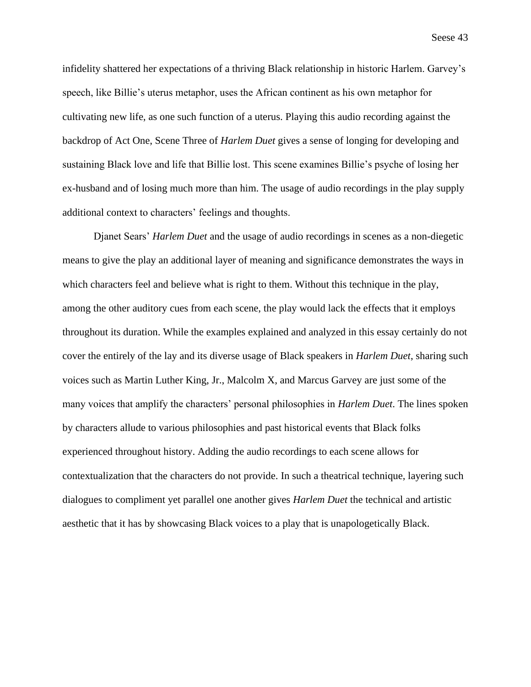infidelity shattered her expectations of a thriving Black relationship in historic Harlem. Garvey's speech, like Billie's uterus metaphor, uses the African continent as his own metaphor for cultivating new life, as one such function of a uterus. Playing this audio recording against the backdrop of Act One, Scene Three of *Harlem Duet* gives a sense of longing for developing and sustaining Black love and life that Billie lost. This scene examines Billie's psyche of losing her ex-husband and of losing much more than him. The usage of audio recordings in the play supply additional context to characters' feelings and thoughts.

Djanet Sears' *Harlem Duet* and the usage of audio recordings in scenes as a non-diegetic means to give the play an additional layer of meaning and significance demonstrates the ways in which characters feel and believe what is right to them. Without this technique in the play, among the other auditory cues from each scene, the play would lack the effects that it employs throughout its duration. While the examples explained and analyzed in this essay certainly do not cover the entirely of the lay and its diverse usage of Black speakers in *Harlem Duet*, sharing such voices such as Martin Luther King, Jr., Malcolm X, and Marcus Garvey are just some of the many voices that amplify the characters' personal philosophies in *Harlem Duet*. The lines spoken by characters allude to various philosophies and past historical events that Black folks experienced throughout history. Adding the audio recordings to each scene allows for contextualization that the characters do not provide. In such a theatrical technique, layering such dialogues to compliment yet parallel one another gives *Harlem Duet* the technical and artistic aesthetic that it has by showcasing Black voices to a play that is unapologetically Black.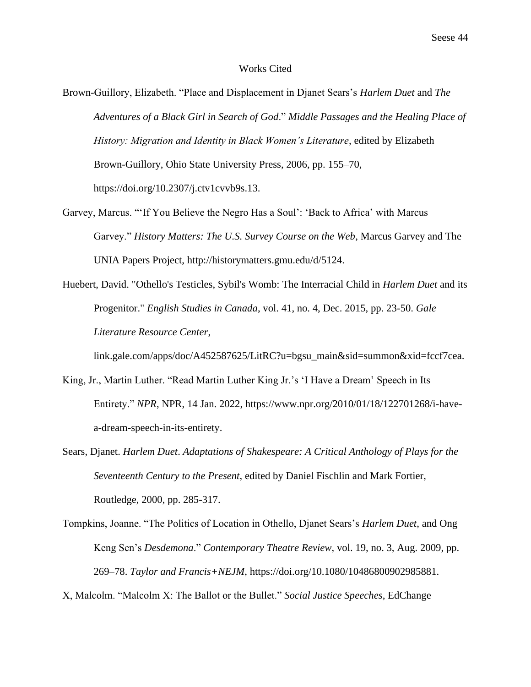## Works Cited

- Brown-Guillory, Elizabeth. "Place and Displacement in Djanet Sears's *Harlem Duet* and *The Adventures of a Black Girl in Search of God*." *Middle Passages and the Healing Place of History: Migration and Identity in Black Women's Literature*, edited by Elizabeth Brown-Guillory, Ohio State University Press, 2006, pp. 155–70, https://doi.org/10.2307/j.ctv1cvvb9s.13.
- Garvey, Marcus. "'If You Believe the Negro Has a Soul': 'Back to Africa' with Marcus Garvey." *History Matters: The U.S. Survey Course on the Web*, Marcus Garvey and The UNIA Papers Project, http://historymatters.gmu.edu/d/5124.
- Huebert, David. "Othello's Testicles, Sybil's Womb: The Interracial Child in *Harlem Duet* and its Progenitor." *English Studies in Canada*, vol. 41, no. 4, Dec. 2015, pp. 23-50. *Gale Literature Resource Center*,

link.gale.com/apps/doc/A452587625/LitRC?u=bgsu\_main&sid=summon&xid=fccf7cea.

- King, Jr., Martin Luther. "Read Martin Luther King Jr.'s 'I Have a Dream' Speech in Its Entirety." *NPR*, NPR, 14 Jan. 2022, https://www.npr.org/2010/01/18/122701268/i-havea-dream-speech-in-its-entirety.
- Sears, Djanet. *Harlem Duet*. *Adaptations of Shakespeare: A Critical Anthology of Plays for the Seventeenth Century to the Present*, edited by Daniel Fischlin and Mark Fortier, Routledge, 2000, pp. 285-317.
- Tompkins, Joanne. "The Politics of Location in Othello, Djanet Sears's *Harlem Duet*, and Ong Keng Sen's *Desdemona*." *Contemporary Theatre Review*, vol. 19, no. 3, Aug. 2009, pp. 269–78. *Taylor and Francis+NEJM*, https://doi.org/10.1080/10486800902985881.

X, Malcolm. "Malcolm X: The Ballot or the Bullet." *Social Justice Speeches*, EdChange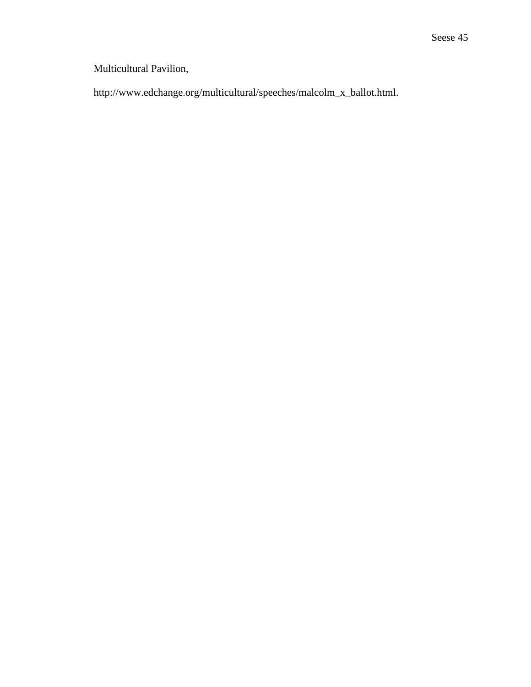Multicultural Pavilion,

http://www.edchange.org/multicultural/speeches/malcolm\_x\_ballot.html.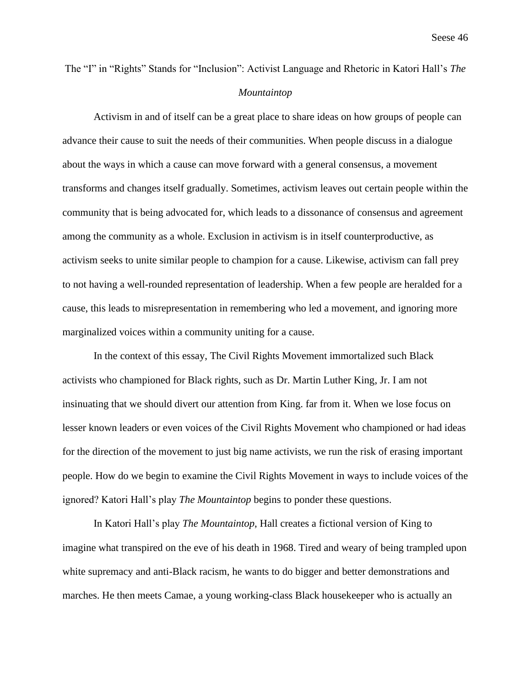The "I" in "Rights" Stands for "Inclusion": Activist Language and Rhetoric in Katori Hall's *The Mountaintop*

Activism in and of itself can be a great place to share ideas on how groups of people can advance their cause to suit the needs of their communities. When people discuss in a dialogue about the ways in which a cause can move forward with a general consensus, a movement transforms and changes itself gradually. Sometimes, activism leaves out certain people within the community that is being advocated for, which leads to a dissonance of consensus and agreement among the community as a whole. Exclusion in activism is in itself counterproductive, as activism seeks to unite similar people to champion for a cause. Likewise, activism can fall prey to not having a well-rounded representation of leadership. When a few people are heralded for a cause, this leads to misrepresentation in remembering who led a movement, and ignoring more marginalized voices within a community uniting for a cause.

In the context of this essay, The Civil Rights Movement immortalized such Black activists who championed for Black rights, such as Dr. Martin Luther King, Jr. I am not insinuating that we should divert our attention from King. far from it. When we lose focus on lesser known leaders or even voices of the Civil Rights Movement who championed or had ideas for the direction of the movement to just big name activists, we run the risk of erasing important people. How do we begin to examine the Civil Rights Movement in ways to include voices of the ignored? Katori Hall's play *The Mountaintop* begins to ponder these questions.

In Katori Hall's play *The Mountaintop*, Hall creates a fictional version of King to imagine what transpired on the eve of his death in 1968. Tired and weary of being trampled upon white supremacy and anti-Black racism, he wants to do bigger and better demonstrations and marches. He then meets Camae, a young working-class Black housekeeper who is actually an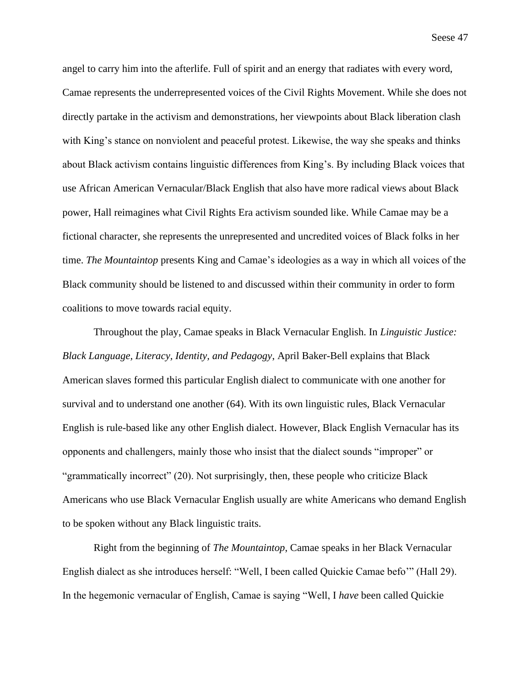angel to carry him into the afterlife. Full of spirit and an energy that radiates with every word, Camae represents the underrepresented voices of the Civil Rights Movement. While she does not directly partake in the activism and demonstrations, her viewpoints about Black liberation clash with King's stance on nonviolent and peaceful protest. Likewise, the way she speaks and thinks about Black activism contains linguistic differences from King's. By including Black voices that use African American Vernacular/Black English that also have more radical views about Black power, Hall reimagines what Civil Rights Era activism sounded like. While Camae may be a fictional character, she represents the unrepresented and uncredited voices of Black folks in her time. *The Mountaintop* presents King and Camae's ideologies as a way in which all voices of the Black community should be listened to and discussed within their community in order to form coalitions to move towards racial equity.

Throughout the play, Camae speaks in Black Vernacular English. In *Linguistic Justice: Black Language, Literacy, Identity, and Pedagogy*, April Baker-Bell explains that Black American slaves formed this particular English dialect to communicate with one another for survival and to understand one another (64). With its own linguistic rules, Black Vernacular English is rule-based like any other English dialect. However, Black English Vernacular has its opponents and challengers, mainly those who insist that the dialect sounds "improper" or "grammatically incorrect" (20). Not surprisingly, then, these people who criticize Black Americans who use Black Vernacular English usually are white Americans who demand English to be spoken without any Black linguistic traits.

Right from the beginning of *The Mountaintop*, Camae speaks in her Black Vernacular English dialect as she introduces herself: "Well, I been called Quickie Camae befo'" (Hall 29). In the hegemonic vernacular of English, Camae is saying "Well, I *have* been called Quickie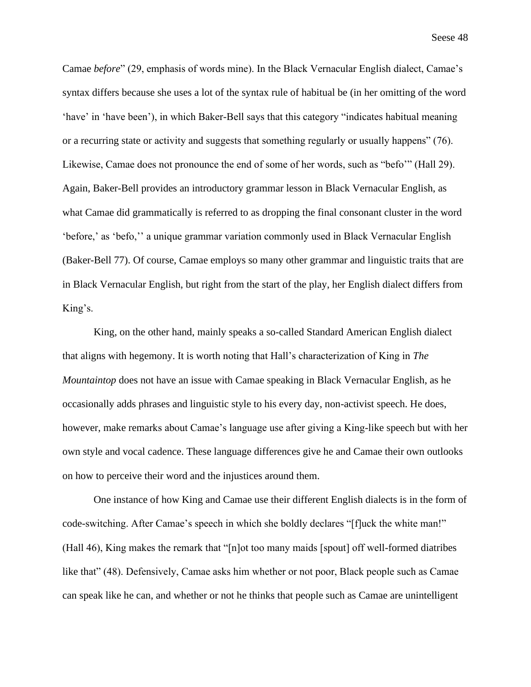Camae *before*" (29, emphasis of words mine). In the Black Vernacular English dialect, Camae's syntax differs because she uses a lot of the syntax rule of habitual be (in her omitting of the word 'have' in 'have been'), in which Baker-Bell says that this category "indicates habitual meaning or a recurring state or activity and suggests that something regularly or usually happens" (76). Likewise, Camae does not pronounce the end of some of her words, such as "befo'" (Hall 29). Again, Baker-Bell provides an introductory grammar lesson in Black Vernacular English, as what Camae did grammatically is referred to as dropping the final consonant cluster in the word 'before,' as 'befo,'' a unique grammar variation commonly used in Black Vernacular English (Baker-Bell 77). Of course, Camae employs so many other grammar and linguistic traits that are in Black Vernacular English, but right from the start of the play, her English dialect differs from King's.

King, on the other hand, mainly speaks a so-called Standard American English dialect that aligns with hegemony. It is worth noting that Hall's characterization of King in *The Mountaintop* does not have an issue with Camae speaking in Black Vernacular English, as he occasionally adds phrases and linguistic style to his every day, non-activist speech. He does, however, make remarks about Camae's language use after giving a King-like speech but with her own style and vocal cadence. These language differences give he and Camae their own outlooks on how to perceive their word and the injustices around them.

One instance of how King and Camae use their different English dialects is in the form of code-switching. After Camae's speech in which she boldly declares "[f]uck the white man!" (Hall 46), King makes the remark that "[n]ot too many maids [spout] off well-formed diatribes like that" (48). Defensively, Camae asks him whether or not poor, Black people such as Camae can speak like he can, and whether or not he thinks that people such as Camae are unintelligent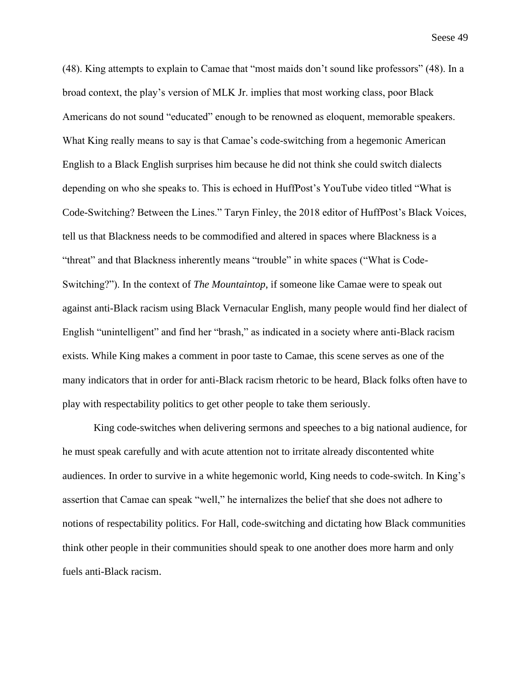(48). King attempts to explain to Camae that "most maids don't sound like professors" (48). In a broad context, the play's version of MLK Jr. implies that most working class, poor Black Americans do not sound "educated" enough to be renowned as eloquent, memorable speakers. What King really means to say is that Camae's code-switching from a hegemonic American English to a Black English surprises him because he did not think she could switch dialects depending on who she speaks to. This is echoed in HuffPost's YouTube video titled "What is Code-Switching? Between the Lines." Taryn Finley, the 2018 editor of HuffPost's Black Voices, tell us that Blackness needs to be commodified and altered in spaces where Blackness is a "threat" and that Blackness inherently means "trouble" in white spaces ("What is Code-Switching?"). In the context of *The Mountaintop*, if someone like Camae were to speak out against anti-Black racism using Black Vernacular English, many people would find her dialect of English "unintelligent" and find her "brash," as indicated in a society where anti-Black racism exists. While King makes a comment in poor taste to Camae, this scene serves as one of the many indicators that in order for anti-Black racism rhetoric to be heard, Black folks often have to play with respectability politics to get other people to take them seriously.

King code-switches when delivering sermons and speeches to a big national audience, for he must speak carefully and with acute attention not to irritate already discontented white audiences. In order to survive in a white hegemonic world, King needs to code-switch. In King's assertion that Camae can speak "well," he internalizes the belief that she does not adhere to notions of respectability politics. For Hall, code-switching and dictating how Black communities think other people in their communities should speak to one another does more harm and only fuels anti-Black racism.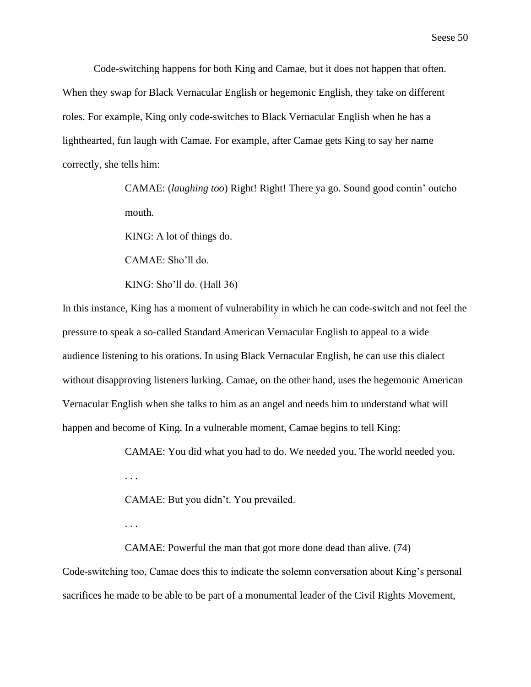Code-switching happens for both King and Camae, but it does not happen that often. When they swap for Black Vernacular English or hegemonic English, they take on different roles. For example, King only code-switches to Black Vernacular English when he has a lighthearted, fun laugh with Camae. For example, after Camae gets King to say her name correctly, she tells him:

> CAMAE: (*laughing too*) Right! Right! There ya go. Sound good comin' outcho mouth.

KING: A lot of things do.

CAMAE: Sho'll do.

KING: Sho'll do. (Hall 36)

In this instance, King has a moment of vulnerability in which he can code-switch and not feel the pressure to speak a so-called Standard American Vernacular English to appeal to a wide audience listening to his orations. In using Black Vernacular English, he can use this dialect without disapproving listeners lurking. Camae, on the other hand, uses the hegemonic American Vernacular English when she talks to him as an angel and needs him to understand what will happen and become of King. In a vulnerable moment, Camae begins to tell King:

> CAMAE: You did what you had to do. We needed you. The world needed you. . . .

CAMAE: But you didn't. You prevailed.

. . .

CAMAE: Powerful the man that got more done dead than alive. (74) Code-switching too, Camae does this to indicate the solemn conversation about King's personal sacrifices he made to be able to be part of a monumental leader of the Civil Rights Movement,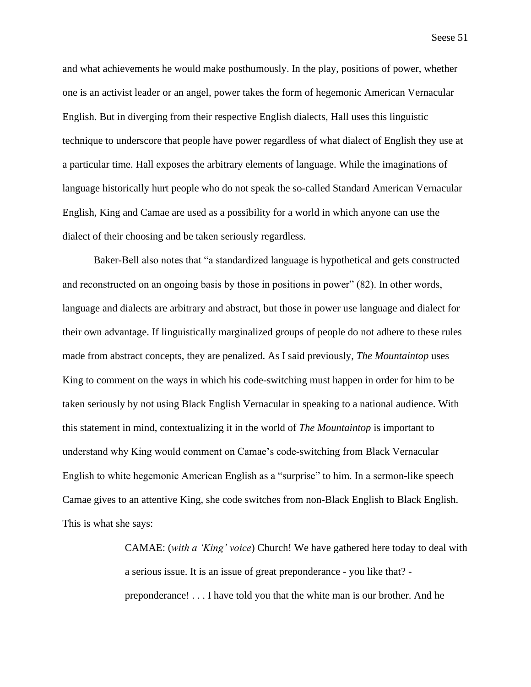and what achievements he would make posthumously. In the play, positions of power, whether one is an activist leader or an angel, power takes the form of hegemonic American Vernacular English. But in diverging from their respective English dialects, Hall uses this linguistic technique to underscore that people have power regardless of what dialect of English they use at a particular time. Hall exposes the arbitrary elements of language. While the imaginations of language historically hurt people who do not speak the so-called Standard American Vernacular English, King and Camae are used as a possibility for a world in which anyone can use the dialect of their choosing and be taken seriously regardless.

Baker-Bell also notes that "a standardized language is hypothetical and gets constructed and reconstructed on an ongoing basis by those in positions in power" (82). In other words, language and dialects are arbitrary and abstract, but those in power use language and dialect for their own advantage. If linguistically marginalized groups of people do not adhere to these rules made from abstract concepts, they are penalized. As I said previously, *The Mountaintop* uses King to comment on the ways in which his code-switching must happen in order for him to be taken seriously by not using Black English Vernacular in speaking to a national audience. With this statement in mind, contextualizing it in the world of *The Mountaintop* is important to understand why King would comment on Camae's code-switching from Black Vernacular English to white hegemonic American English as a "surprise" to him. In a sermon-like speech Camae gives to an attentive King, she code switches from non-Black English to Black English. This is what she says:

> CAMAE: (*with a 'King' voice*) Church! We have gathered here today to deal with a serious issue. It is an issue of great preponderance - you like that? preponderance! . . . I have told you that the white man is our brother. And he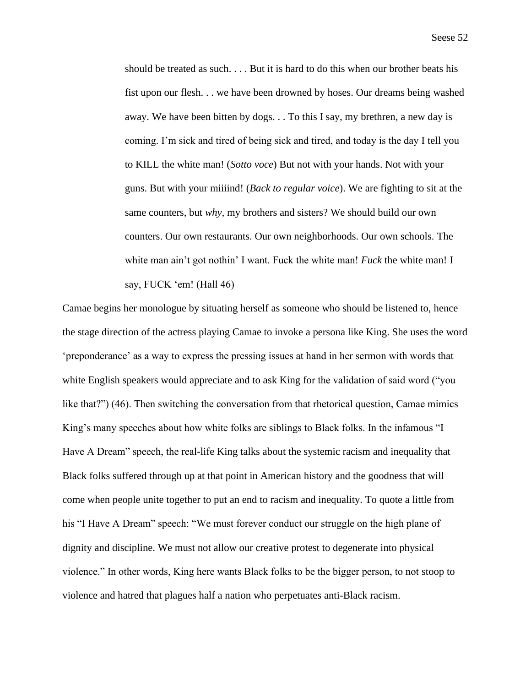should be treated as such. . . . But it is hard to do this when our brother beats his fist upon our flesh. . . we have been drowned by hoses. Our dreams being washed away. We have been bitten by dogs. . . To this I say, my brethren, a new day is coming. I'm sick and tired of being sick and tired, and today is the day I tell you to KILL the white man! (*Sotto voce*) But not with your hands. Not with your guns. But with your miiiind! (*Back to regular voice*). We are fighting to sit at the same counters, but *why*, my brothers and sisters? We should build our own counters. Our own restaurants. Our own neighborhoods. Our own schools. The white man ain't got nothin' I want. Fuck the white man! *Fuck* the white man! I say, FUCK 'em! (Hall 46)

Camae begins her monologue by situating herself as someone who should be listened to, hence the stage direction of the actress playing Camae to invoke a persona like King. She uses the word 'preponderance' as a way to express the pressing issues at hand in her sermon with words that white English speakers would appreciate and to ask King for the validation of said word ("you like that?") (46). Then switching the conversation from that rhetorical question, Camae mimics King's many speeches about how white folks are siblings to Black folks. In the infamous "I Have A Dream" speech, the real-life King talks about the systemic racism and inequality that Black folks suffered through up at that point in American history and the goodness that will come when people unite together to put an end to racism and inequality. To quote a little from his "I Have A Dream" speech: "We must forever conduct our struggle on the high plane of dignity and discipline. We must not allow our creative protest to degenerate into physical violence." In other words, King here wants Black folks to be the bigger person, to not stoop to violence and hatred that plagues half a nation who perpetuates anti-Black racism.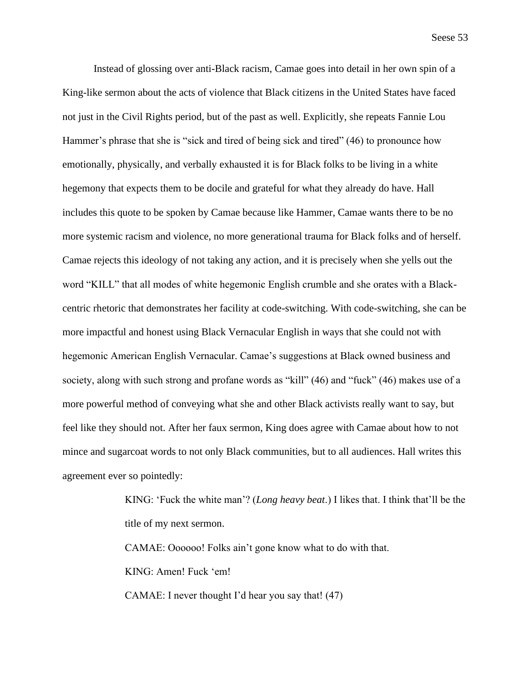Instead of glossing over anti-Black racism, Camae goes into detail in her own spin of a King-like sermon about the acts of violence that Black citizens in the United States have faced not just in the Civil Rights period, but of the past as well. Explicitly, she repeats Fannie Lou Hammer's phrase that she is "sick and tired of being sick and tired" (46) to pronounce how emotionally, physically, and verbally exhausted it is for Black folks to be living in a white hegemony that expects them to be docile and grateful for what they already do have. Hall includes this quote to be spoken by Camae because like Hammer, Camae wants there to be no more systemic racism and violence, no more generational trauma for Black folks and of herself. Camae rejects this ideology of not taking any action, and it is precisely when she yells out the word "KILL" that all modes of white hegemonic English crumble and she orates with a Blackcentric rhetoric that demonstrates her facility at code-switching. With code-switching, she can be more impactful and honest using Black Vernacular English in ways that she could not with hegemonic American English Vernacular. Camae's suggestions at Black owned business and society, along with such strong and profane words as "kill" (46) and "fuck" (46) makes use of a more powerful method of conveying what she and other Black activists really want to say, but feel like they should not. After her faux sermon, King does agree with Camae about how to not mince and sugarcoat words to not only Black communities, but to all audiences. Hall writes this agreement ever so pointedly:

> KING: 'Fuck the white man'? (*Long heavy beat*.) I likes that. I think that'll be the title of my next sermon.

CAMAE: Oooooo! Folks ain't gone know what to do with that.

KING: Amen! Fuck 'em!

CAMAE: I never thought I'd hear you say that! (47)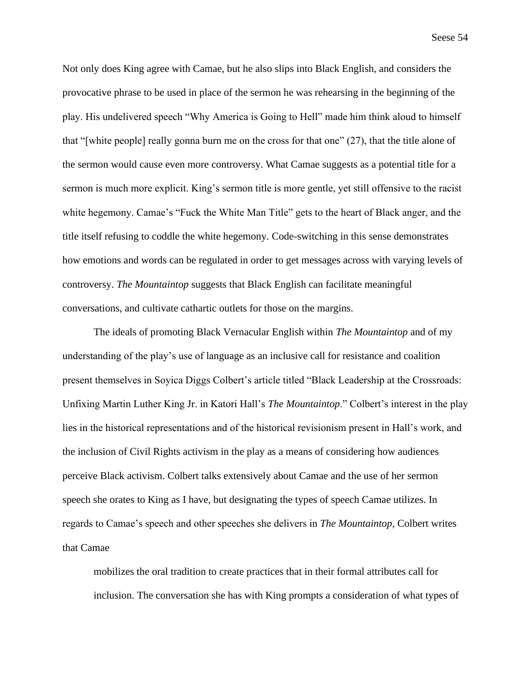Not only does King agree with Camae, but he also slips into Black English, and considers the provocative phrase to be used in place of the sermon he was rehearsing in the beginning of the play. His undelivered speech "Why America is Going to Hell" made him think aloud to himself that "[white people] really gonna burn me on the cross for that one" (27), that the title alone of the sermon would cause even more controversy. What Camae suggests as a potential title for a sermon is much more explicit. King's sermon title is more gentle, yet still offensive to the racist white hegemony. Camae's "Fuck the White Man Title" gets to the heart of Black anger, and the title itself refusing to coddle the white hegemony. Code-switching in this sense demonstrates how emotions and words can be regulated in order to get messages across with varying levels of controversy. *The Mountaintop* suggests that Black English can facilitate meaningful conversations, and cultivate cathartic outlets for those on the margins.

The ideals of promoting Black Vernacular English within *The Mountaintop* and of my understanding of the play's use of language as an inclusive call for resistance and coalition present themselves in Soyica Diggs Colbert's article titled "Black Leadership at the Crossroads: Unfixing Martin Luther King Jr. in Katori Hall's *The Mountaintop*." Colbert's interest in the play lies in the historical representations and of the historical revisionism present in Hall's work, and the inclusion of Civil Rights activism in the play as a means of considering how audiences perceive Black activism. Colbert talks extensively about Camae and the use of her sermon speech she orates to King as I have, but designating the types of speech Camae utilizes. In regards to Camae's speech and other speeches she delivers in *The Mountaintop*, Colbert writes that Camae

mobilizes the oral tradition to create practices that in their formal attributes call for inclusion. The conversation she has with King prompts a consideration of what types of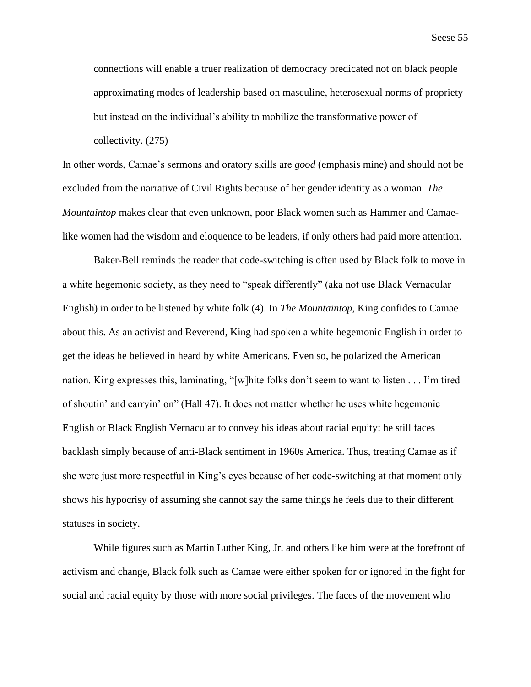connections will enable a truer realization of democracy predicated not on black people approximating modes of leadership based on masculine, heterosexual norms of propriety but instead on the individual's ability to mobilize the transformative power of collectivity. (275)

In other words, Camae's sermons and oratory skills are *good* (emphasis mine) and should not be excluded from the narrative of Civil Rights because of her gender identity as a woman. *The Mountaintop* makes clear that even unknown, poor Black women such as Hammer and Camaelike women had the wisdom and eloquence to be leaders, if only others had paid more attention.

Baker-Bell reminds the reader that code-switching is often used by Black folk to move in a white hegemonic society, as they need to "speak differently" (aka not use Black Vernacular English) in order to be listened by white folk (4). In *The Mountaintop*, King confides to Camae about this. As an activist and Reverend, King had spoken a white hegemonic English in order to get the ideas he believed in heard by white Americans. Even so, he polarized the American nation. King expresses this, laminating, "[w]hite folks don't seem to want to listen . . . I'm tired of shoutin' and carryin' on" (Hall 47). It does not matter whether he uses white hegemonic English or Black English Vernacular to convey his ideas about racial equity: he still faces backlash simply because of anti-Black sentiment in 1960s America. Thus, treating Camae as if she were just more respectful in King's eyes because of her code-switching at that moment only shows his hypocrisy of assuming she cannot say the same things he feels due to their different statuses in society.

While figures such as Martin Luther King, Jr. and others like him were at the forefront of activism and change, Black folk such as Camae were either spoken for or ignored in the fight for social and racial equity by those with more social privileges. The faces of the movement who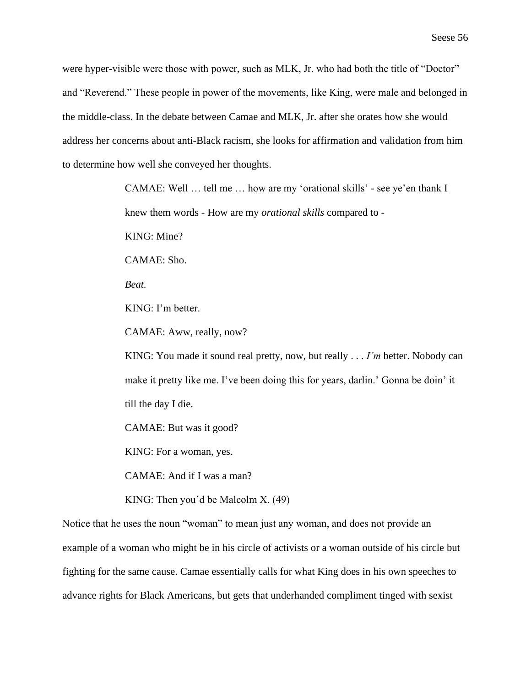were hyper-visible were those with power, such as MLK, Jr. who had both the title of "Doctor" and "Reverend." These people in power of the movements, like King, were male and belonged in the middle-class. In the debate between Camae and MLK, Jr. after she orates how she would address her concerns about anti-Black racism, she looks for affirmation and validation from him to determine how well she conveyed her thoughts.

> CAMAE: Well … tell me … how are my 'orational skills' - see ye'en thank I knew them words - How are my *orational skills* compared to - KING: Mine? CAMAE: Sho.

*Beat.*

KING: I'm better.

CAMAE: Aww, really, now?

KING: You made it sound real pretty, now, but really . . . *I'm* better. Nobody can make it pretty like me. I've been doing this for years, darlin.' Gonna be doin' it till the day I die.

CAMAE: But was it good?

KING: For a woman, yes.

CAMAE: And if I was a man?

KING: Then you'd be Malcolm X. (49)

Notice that he uses the noun "woman" to mean just any woman, and does not provide an example of a woman who might be in his circle of activists or a woman outside of his circle but fighting for the same cause. Camae essentially calls for what King does in his own speeches to advance rights for Black Americans, but gets that underhanded compliment tinged with sexist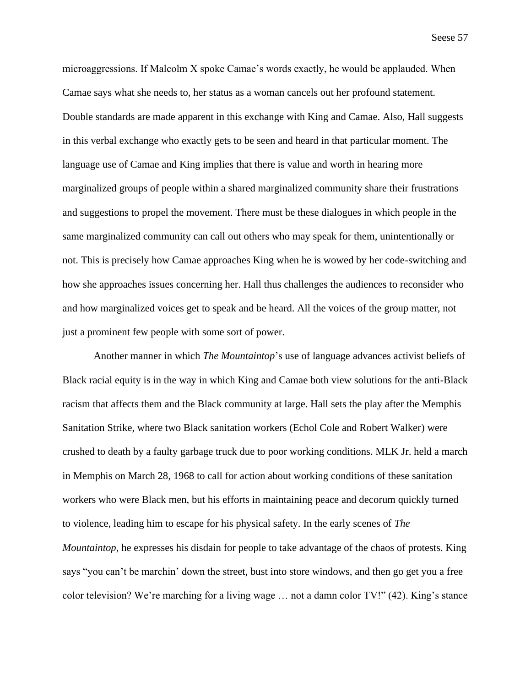microaggressions. If Malcolm X spoke Camae's words exactly, he would be applauded. When Camae says what she needs to, her status as a woman cancels out her profound statement. Double standards are made apparent in this exchange with King and Camae. Also, Hall suggests in this verbal exchange who exactly gets to be seen and heard in that particular moment. The language use of Camae and King implies that there is value and worth in hearing more marginalized groups of people within a shared marginalized community share their frustrations and suggestions to propel the movement. There must be these dialogues in which people in the same marginalized community can call out others who may speak for them, unintentionally or not. This is precisely how Camae approaches King when he is wowed by her code-switching and how she approaches issues concerning her. Hall thus challenges the audiences to reconsider who and how marginalized voices get to speak and be heard. All the voices of the group matter, not just a prominent few people with some sort of power.

Another manner in which *The Mountaintop*'s use of language advances activist beliefs of Black racial equity is in the way in which King and Camae both view solutions for the anti-Black racism that affects them and the Black community at large. Hall sets the play after the Memphis Sanitation Strike, where two Black sanitation workers (Echol Cole and Robert Walker) were crushed to death by a faulty garbage truck due to poor working conditions. MLK Jr. held a march in Memphis on March 28, 1968 to call for action about working conditions of these sanitation workers who were Black men, but his efforts in maintaining peace and decorum quickly turned to violence, leading him to escape for his physical safety. In the early scenes of *The Mountaintop*, he expresses his disdain for people to take advantage of the chaos of protests. King says "you can't be marchin' down the street, bust into store windows, and then go get you a free color television? We're marching for a living wage … not a damn color TV!" (42). King's stance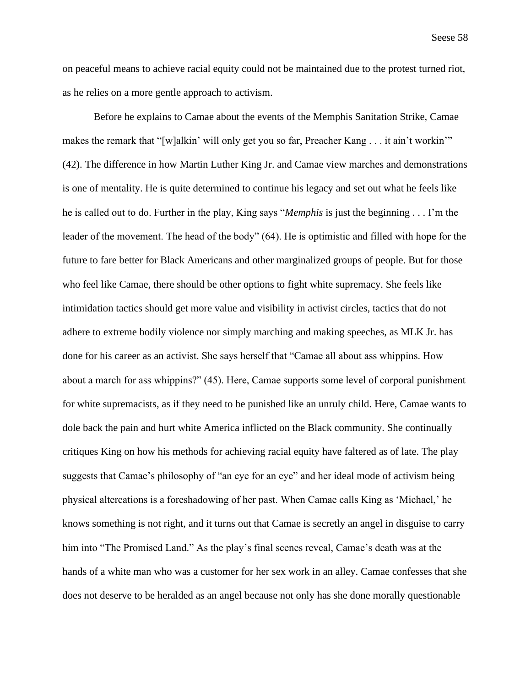on peaceful means to achieve racial equity could not be maintained due to the protest turned riot, as he relies on a more gentle approach to activism.

Before he explains to Camae about the events of the Memphis Sanitation Strike, Camae makes the remark that "[w]alkin' will only get you so far, Preacher Kang . . . it ain't workin'" (42). The difference in how Martin Luther King Jr. and Camae view marches and demonstrations is one of mentality. He is quite determined to continue his legacy and set out what he feels like he is called out to do. Further in the play, King says "*Memphis* is just the beginning . . . I'm the leader of the movement. The head of the body" (64). He is optimistic and filled with hope for the future to fare better for Black Americans and other marginalized groups of people. But for those who feel like Camae, there should be other options to fight white supremacy. She feels like intimidation tactics should get more value and visibility in activist circles, tactics that do not adhere to extreme bodily violence nor simply marching and making speeches, as MLK Jr. has done for his career as an activist. She says herself that "Camae all about ass whippins. How about a march for ass whippins?" (45). Here, Camae supports some level of corporal punishment for white supremacists, as if they need to be punished like an unruly child. Here, Camae wants to dole back the pain and hurt white America inflicted on the Black community. She continually critiques King on how his methods for achieving racial equity have faltered as of late. The play suggests that Camae's philosophy of "an eye for an eye" and her ideal mode of activism being physical altercations is a foreshadowing of her past. When Camae calls King as 'Michael,' he knows something is not right, and it turns out that Camae is secretly an angel in disguise to carry him into "The Promised Land." As the play's final scenes reveal, Camae's death was at the hands of a white man who was a customer for her sex work in an alley. Camae confesses that she does not deserve to be heralded as an angel because not only has she done morally questionable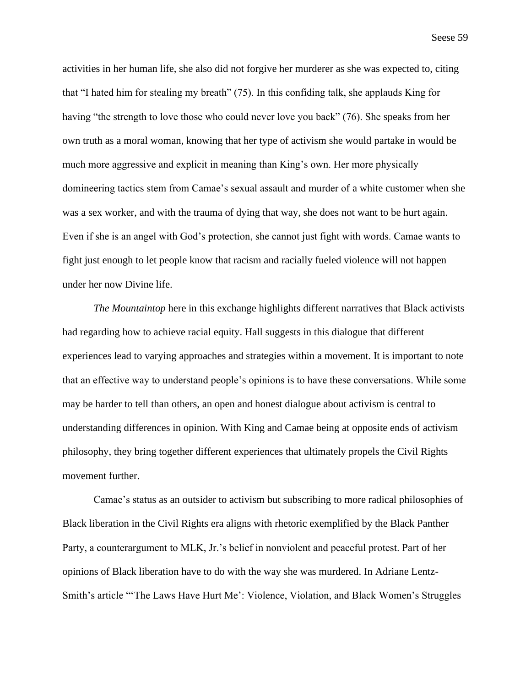activities in her human life, she also did not forgive her murderer as she was expected to, citing that "I hated him for stealing my breath" (75). In this confiding talk, she applauds King for having "the strength to love those who could never love you back" (76). She speaks from her own truth as a moral woman, knowing that her type of activism she would partake in would be much more aggressive and explicit in meaning than King's own. Her more physically domineering tactics stem from Camae's sexual assault and murder of a white customer when she was a sex worker, and with the trauma of dying that way, she does not want to be hurt again. Even if she is an angel with God's protection, she cannot just fight with words. Camae wants to fight just enough to let people know that racism and racially fueled violence will not happen under her now Divine life.

*The Mountaintop* here in this exchange highlights different narratives that Black activists had regarding how to achieve racial equity. Hall suggests in this dialogue that different experiences lead to varying approaches and strategies within a movement. It is important to note that an effective way to understand people's opinions is to have these conversations. While some may be harder to tell than others, an open and honest dialogue about activism is central to understanding differences in opinion. With King and Camae being at opposite ends of activism philosophy, they bring together different experiences that ultimately propels the Civil Rights movement further.

Camae's status as an outsider to activism but subscribing to more radical philosophies of Black liberation in the Civil Rights era aligns with rhetoric exemplified by the Black Panther Party, a counterargument to MLK, Jr.'s belief in nonviolent and peaceful protest. Part of her opinions of Black liberation have to do with the way she was murdered. In Adriane Lentz-Smith's article "'The Laws Have Hurt Me': Violence, Violation, and Black Women's Struggles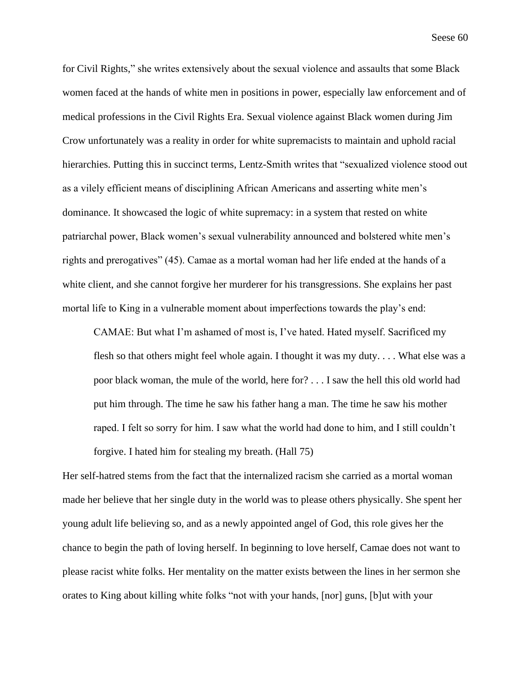for Civil Rights," she writes extensively about the sexual violence and assaults that some Black women faced at the hands of white men in positions in power, especially law enforcement and of medical professions in the Civil Rights Era. Sexual violence against Black women during Jim Crow unfortunately was a reality in order for white supremacists to maintain and uphold racial hierarchies. Putting this in succinct terms, Lentz-Smith writes that "sexualized violence stood out as a vilely efficient means of disciplining African Americans and asserting white men's dominance. It showcased the logic of white supremacy: in a system that rested on white patriarchal power, Black women's sexual vulnerability announced and bolstered white men's rights and prerogatives" (45). Camae as a mortal woman had her life ended at the hands of a white client, and she cannot forgive her murderer for his transgressions. She explains her past mortal life to King in a vulnerable moment about imperfections towards the play's end:

CAMAE: But what I'm ashamed of most is, I've hated. Hated myself. Sacrificed my flesh so that others might feel whole again. I thought it was my duty. . . . What else was a poor black woman, the mule of the world, here for? . . . I saw the hell this old world had put him through. The time he saw his father hang a man. The time he saw his mother raped. I felt so sorry for him. I saw what the world had done to him, and I still couldn't forgive. I hated him for stealing my breath. (Hall 75)

Her self-hatred stems from the fact that the internalized racism she carried as a mortal woman made her believe that her single duty in the world was to please others physically. She spent her young adult life believing so, and as a newly appointed angel of God, this role gives her the chance to begin the path of loving herself. In beginning to love herself, Camae does not want to please racist white folks. Her mentality on the matter exists between the lines in her sermon she orates to King about killing white folks "not with your hands, [nor] guns, [b]ut with your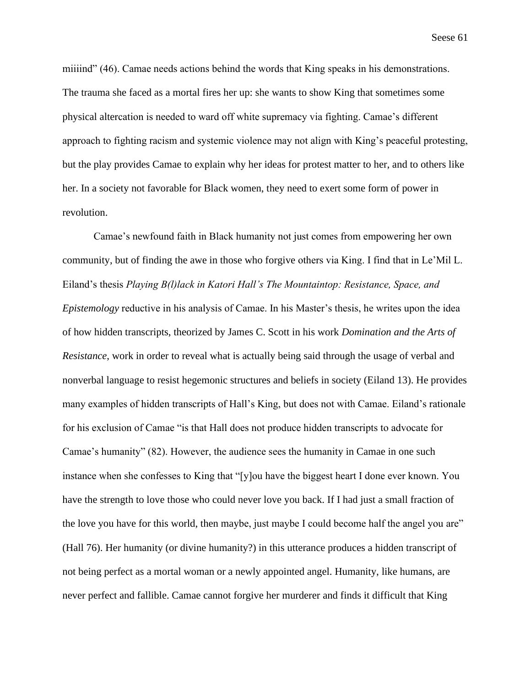miiiind" (46). Camae needs actions behind the words that King speaks in his demonstrations. The trauma she faced as a mortal fires her up: she wants to show King that sometimes some physical altercation is needed to ward off white supremacy via fighting. Camae's different approach to fighting racism and systemic violence may not align with King's peaceful protesting, but the play provides Camae to explain why her ideas for protest matter to her, and to others like her. In a society not favorable for Black women, they need to exert some form of power in revolution.

Camae's newfound faith in Black humanity not just comes from empowering her own community, but of finding the awe in those who forgive others via King. I find that in Le'Mil L. Eiland's thesis *Playing B(l)lack in Katori Hall's The Mountaintop: Resistance, Space, and Epistemology* reductive in his analysis of Camae. In his Master's thesis, he writes upon the idea of how hidden transcripts, theorized by James C. Scott in his work *Domination and the Arts of Resistance*, work in order to reveal what is actually being said through the usage of verbal and nonverbal language to resist hegemonic structures and beliefs in society (Eiland 13). He provides many examples of hidden transcripts of Hall's King, but does not with Camae. Eiland's rationale for his exclusion of Camae "is that Hall does not produce hidden transcripts to advocate for Camae's humanity" (82). However, the audience sees the humanity in Camae in one such instance when she confesses to King that "[y]ou have the biggest heart I done ever known. You have the strength to love those who could never love you back. If I had just a small fraction of the love you have for this world, then maybe, just maybe I could become half the angel you are" (Hall 76). Her humanity (or divine humanity?) in this utterance produces a hidden transcript of not being perfect as a mortal woman or a newly appointed angel. Humanity, like humans, are never perfect and fallible. Camae cannot forgive her murderer and finds it difficult that King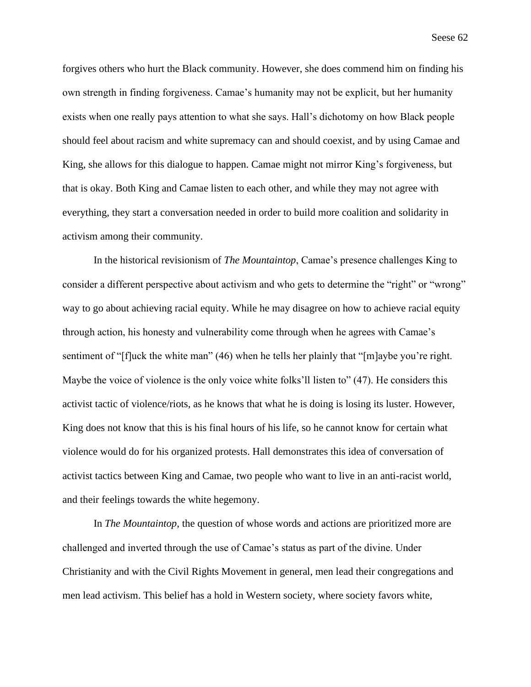forgives others who hurt the Black community. However, she does commend him on finding his own strength in finding forgiveness. Camae's humanity may not be explicit, but her humanity exists when one really pays attention to what she says. Hall's dichotomy on how Black people should feel about racism and white supremacy can and should coexist, and by using Camae and King, she allows for this dialogue to happen. Camae might not mirror King's forgiveness, but that is okay. Both King and Camae listen to each other, and while they may not agree with everything, they start a conversation needed in order to build more coalition and solidarity in activism among their community.

In the historical revisionism of *The Mountaintop*, Camae's presence challenges King to consider a different perspective about activism and who gets to determine the "right" or "wrong" way to go about achieving racial equity. While he may disagree on how to achieve racial equity through action, his honesty and vulnerability come through when he agrees with Camae's sentiment of "[f]uck the white man" (46) when he tells her plainly that "[m]aybe you're right. Maybe the voice of violence is the only voice white folks'll listen to" (47). He considers this activist tactic of violence/riots, as he knows that what he is doing is losing its luster. However, King does not know that this is his final hours of his life, so he cannot know for certain what violence would do for his organized protests. Hall demonstrates this idea of conversation of activist tactics between King and Camae, two people who want to live in an anti-racist world, and their feelings towards the white hegemony.

In *The Mountaintop*, the question of whose words and actions are prioritized more are challenged and inverted through the use of Camae's status as part of the divine. Under Christianity and with the Civil Rights Movement in general, men lead their congregations and men lead activism. This belief has a hold in Western society, where society favors white,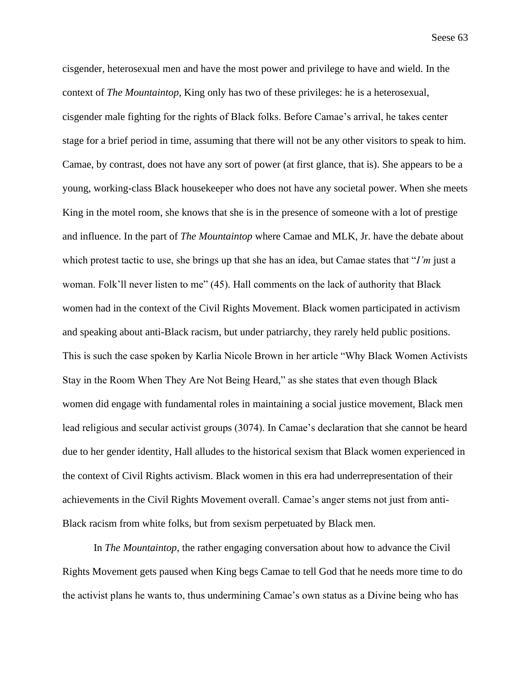cisgender, heterosexual men and have the most power and privilege to have and wield. In the context of *The Mountaintop*, King only has two of these privileges: he is a heterosexual, cisgender male fighting for the rights of Black folks. Before Camae's arrival, he takes center stage for a brief period in time, assuming that there will not be any other visitors to speak to him. Camae, by contrast, does not have any sort of power (at first glance, that is). She appears to be a young, working-class Black housekeeper who does not have any societal power. When she meets King in the motel room, she knows that she is in the presence of someone with a lot of prestige and influence. In the part of *The Mountaintop* where Camae and MLK, Jr. have the debate about which protest tactic to use, she brings up that she has an idea, but Camae states that "*I'm* just a woman. Folk'll never listen to me" (45). Hall comments on the lack of authority that Black women had in the context of the Civil Rights Movement. Black women participated in activism and speaking about anti-Black racism, but under patriarchy, they rarely held public positions. This is such the case spoken by Karlia Nicole Brown in her article "Why Black Women Activists Stay in the Room When They Are Not Being Heard," as she states that even though Black women did engage with fundamental roles in maintaining a social justice movement, Black men lead religious and secular activist groups (3074). In Camae's declaration that she cannot be heard due to her gender identity, Hall alludes to the historical sexism that Black women experienced in the context of Civil Rights activism. Black women in this era had underrepresentation of their achievements in the Civil Rights Movement overall. Camae's anger stems not just from anti-Black racism from white folks, but from sexism perpetuated by Black men.

In *The Mountaintop*, the rather engaging conversation about how to advance the Civil Rights Movement gets paused when King begs Camae to tell God that he needs more time to do the activist plans he wants to, thus undermining Camae's own status as a Divine being who has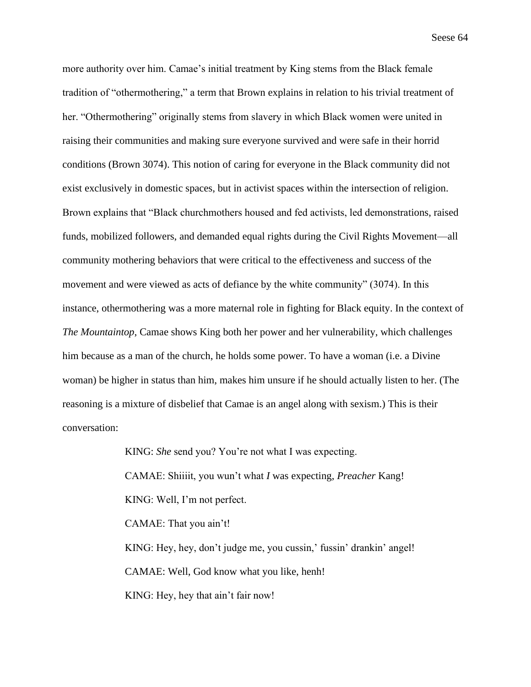more authority over him. Camae's initial treatment by King stems from the Black female tradition of "othermothering," a term that Brown explains in relation to his trivial treatment of her. "Othermothering" originally stems from slavery in which Black women were united in raising their communities and making sure everyone survived and were safe in their horrid conditions (Brown 3074). This notion of caring for everyone in the Black community did not exist exclusively in domestic spaces, but in activist spaces within the intersection of religion. Brown explains that "Black churchmothers housed and fed activists, led demonstrations, raised funds, mobilized followers, and demanded equal rights during the Civil Rights Movement—all community mothering behaviors that were critical to the effectiveness and success of the movement and were viewed as acts of defiance by the white community" (3074). In this instance, othermothering was a more maternal role in fighting for Black equity. In the context of *The Mountaintop*, Camae shows King both her power and her vulnerability, which challenges him because as a man of the church, he holds some power. To have a woman (i.e. a Divine woman) be higher in status than him, makes him unsure if he should actually listen to her. (The reasoning is a mixture of disbelief that Camae is an angel along with sexism.) This is their conversation:

> KING: *She* send you? You're not what I was expecting. CAMAE: Shiiiit, you wun't what *I* was expecting, *Preacher* Kang! KING: Well, I'm not perfect. CAMAE: That you ain't! KING: Hey, hey, don't judge me, you cussin,' fussin' drankin' angel! CAMAE: Well, God know what you like, henh! KING: Hey, hey that ain't fair now!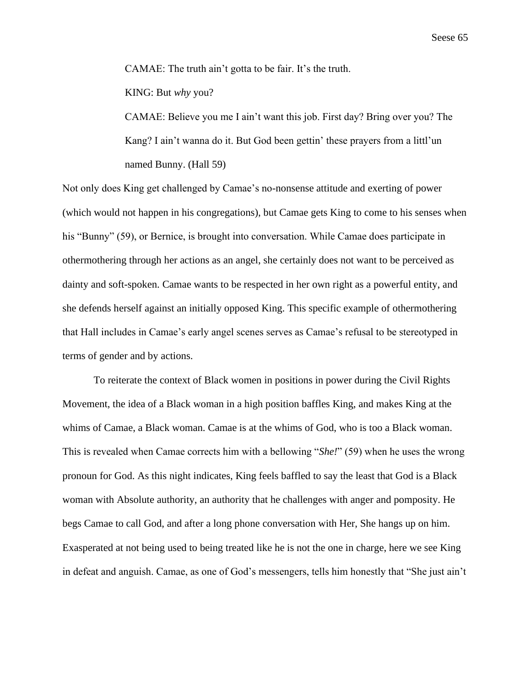CAMAE: The truth ain't gotta to be fair. It's the truth.

KING: But *why* you?

CAMAE: Believe you me I ain't want this job. First day? Bring over you? The Kang? I ain't wanna do it. But God been gettin' these prayers from a littl'un named Bunny. (Hall 59)

Not only does King get challenged by Camae's no-nonsense attitude and exerting of power (which would not happen in his congregations), but Camae gets King to come to his senses when his "Bunny" (59), or Bernice, is brought into conversation. While Camae does participate in othermothering through her actions as an angel, she certainly does not want to be perceived as dainty and soft-spoken. Camae wants to be respected in her own right as a powerful entity, and she defends herself against an initially opposed King. This specific example of othermothering that Hall includes in Camae's early angel scenes serves as Camae's refusal to be stereotyped in terms of gender and by actions.

To reiterate the context of Black women in positions in power during the Civil Rights Movement, the idea of a Black woman in a high position baffles King, and makes King at the whims of Camae, a Black woman. Camae is at the whims of God, who is too a Black woman. This is revealed when Camae corrects him with a bellowing "*She!*" (59) when he uses the wrong pronoun for God. As this night indicates, King feels baffled to say the least that God is a Black woman with Absolute authority, an authority that he challenges with anger and pomposity. He begs Camae to call God, and after a long phone conversation with Her, She hangs up on him. Exasperated at not being used to being treated like he is not the one in charge, here we see King in defeat and anguish. Camae, as one of God's messengers, tells him honestly that "She just ain't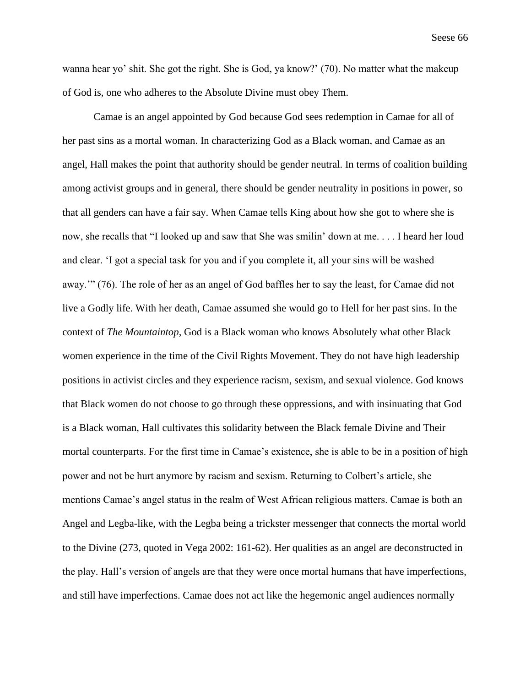wanna hear yo' shit. She got the right. She is God, ya know?' (70). No matter what the makeup of God is, one who adheres to the Absolute Divine must obey Them.

Camae is an angel appointed by God because God sees redemption in Camae for all of her past sins as a mortal woman. In characterizing God as a Black woman, and Camae as an angel, Hall makes the point that authority should be gender neutral. In terms of coalition building among activist groups and in general, there should be gender neutrality in positions in power, so that all genders can have a fair say. When Camae tells King about how she got to where she is now, she recalls that "I looked up and saw that She was smilin' down at me. . . . I heard her loud and clear. 'I got a special task for you and if you complete it, all your sins will be washed away.'" (76). The role of her as an angel of God baffles her to say the least, for Camae did not live a Godly life. With her death, Camae assumed she would go to Hell for her past sins. In the context of *The Mountaintop*, God is a Black woman who knows Absolutely what other Black women experience in the time of the Civil Rights Movement. They do not have high leadership positions in activist circles and they experience racism, sexism, and sexual violence. God knows that Black women do not choose to go through these oppressions, and with insinuating that God is a Black woman, Hall cultivates this solidarity between the Black female Divine and Their mortal counterparts. For the first time in Camae's existence, she is able to be in a position of high power and not be hurt anymore by racism and sexism. Returning to Colbert's article, she mentions Camae's angel status in the realm of West African religious matters. Camae is both an Angel and Legba-like, with the Legba being a trickster messenger that connects the mortal world to the Divine (273, quoted in Vega 2002: 161-62). Her qualities as an angel are deconstructed in the play. Hall's version of angels are that they were once mortal humans that have imperfections, and still have imperfections. Camae does not act like the hegemonic angel audiences normally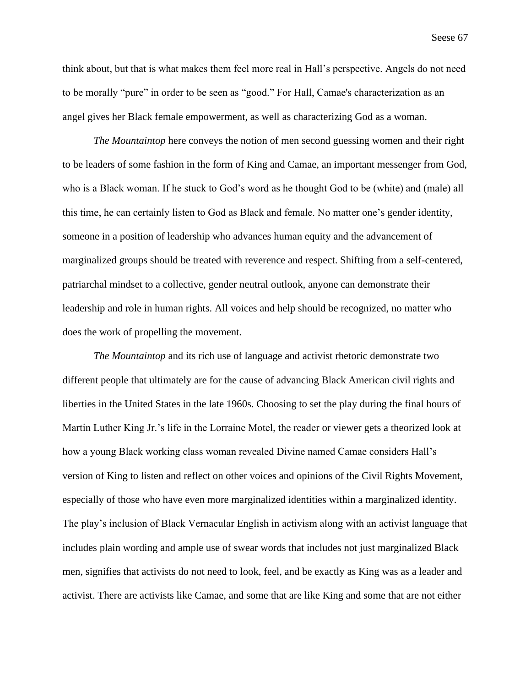think about, but that is what makes them feel more real in Hall's perspective. Angels do not need to be morally "pure" in order to be seen as "good." For Hall, Camae's characterization as an angel gives her Black female empowerment, as well as characterizing God as a woman.

*The Mountaintop* here conveys the notion of men second guessing women and their right to be leaders of some fashion in the form of King and Camae, an important messenger from God, who is a Black woman. If he stuck to God's word as he thought God to be (white) and (male) all this time, he can certainly listen to God as Black and female. No matter one's gender identity, someone in a position of leadership who advances human equity and the advancement of marginalized groups should be treated with reverence and respect. Shifting from a self-centered, patriarchal mindset to a collective, gender neutral outlook, anyone can demonstrate their leadership and role in human rights. All voices and help should be recognized, no matter who does the work of propelling the movement.

*The Mountaintop* and its rich use of language and activist rhetoric demonstrate two different people that ultimately are for the cause of advancing Black American civil rights and liberties in the United States in the late 1960s. Choosing to set the play during the final hours of Martin Luther King Jr.'s life in the Lorraine Motel, the reader or viewer gets a theorized look at how a young Black working class woman revealed Divine named Camae considers Hall's version of King to listen and reflect on other voices and opinions of the Civil Rights Movement, especially of those who have even more marginalized identities within a marginalized identity. The play's inclusion of Black Vernacular English in activism along with an activist language that includes plain wording and ample use of swear words that includes not just marginalized Black men, signifies that activists do not need to look, feel, and be exactly as King was as a leader and activist. There are activists like Camae, and some that are like King and some that are not either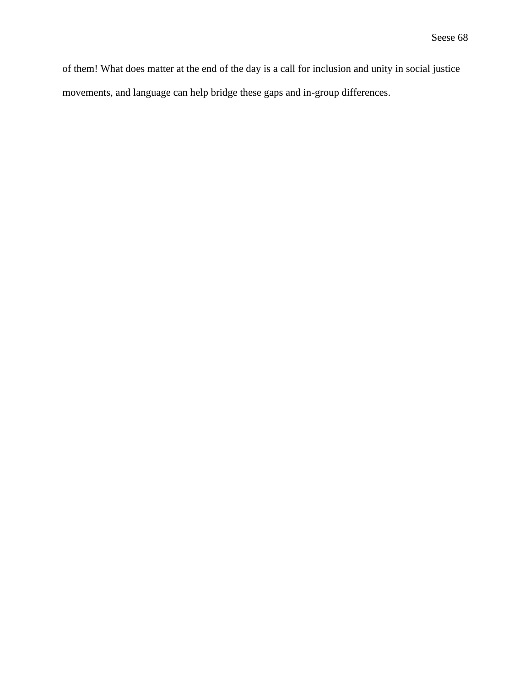of them! What does matter at the end of the day is a call for inclusion and unity in social justice movements, and language can help bridge these gaps and in-group differences.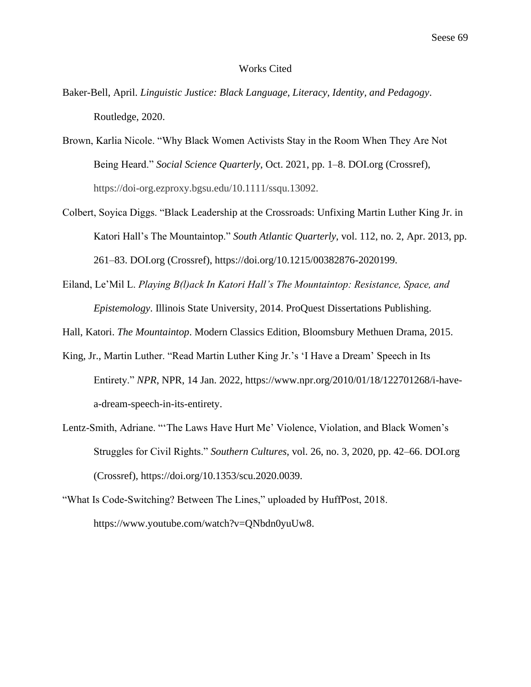## Works Cited

- Baker-Bell, April. *Linguistic Justice: Black Language, Literacy, Identity, and Pedagogy*. Routledge, 2020.
- Brown, Karlia Nicole. "Why Black Women Activists Stay in the Room When They Are Not Being Heard." *Social Science Quarterly*, Oct. 2021, pp. 1–8. DOI.org (Crossref), https://doi-org.ezproxy.bgsu.edu/10.1111/ssqu.13092.
- Colbert, Soyica Diggs. "Black Leadership at the Crossroads: Unfixing Martin Luther King Jr. in Katori Hall's The Mountaintop." *South Atlantic Quarterly*, vol. 112, no. 2, Apr. 2013, pp. 261–83. DOI.org (Crossref), https://doi.org/10.1215/00382876-2020199.
- Eiland, Le'Mil L. *Playing B(l)ack In Katori Hall's The Mountaintop: Resistance, Space, and Epistemology*. Illinois State University, 2014. ProQuest Dissertations Publishing.

Hall, Katori. *The Mountaintop*. Modern Classics Edition, Bloomsbury Methuen Drama, 2015.

- King, Jr., Martin Luther. "Read Martin Luther King Jr.'s 'I Have a Dream' Speech in Its Entirety." *NPR*, NPR, 14 Jan. 2022, https://www.npr.org/2010/01/18/122701268/i-havea-dream-speech-in-its-entirety.
- Lentz-Smith, Adriane. "'The Laws Have Hurt Me' Violence, Violation, and Black Women's Struggles for Civil Rights." *Southern Cultures*, vol. 26, no. 3, 2020, pp. 42–66. DOI.org (Crossref), https://doi.org/10.1353/scu.2020.0039.
- "What Is Code-Switching? Between The Lines," uploaded by HuffPost, 2018. https://www.youtube.com/watch?v=QNbdn0yuUw8.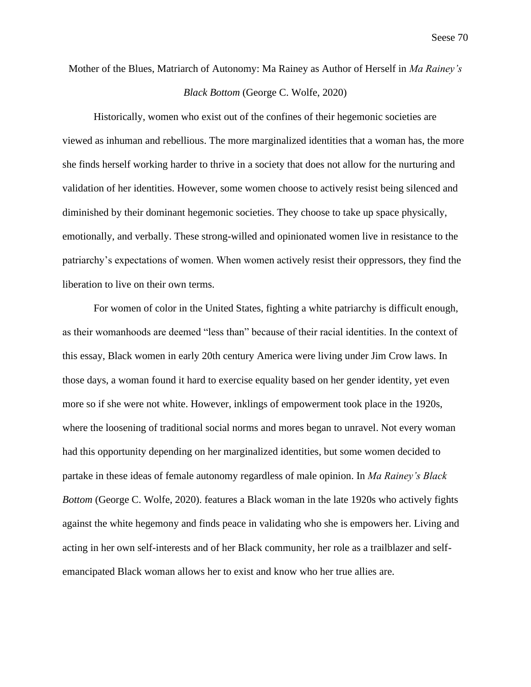## Mother of the Blues, Matriarch of Autonomy: Ma Rainey as Author of Herself in *Ma Rainey's*

*Black Bottom* (George C. Wolfe, 2020)

Historically, women who exist out of the confines of their hegemonic societies are viewed as inhuman and rebellious. The more marginalized identities that a woman has, the more she finds herself working harder to thrive in a society that does not allow for the nurturing and validation of her identities. However, some women choose to actively resist being silenced and diminished by their dominant hegemonic societies. They choose to take up space physically, emotionally, and verbally. These strong-willed and opinionated women live in resistance to the patriarchy's expectations of women. When women actively resist their oppressors, they find the liberation to live on their own terms.

For women of color in the United States, fighting a white patriarchy is difficult enough, as their womanhoods are deemed "less than" because of their racial identities. In the context of this essay, Black women in early 20th century America were living under Jim Crow laws. In those days, a woman found it hard to exercise equality based on her gender identity, yet even more so if she were not white. However, inklings of empowerment took place in the 1920s, where the loosening of traditional social norms and mores began to unravel. Not every woman had this opportunity depending on her marginalized identities, but some women decided to partake in these ideas of female autonomy regardless of male opinion. In *Ma Rainey's Black Bottom* (George C. Wolfe, 2020). features a Black woman in the late 1920s who actively fights against the white hegemony and finds peace in validating who she is empowers her. Living and acting in her own self-interests and of her Black community, her role as a trailblazer and selfemancipated Black woman allows her to exist and know who her true allies are.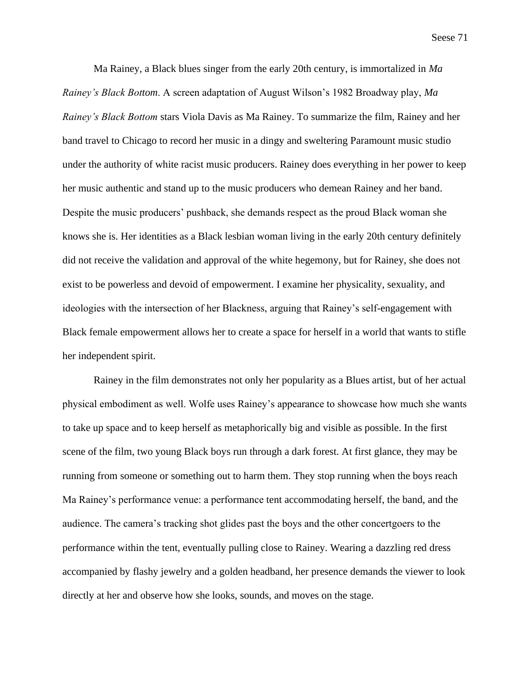Ma Rainey, a Black blues singer from the early 20th century, is immortalized in *Ma Rainey's Black Bottom*. A screen adaptation of August Wilson's 1982 Broadway play, *Ma Rainey's Black Bottom* stars Viola Davis as Ma Rainey. To summarize the film, Rainey and her band travel to Chicago to record her music in a dingy and sweltering Paramount music studio under the authority of white racist music producers. Rainey does everything in her power to keep her music authentic and stand up to the music producers who demean Rainey and her band. Despite the music producers' pushback, she demands respect as the proud Black woman she knows she is. Her identities as a Black lesbian woman living in the early 20th century definitely did not receive the validation and approval of the white hegemony, but for Rainey, she does not exist to be powerless and devoid of empowerment. I examine her physicality, sexuality, and ideologies with the intersection of her Blackness, arguing that Rainey's self-engagement with Black female empowerment allows her to create a space for herself in a world that wants to stifle her independent spirit.

Rainey in the film demonstrates not only her popularity as a Blues artist, but of her actual physical embodiment as well. Wolfe uses Rainey's appearance to showcase how much she wants to take up space and to keep herself as metaphorically big and visible as possible. In the first scene of the film, two young Black boys run through a dark forest. At first glance, they may be running from someone or something out to harm them. They stop running when the boys reach Ma Rainey's performance venue: a performance tent accommodating herself, the band, and the audience. The camera's tracking shot glides past the boys and the other concertgoers to the performance within the tent, eventually pulling close to Rainey. Wearing a dazzling red dress accompanied by flashy jewelry and a golden headband, her presence demands the viewer to look directly at her and observe how she looks, sounds, and moves on the stage.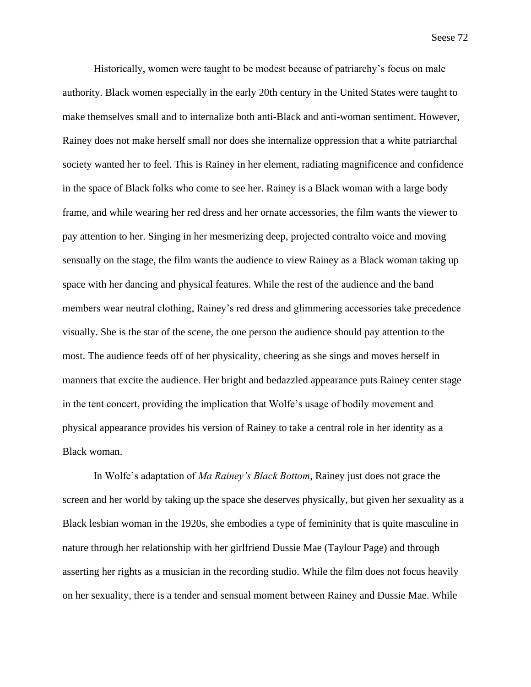Historically, women were taught to be modest because of patriarchy's focus on male authority. Black women especially in the early 20th century in the United States were taught to make themselves small and to internalize both anti-Black and anti-woman sentiment. However, Rainey does not make herself small nor does she internalize oppression that a white patriarchal society wanted her to feel. This is Rainey in her element, radiating magnificence and confidence in the space of Black folks who come to see her. Rainey is a Black woman with a large body frame, and while wearing her red dress and her ornate accessories, the film wants the viewer to pay attention to her. Singing in her mesmerizing deep, projected contralto voice and moving sensually on the stage, the film wants the audience to view Rainey as a Black woman taking up space with her dancing and physical features. While the rest of the audience and the band members wear neutral clothing, Rainey's red dress and glimmering accessories take precedence visually. She is the star of the scene, the one person the audience should pay attention to the most. The audience feeds off of her physicality, cheering as she sings and moves herself in manners that excite the audience. Her bright and bedazzled appearance puts Rainey center stage in the tent concert, providing the implication that Wolfe's usage of bodily movement and physical appearance provides his version of Rainey to take a central role in her identity as a Black woman.

In Wolfe's adaptation of *Ma Rainey's Black Bottom*, Rainey just does not grace the screen and her world by taking up the space she deserves physically, but given her sexuality as a Black lesbian woman in the 1920s, she embodies a type of femininity that is quite masculine in nature through her relationship with her girlfriend Dussie Mae (Taylour Page) and through asserting her rights as a musician in the recording studio. While the film does not focus heavily on her sexuality, there is a tender and sensual moment between Rainey and Dussie Mae. While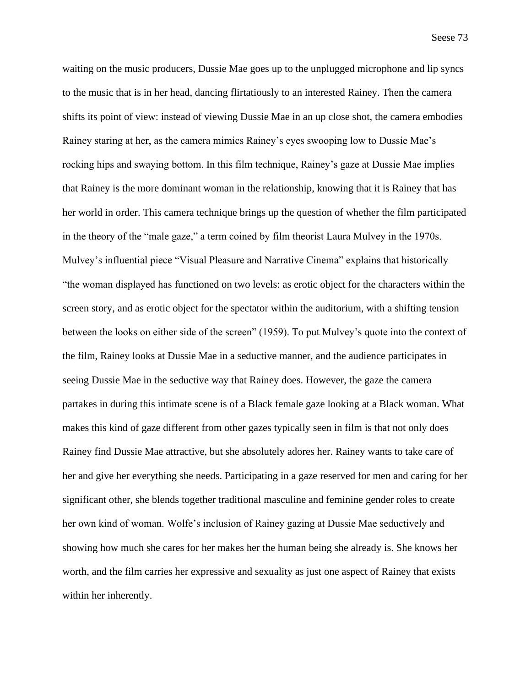waiting on the music producers, Dussie Mae goes up to the unplugged microphone and lip syncs to the music that is in her head, dancing flirtatiously to an interested Rainey. Then the camera shifts its point of view: instead of viewing Dussie Mae in an up close shot, the camera embodies Rainey staring at her, as the camera mimics Rainey's eyes swooping low to Dussie Mae's rocking hips and swaying bottom. In this film technique, Rainey's gaze at Dussie Mae implies that Rainey is the more dominant woman in the relationship, knowing that it is Rainey that has her world in order. This camera technique brings up the question of whether the film participated in the theory of the "male gaze," a term coined by film theorist Laura Mulvey in the 1970s. Mulvey's influential piece "Visual Pleasure and Narrative Cinema" explains that historically "the woman displayed has functioned on two levels: as erotic object for the characters within the screen story, and as erotic object for the spectator within the auditorium, with a shifting tension between the looks on either side of the screen" (1959). To put Mulvey's quote into the context of the film, Rainey looks at Dussie Mae in a seductive manner, and the audience participates in seeing Dussie Mae in the seductive way that Rainey does. However, the gaze the camera partakes in during this intimate scene is of a Black female gaze looking at a Black woman. What makes this kind of gaze different from other gazes typically seen in film is that not only does Rainey find Dussie Mae attractive, but she absolutely adores her. Rainey wants to take care of her and give her everything she needs. Participating in a gaze reserved for men and caring for her significant other, she blends together traditional masculine and feminine gender roles to create her own kind of woman. Wolfe's inclusion of Rainey gazing at Dussie Mae seductively and showing how much she cares for her makes her the human being she already is. She knows her worth, and the film carries her expressive and sexuality as just one aspect of Rainey that exists within her inherently.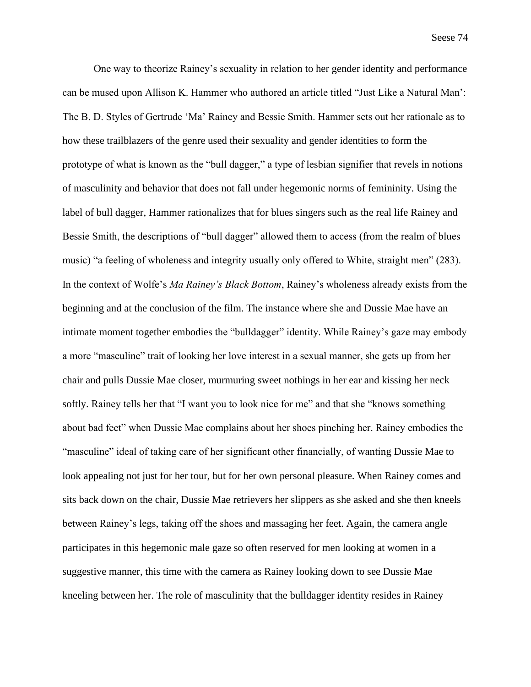One way to theorize Rainey's sexuality in relation to her gender identity and performance can be mused upon Allison K. Hammer who authored an article titled "Just Like a Natural Man': The B. D. Styles of Gertrude 'Ma' Rainey and Bessie Smith. Hammer sets out her rationale as to how these trailblazers of the genre used their sexuality and gender identities to form the prototype of what is known as the "bull dagger," a type of lesbian signifier that revels in notions of masculinity and behavior that does not fall under hegemonic norms of femininity. Using the label of bull dagger, Hammer rationalizes that for blues singers such as the real life Rainey and Bessie Smith, the descriptions of "bull dagger" allowed them to access (from the realm of blues music) "a feeling of wholeness and integrity usually only offered to White, straight men" (283). In the context of Wolfe's *Ma Rainey's Black Bottom*, Rainey's wholeness already exists from the beginning and at the conclusion of the film. The instance where she and Dussie Mae have an intimate moment together embodies the "bulldagger" identity. While Rainey's gaze may embody a more "masculine" trait of looking her love interest in a sexual manner, she gets up from her chair and pulls Dussie Mae closer, murmuring sweet nothings in her ear and kissing her neck softly. Rainey tells her that "I want you to look nice for me" and that she "knows something about bad feet" when Dussie Mae complains about her shoes pinching her. Rainey embodies the "masculine" ideal of taking care of her significant other financially, of wanting Dussie Mae to look appealing not just for her tour, but for her own personal pleasure. When Rainey comes and sits back down on the chair, Dussie Mae retrievers her slippers as she asked and she then kneels between Rainey's legs, taking off the shoes and massaging her feet. Again, the camera angle participates in this hegemonic male gaze so often reserved for men looking at women in a suggestive manner, this time with the camera as Rainey looking down to see Dussie Mae kneeling between her. The role of masculinity that the bulldagger identity resides in Rainey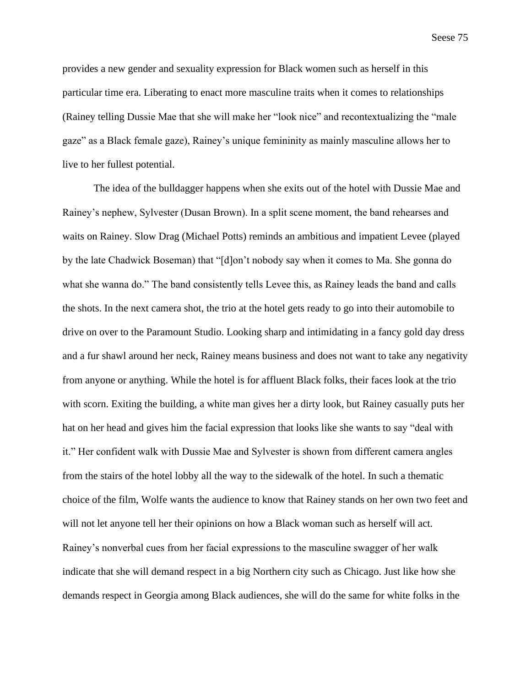provides a new gender and sexuality expression for Black women such as herself in this particular time era. Liberating to enact more masculine traits when it comes to relationships (Rainey telling Dussie Mae that she will make her "look nice" and recontextualizing the "male gaze" as a Black female gaze), Rainey's unique femininity as mainly masculine allows her to live to her fullest potential.

The idea of the bulldagger happens when she exits out of the hotel with Dussie Mae and Rainey's nephew, Sylvester (Dusan Brown). In a split scene moment, the band rehearses and waits on Rainey. Slow Drag (Michael Potts) reminds an ambitious and impatient Levee (played by the late Chadwick Boseman) that "[d]on't nobody say when it comes to Ma. She gonna do what she wanna do." The band consistently tells Levee this, as Rainey leads the band and calls the shots. In the next camera shot, the trio at the hotel gets ready to go into their automobile to drive on over to the Paramount Studio. Looking sharp and intimidating in a fancy gold day dress and a fur shawl around her neck, Rainey means business and does not want to take any negativity from anyone or anything. While the hotel is for affluent Black folks, their faces look at the trio with scorn. Exiting the building, a white man gives her a dirty look, but Rainey casually puts her hat on her head and gives him the facial expression that looks like she wants to say "deal with it." Her confident walk with Dussie Mae and Sylvester is shown from different camera angles from the stairs of the hotel lobby all the way to the sidewalk of the hotel. In such a thematic choice of the film, Wolfe wants the audience to know that Rainey stands on her own two feet and will not let anyone tell her their opinions on how a Black woman such as herself will act. Rainey's nonverbal cues from her facial expressions to the masculine swagger of her walk indicate that she will demand respect in a big Northern city such as Chicago. Just like how she demands respect in Georgia among Black audiences, she will do the same for white folks in the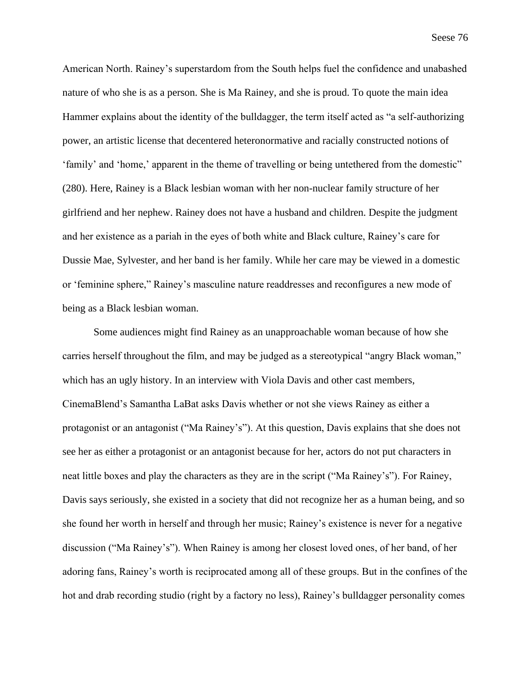American North. Rainey's superstardom from the South helps fuel the confidence and unabashed nature of who she is as a person. She is Ma Rainey, and she is proud. To quote the main idea Hammer explains about the identity of the bulldagger, the term itself acted as "a self-authorizing power, an artistic license that decentered heteronormative and racially constructed notions of 'family' and 'home,' apparent in the theme of travelling or being untethered from the domestic" (280). Here, Rainey is a Black lesbian woman with her non-nuclear family structure of her girlfriend and her nephew. Rainey does not have a husband and children. Despite the judgment and her existence as a pariah in the eyes of both white and Black culture, Rainey's care for Dussie Mae, Sylvester, and her band is her family. While her care may be viewed in a domestic or 'feminine sphere," Rainey's masculine nature readdresses and reconfigures a new mode of being as a Black lesbian woman.

Some audiences might find Rainey as an unapproachable woman because of how she carries herself throughout the film, and may be judged as a stereotypical "angry Black woman," which has an ugly history. In an interview with Viola Davis and other cast members, CinemaBlend's Samantha LaBat asks Davis whether or not she views Rainey as either a protagonist or an antagonist ("Ma Rainey's"). At this question, Davis explains that she does not see her as either a protagonist or an antagonist because for her, actors do not put characters in neat little boxes and play the characters as they are in the script ("Ma Rainey's"). For Rainey, Davis says seriously, she existed in a society that did not recognize her as a human being, and so she found her worth in herself and through her music; Rainey's existence is never for a negative discussion ("Ma Rainey's"). When Rainey is among her closest loved ones, of her band, of her adoring fans, Rainey's worth is reciprocated among all of these groups. But in the confines of the hot and drab recording studio (right by a factory no less), Rainey's bulldagger personality comes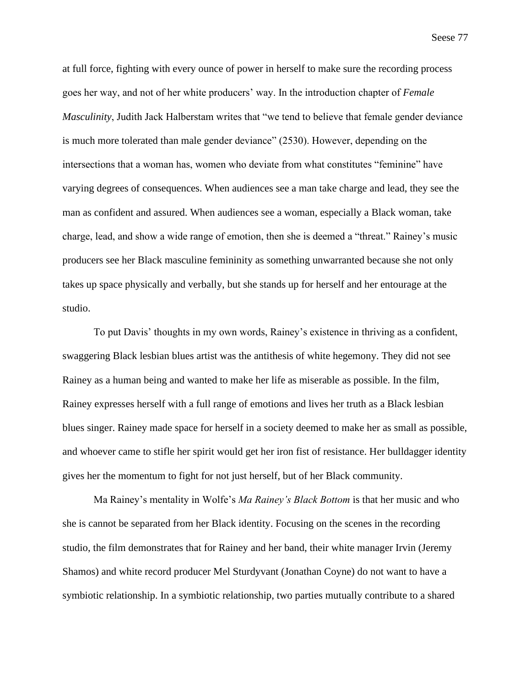at full force, fighting with every ounce of power in herself to make sure the recording process goes her way, and not of her white producers' way. In the introduction chapter of *Female Masculinity*, Judith Jack Halberstam writes that "we tend to believe that female gender deviance is much more tolerated than male gender deviance" (2530). However, depending on the intersections that a woman has, women who deviate from what constitutes "feminine" have varying degrees of consequences. When audiences see a man take charge and lead, they see the man as confident and assured. When audiences see a woman, especially a Black woman, take charge, lead, and show a wide range of emotion, then she is deemed a "threat." Rainey's music producers see her Black masculine femininity as something unwarranted because she not only takes up space physically and verbally, but she stands up for herself and her entourage at the studio.

To put Davis' thoughts in my own words, Rainey's existence in thriving as a confident, swaggering Black lesbian blues artist was the antithesis of white hegemony. They did not see Rainey as a human being and wanted to make her life as miserable as possible. In the film, Rainey expresses herself with a full range of emotions and lives her truth as a Black lesbian blues singer. Rainey made space for herself in a society deemed to make her as small as possible, and whoever came to stifle her spirit would get her iron fist of resistance. Her bulldagger identity gives her the momentum to fight for not just herself, but of her Black community.

Ma Rainey's mentality in Wolfe's *Ma Rainey's Black Bottom* is that her music and who she is cannot be separated from her Black identity. Focusing on the scenes in the recording studio, the film demonstrates that for Rainey and her band, their white manager Irvin (Jeremy Shamos) and white record producer Mel Sturdyvant (Jonathan Coyne) do not want to have a symbiotic relationship. In a symbiotic relationship, two parties mutually contribute to a shared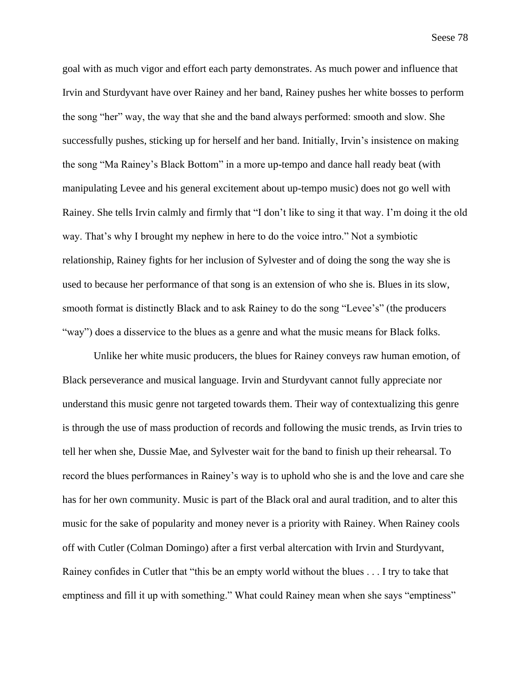goal with as much vigor and effort each party demonstrates. As much power and influence that Irvin and Sturdyvant have over Rainey and her band, Rainey pushes her white bosses to perform the song "her" way, the way that she and the band always performed: smooth and slow. She successfully pushes, sticking up for herself and her band. Initially, Irvin's insistence on making the song "Ma Rainey's Black Bottom" in a more up-tempo and dance hall ready beat (with manipulating Levee and his general excitement about up-tempo music) does not go well with Rainey. She tells Irvin calmly and firmly that "I don't like to sing it that way. I'm doing it the old way. That's why I brought my nephew in here to do the voice intro." Not a symbiotic relationship, Rainey fights for her inclusion of Sylvester and of doing the song the way she is used to because her performance of that song is an extension of who she is. Blues in its slow, smooth format is distinctly Black and to ask Rainey to do the song "Levee's" (the producers "way") does a disservice to the blues as a genre and what the music means for Black folks.

Unlike her white music producers, the blues for Rainey conveys raw human emotion, of Black perseverance and musical language. Irvin and Sturdyvant cannot fully appreciate nor understand this music genre not targeted towards them. Their way of contextualizing this genre is through the use of mass production of records and following the music trends, as Irvin tries to tell her when she, Dussie Mae, and Sylvester wait for the band to finish up their rehearsal. To record the blues performances in Rainey's way is to uphold who she is and the love and care she has for her own community. Music is part of the Black oral and aural tradition, and to alter this music for the sake of popularity and money never is a priority with Rainey. When Rainey cools off with Cutler (Colman Domingo) after a first verbal altercation with Irvin and Sturdyvant, Rainey confides in Cutler that "this be an empty world without the blues . . . I try to take that emptiness and fill it up with something." What could Rainey mean when she says "emptiness"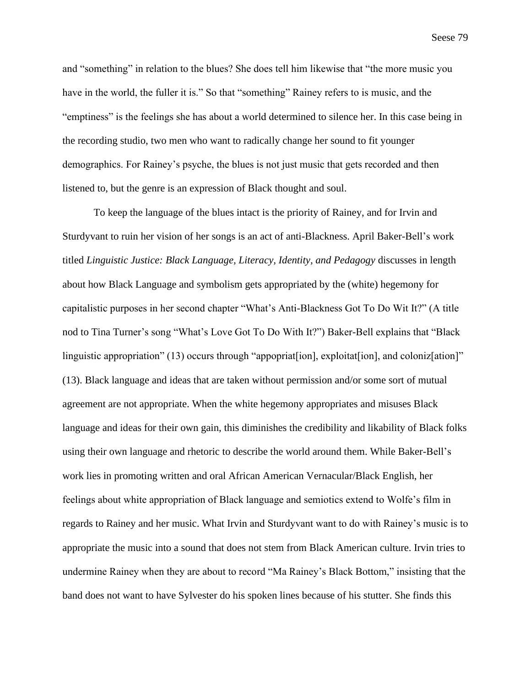and "something" in relation to the blues? She does tell him likewise that "the more music you have in the world, the fuller it is." So that "something" Rainey refers to is music, and the "emptiness" is the feelings she has about a world determined to silence her. In this case being in the recording studio, two men who want to radically change her sound to fit younger demographics. For Rainey's psyche, the blues is not just music that gets recorded and then listened to, but the genre is an expression of Black thought and soul.

To keep the language of the blues intact is the priority of Rainey, and for Irvin and Sturdyvant to ruin her vision of her songs is an act of anti-Blackness. April Baker-Bell's work titled *Linguistic Justice: Black Language, Literacy, Identity, and Pedagogy* discusses in length about how Black Language and symbolism gets appropriated by the (white) hegemony for capitalistic purposes in her second chapter "What's Anti-Blackness Got To Do Wit It?" (A title nod to Tina Turner's song "What's Love Got To Do With It?") Baker-Bell explains that "Black linguistic appropriation" (13) occurs through "appopriat [ion], exploitat [ion], and coloniz [ation]" (13). Black language and ideas that are taken without permission and/or some sort of mutual agreement are not appropriate. When the white hegemony appropriates and misuses Black language and ideas for their own gain, this diminishes the credibility and likability of Black folks using their own language and rhetoric to describe the world around them. While Baker-Bell's work lies in promoting written and oral African American Vernacular/Black English, her feelings about white appropriation of Black language and semiotics extend to Wolfe's film in regards to Rainey and her music. What Irvin and Sturdyvant want to do with Rainey's music is to appropriate the music into a sound that does not stem from Black American culture. Irvin tries to undermine Rainey when they are about to record "Ma Rainey's Black Bottom," insisting that the band does not want to have Sylvester do his spoken lines because of his stutter. She finds this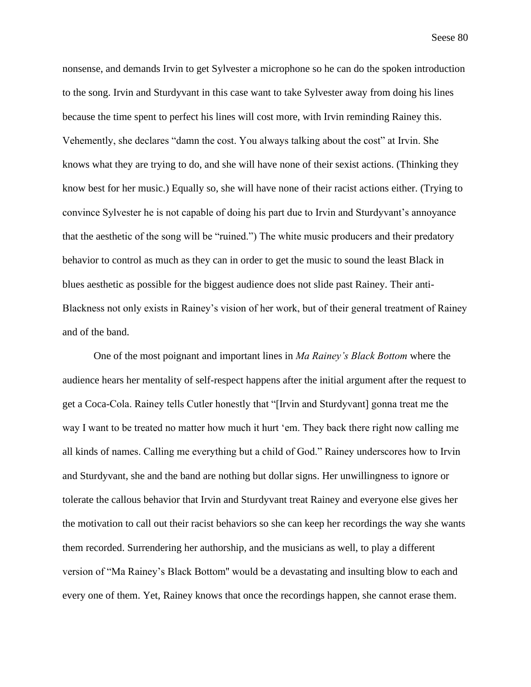nonsense, and demands Irvin to get Sylvester a microphone so he can do the spoken introduction to the song. Irvin and Sturdyvant in this case want to take Sylvester away from doing his lines because the time spent to perfect his lines will cost more, with Irvin reminding Rainey this. Vehemently, she declares "damn the cost. You always talking about the cost" at Irvin. She knows what they are trying to do, and she will have none of their sexist actions. (Thinking they know best for her music.) Equally so, she will have none of their racist actions either. (Trying to convince Sylvester he is not capable of doing his part due to Irvin and Sturdyvant's annoyance that the aesthetic of the song will be "ruined.") The white music producers and their predatory behavior to control as much as they can in order to get the music to sound the least Black in blues aesthetic as possible for the biggest audience does not slide past Rainey. Their anti-Blackness not only exists in Rainey's vision of her work, but of their general treatment of Rainey and of the band.

One of the most poignant and important lines in *Ma Rainey's Black Bottom* where the audience hears her mentality of self-respect happens after the initial argument after the request to get a Coca-Cola. Rainey tells Cutler honestly that "[Irvin and Sturdyvant] gonna treat me the way I want to be treated no matter how much it hurt 'em. They back there right now calling me all kinds of names. Calling me everything but a child of God." Rainey underscores how to Irvin and Sturdyvant, she and the band are nothing but dollar signs. Her unwillingness to ignore or tolerate the callous behavior that Irvin and Sturdyvant treat Rainey and everyone else gives her the motivation to call out their racist behaviors so she can keep her recordings the way she wants them recorded. Surrendering her authorship, and the musicians as well, to play a different version of "Ma Rainey's Black Bottom'' would be a devastating and insulting blow to each and every one of them. Yet, Rainey knows that once the recordings happen, she cannot erase them.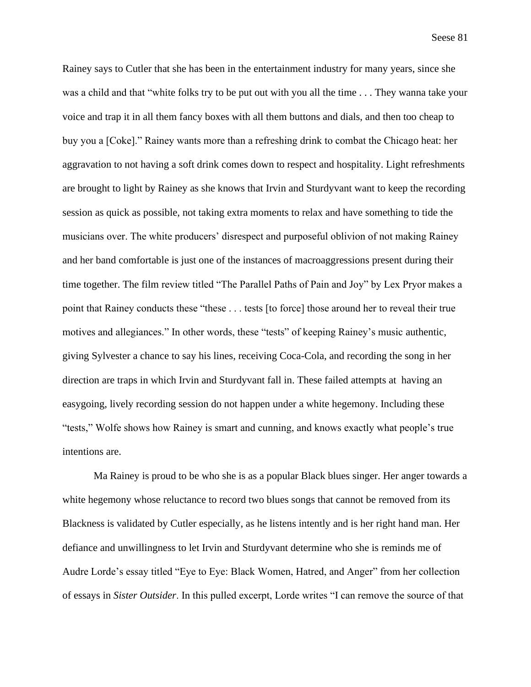Rainey says to Cutler that she has been in the entertainment industry for many years, since she was a child and that "white folks try to be put out with you all the time . . . They wanna take your voice and trap it in all them fancy boxes with all them buttons and dials, and then too cheap to buy you a [Coke]." Rainey wants more than a refreshing drink to combat the Chicago heat: her aggravation to not having a soft drink comes down to respect and hospitality. Light refreshments are brought to light by Rainey as she knows that Irvin and Sturdyvant want to keep the recording session as quick as possible, not taking extra moments to relax and have something to tide the musicians over. The white producers' disrespect and purposeful oblivion of not making Rainey and her band comfortable is just one of the instances of macroaggressions present during their time together. The film review titled "The Parallel Paths of Pain and Joy" by Lex Pryor makes a point that Rainey conducts these "these . . . tests [to force] those around her to reveal their true motives and allegiances." In other words, these "tests" of keeping Rainey's music authentic, giving Sylvester a chance to say his lines, receiving Coca-Cola, and recording the song in her direction are traps in which Irvin and Sturdyvant fall in. These failed attempts at having an easygoing, lively recording session do not happen under a white hegemony. Including these "tests," Wolfe shows how Rainey is smart and cunning, and knows exactly what people's true intentions are.

Ma Rainey is proud to be who she is as a popular Black blues singer. Her anger towards a white hegemony whose reluctance to record two blues songs that cannot be removed from its Blackness is validated by Cutler especially, as he listens intently and is her right hand man. Her defiance and unwillingness to let Irvin and Sturdyvant determine who she is reminds me of Audre Lorde's essay titled "Eye to Eye: Black Women, Hatred, and Anger" from her collection of essays in *Sister Outsider*. In this pulled excerpt, Lorde writes "I can remove the source of that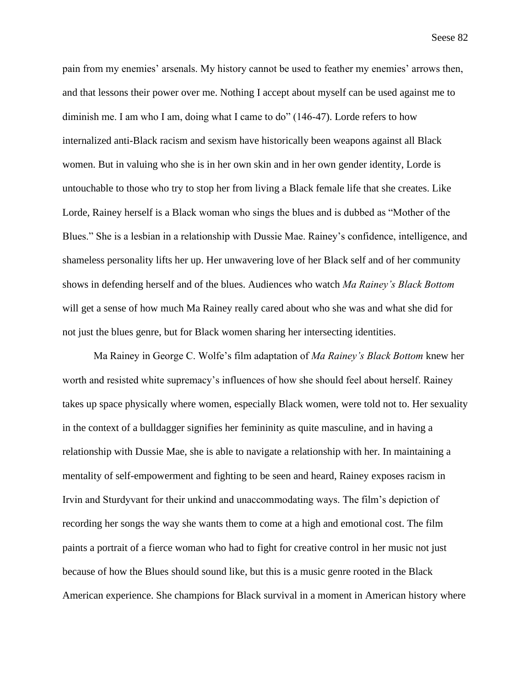pain from my enemies' arsenals. My history cannot be used to feather my enemies' arrows then, and that lessons their power over me. Nothing I accept about myself can be used against me to diminish me. I am who I am, doing what I came to do" (146-47). Lorde refers to how internalized anti-Black racism and sexism have historically been weapons against all Black women. But in valuing who she is in her own skin and in her own gender identity, Lorde is untouchable to those who try to stop her from living a Black female life that she creates. Like Lorde, Rainey herself is a Black woman who sings the blues and is dubbed as "Mother of the Blues." She is a lesbian in a relationship with Dussie Mae. Rainey's confidence, intelligence, and shameless personality lifts her up. Her unwavering love of her Black self and of her community shows in defending herself and of the blues. Audiences who watch *Ma Rainey's Black Bottom*  will get a sense of how much Ma Rainey really cared about who she was and what she did for not just the blues genre, but for Black women sharing her intersecting identities.

Ma Rainey in George C. Wolfe's film adaptation of *Ma Rainey's Black Bottom* knew her worth and resisted white supremacy's influences of how she should feel about herself. Rainey takes up space physically where women, especially Black women, were told not to. Her sexuality in the context of a bulldagger signifies her femininity as quite masculine, and in having a relationship with Dussie Mae, she is able to navigate a relationship with her. In maintaining a mentality of self-empowerment and fighting to be seen and heard, Rainey exposes racism in Irvin and Sturdyvant for their unkind and unaccommodating ways. The film's depiction of recording her songs the way she wants them to come at a high and emotional cost. The film paints a portrait of a fierce woman who had to fight for creative control in her music not just because of how the Blues should sound like, but this is a music genre rooted in the Black American experience. She champions for Black survival in a moment in American history where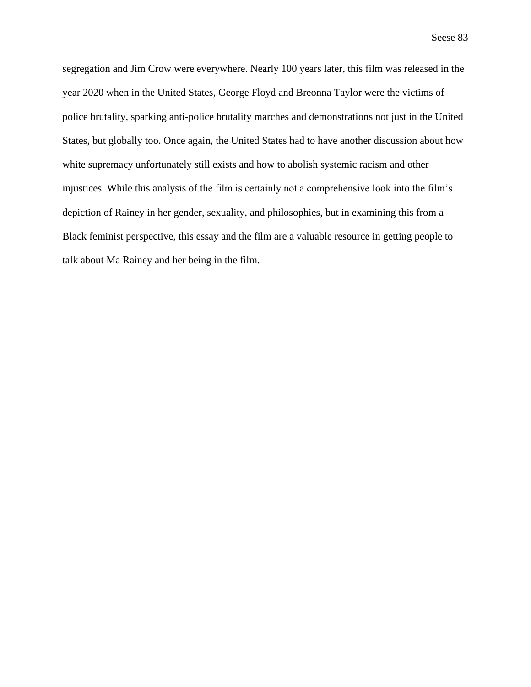segregation and Jim Crow were everywhere. Nearly 100 years later, this film was released in the year 2020 when in the United States, George Floyd and Breonna Taylor were the victims of police brutality, sparking anti-police brutality marches and demonstrations not just in the United States, but globally too. Once again, the United States had to have another discussion about how white supremacy unfortunately still exists and how to abolish systemic racism and other injustices. While this analysis of the film is certainly not a comprehensive look into the film's depiction of Rainey in her gender, sexuality, and philosophies, but in examining this from a Black feminist perspective, this essay and the film are a valuable resource in getting people to talk about Ma Rainey and her being in the film.